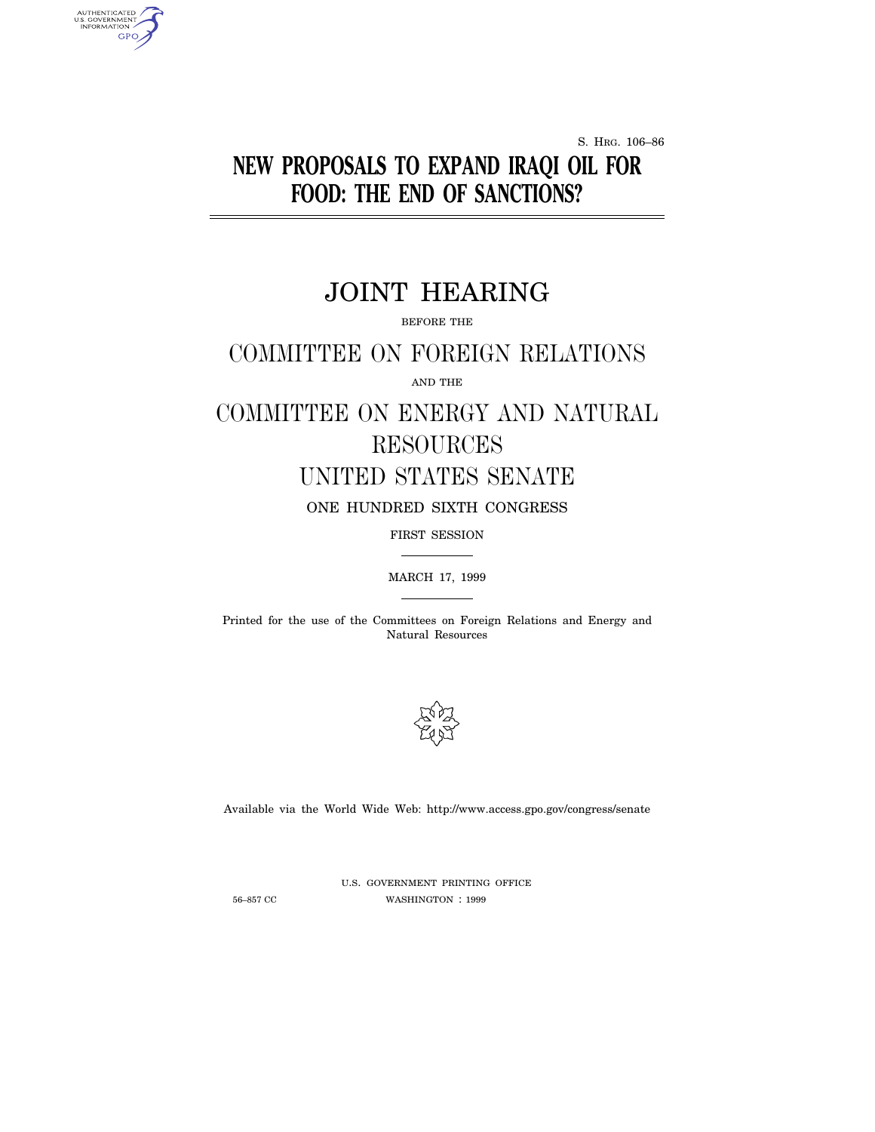S. HRG. 106–86

# **NEW PROPOSALS TO EXPAND IRAQI OIL FOR FOOD: THE END OF SANCTIONS?**

# JOINT HEARING

BEFORE THE

## COMMITTEE ON FOREIGN RELATIONS

AND THE

# COMMITTEE ON ENERGY AND NATURAL RESOURCES UNITED STATES SENATE ONE HUNDRED SIXTH CONGRESS

FIRST SESSION

MARCH 17, 1999

Printed for the use of the Committees on Foreign Relations and Energy and Natural Resources



Available via the World Wide Web: http://www.access.gpo.gov/congress/senate

AUTHENTICATED<br>U.S. GOVERNMENT<br>INFORMATION **GPO** 

> U.S. GOVERNMENT PRINTING OFFICE 56–857 CC WASHINGTON : 1999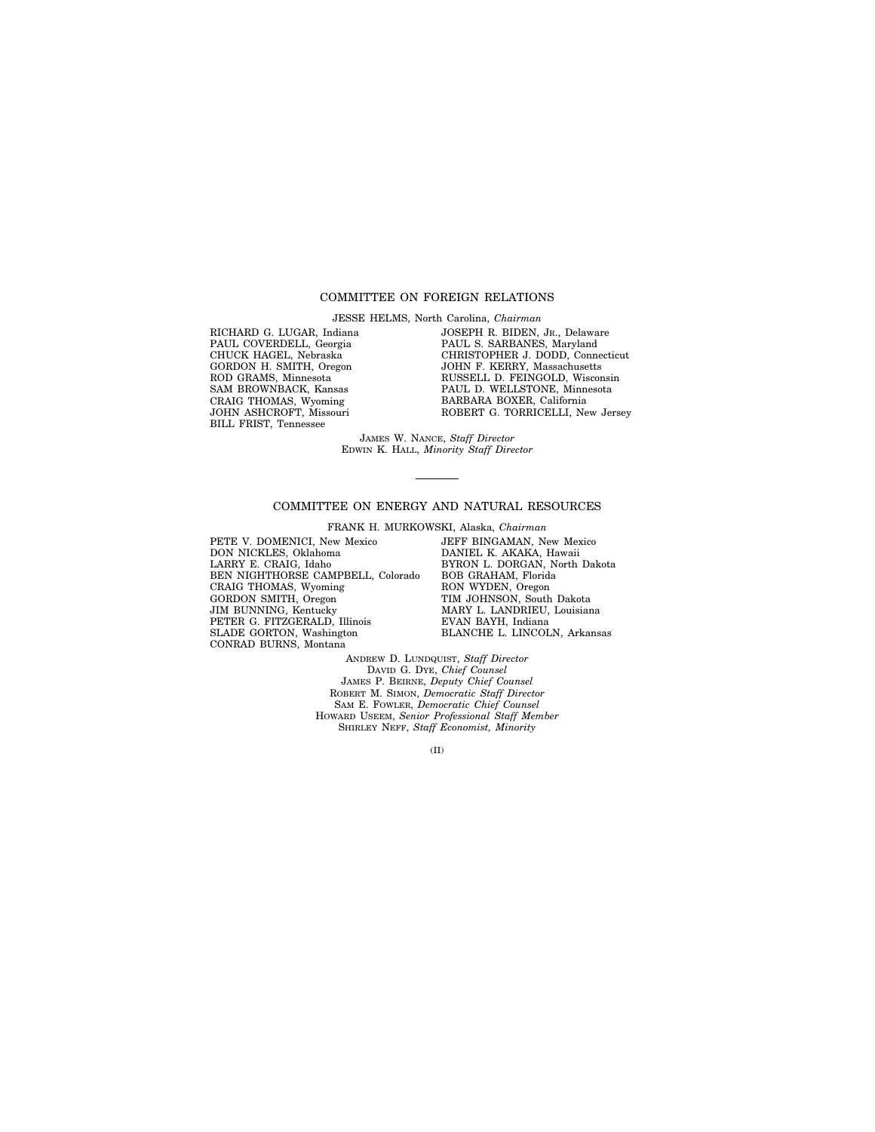#### COMMITTEE ON FOREIGN RELATIONS

JESSE HELMS, North Carolina, *Chairman*

RICHARD G. LUGAR, Indiana PAUL COVERDELL, Georgia CHUCK HAGEL, Nebraska GORDON H. SMITH, Oregon ROD GRAMS, Minnesota SAM BROWNBACK, Kansas CRAIG THOMAS, Wyoming JOHN ASHCROFT, Missouri BILL FRIST, Tennessee

JOSEPH R. BIDEN, JR., Delaware PAUL S. SARBANES, Maryland CHRISTOPHER J. DODD, Connecticut JOHN F. KERRY, Massachusetts RUSSELL D. FEINGOLD, Wisconsin PAUL D. WELLSTONE, Minnesota BARBARA BOXER, California ROBERT G. TORRICELLI, New Jersey

JAMES W. NANCE, *Staff Director* EDWIN K. HALL, *Minority Staff Director*

#### COMMITTEE ON ENERGY AND NATURAL RESOURCES

FRANK H. MURKOWSKI, Alaska, *Chairman*

PETE V. DOMENICI, New Mexico DON NICKLES, Oklahoma LARRY E. CRAIG, Idaho BEN NIGHTHORSE CAMPBELL, Colorado CRAIG THOMAS, Wyoming GORDON SMITH, Oregon JIM BUNNING, Kentucky PETER G. FITZGERALD, Illinois SLADE GORTON, Washington CONRAD BURNS, Montana

JEFF BINGAMAN, New Mexico DANIEL K. AKAKA, Hawaii BYRON L. DORGAN, North Dakota BOB GRAHAM, Florida RON WYDEN, Oregon TIM JOHNSON, South Dakota MARY L. LANDRIEU, Louisiana EVAN BAYH, Indiana BLANCHE L. LINCOLN, Arkansas

ANDREW D. LUNDQUIST, *Staff Director* DAVID G. DYE, *Chief Counsel* JAMES P. BEIRNE, *Deputy Chief Counsel* ROBERT M. SIMON, *Democratic Staff Director* SAM E. FOWLER, *Democratic Chief Counsel* HOWARD USEEM, *Senior Professional Staff Member* SHIRLEY NEFF, *Staff Economist, Minority*

(II)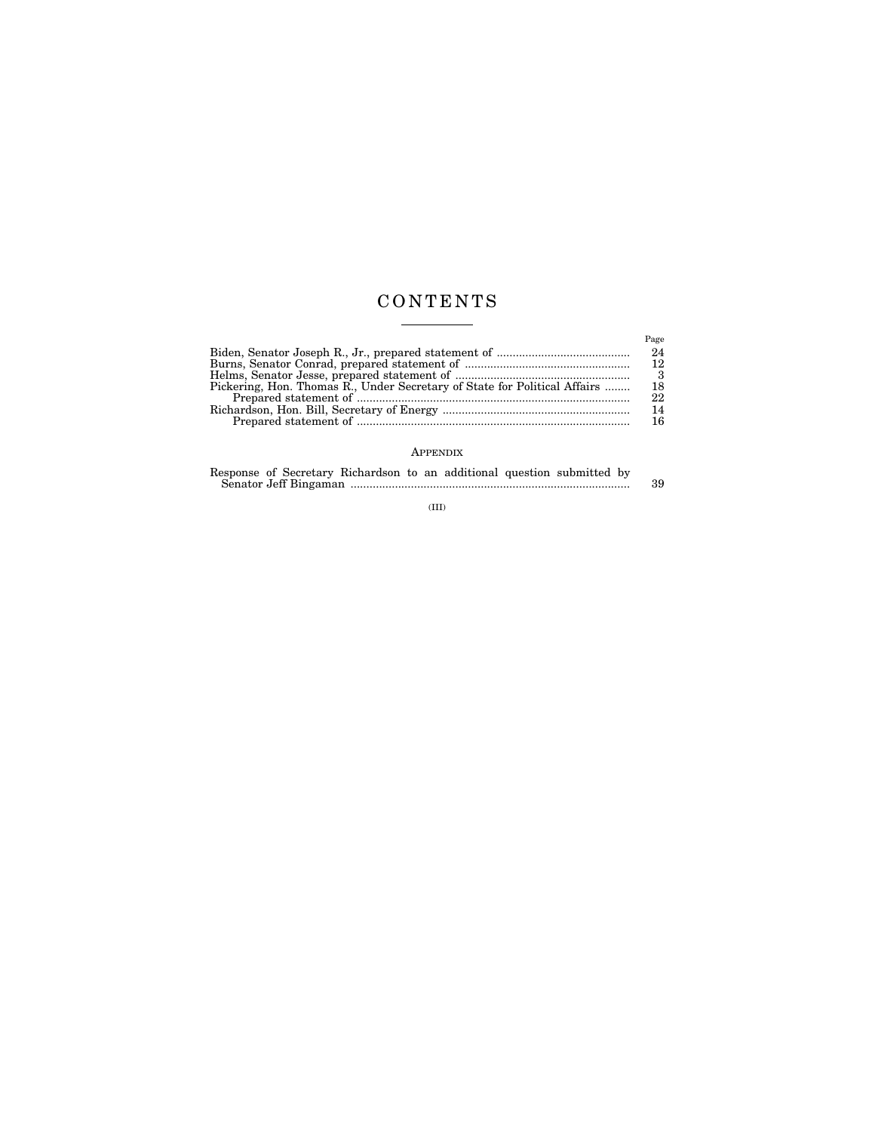## CONTENTS

#### APPENDIX

|  |  |  | Response of Secretary Richardson to an additional question submitted by |  |  |  |  |    |  |
|--|--|--|-------------------------------------------------------------------------|--|--|--|--|----|--|
|  |  |  |                                                                         |  |  |  |  | 39 |  |

 $\rm (III)$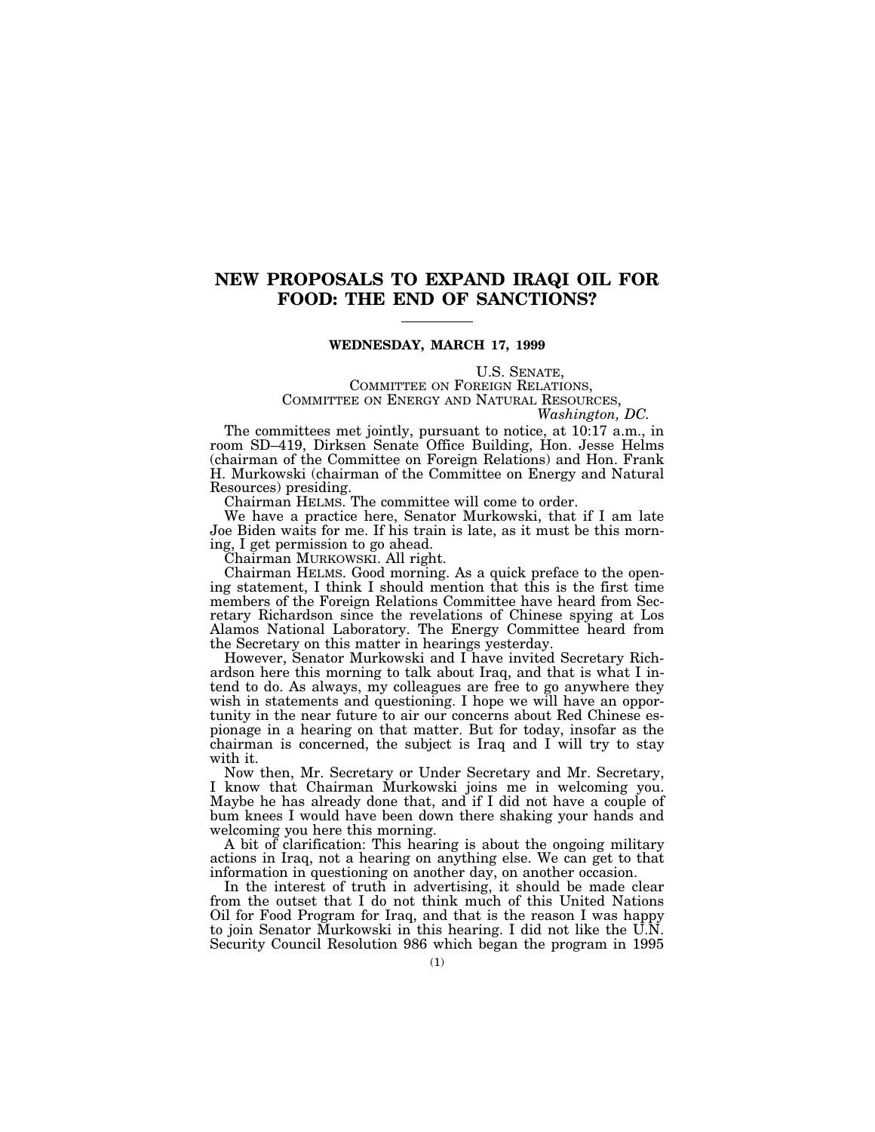### **NEW PROPOSALS TO EXPAND IRAQI OIL FOR FOOD: THE END OF SANCTIONS?**

#### **WEDNESDAY, MARCH 17, 1999**

U.S. SENATE,<br>COMMITTEE ON FOREIGN RELATIONS,<br>COMMITTEE ON ENERGY AND NATURAL RESOURCES,<br>*Washington, DC.* 

The committees met jointly, pursuant to notice, at 10:17 a.m., in room SD–419, Dirksen Senate Office Building, Hon. Jesse Helms (chairman of the Committee on Foreign Relations) and Hon. Frank H. Murkowski (chairman of the Committee on Energy and Natural Resources) presiding.

Chairman HELMS. The committee will come to order.

We have a practice here, Senator Murkowski, that if I am late Joe Biden waits for me. If his train is late, as it must be this morning, I get permission to go ahead.

Chairman MURKOWSKI. All right.

Chairman HELMS. Good morning. As a quick preface to the opening statement, I think I should mention that this is the first time members of the Foreign Relations Committee have heard from Secretary Richardson since the revelations of Chinese spying at Los Alamos National Laboratory. The Energy Committee heard from the Secretary on this matter in hearings yesterday.

However, Senator Murkowski and I have invited Secretary Richardson here this morning to talk about Iraq, and that is what I intend to do. As always, my colleagues are free to go anywhere they wish in statements and questioning. I hope we will have an opportunity in the near future to air our concerns about Red Chinese espionage in a hearing on that matter. But for today, insofar as the chairman is concerned, the subject is Iraq and I will try to stay with it.

Now then, Mr. Secretary or Under Secretary and Mr. Secretary, I know that Chairman Murkowski joins me in welcoming you. Maybe he has already done that, and if I did not have a couple of bum knees I would have been down there shaking your hands and welcoming you here this morning.

A bit of clarification: This hearing is about the ongoing military actions in Iraq, not a hearing on anything else. We can get to that information in questioning on another day, on another occasion.

In the interest of truth in advertising, it should be made clear from the outset that I do not think much of this United Nations Oil for Food Program for Iraq, and that is the reason I was happy to join Senator Murkowski in this hearing. I did not like the U.N. Security Council Resolution 986 which began the program in 1995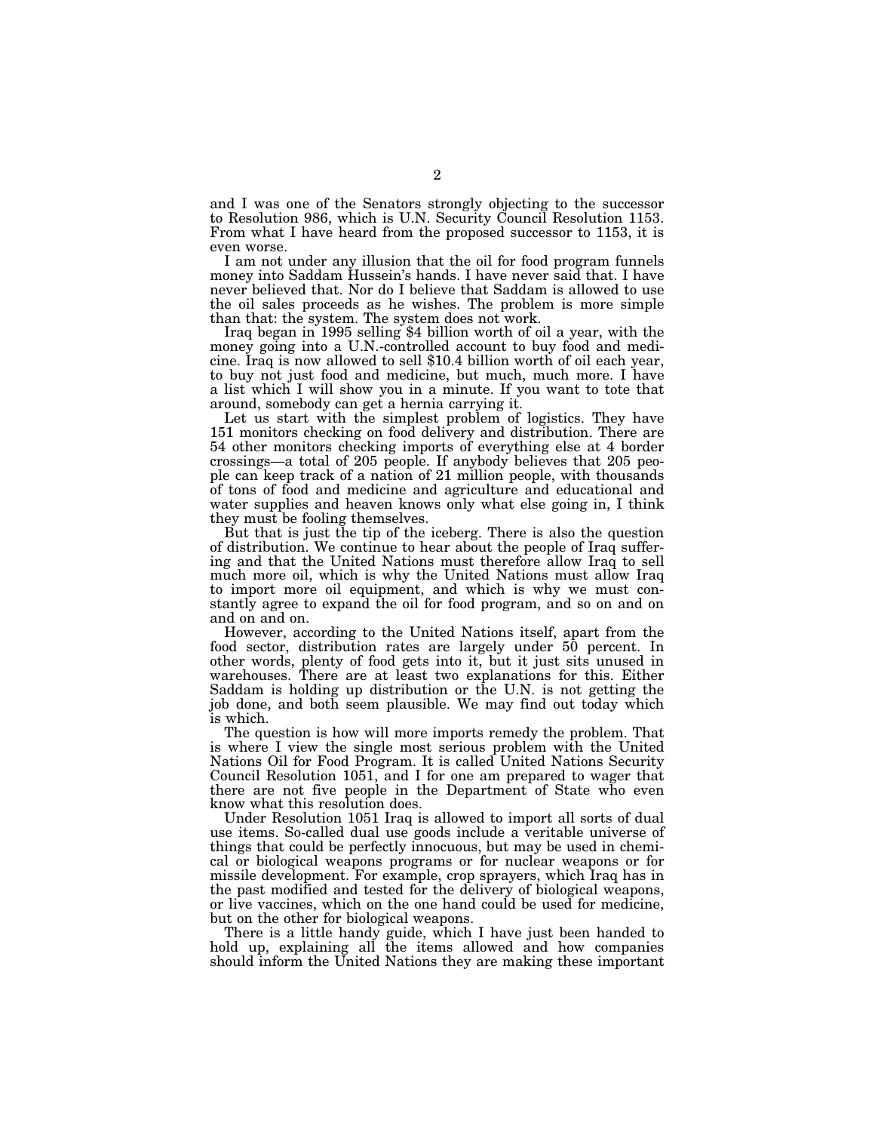and I was one of the Senators strongly objecting to the successor to Resolution 986, which is U.N. Security Council Resolution 1153. From what I have heard from the proposed successor to 1153, it is even worse.

I am not under any illusion that the oil for food program funnels money into Saddam Hussein's hands. I have never said that. I have never believed that. Nor do I believe that Saddam is allowed to use the oil sales proceeds as he wishes. The problem is more simple than that: the system. The system does not work.

Iraq began in 1995 selling \$4 billion worth of oil a year, with the money going into a U.N.-controlled account to buy food and medicine. Iraq is now allowed to sell \$10.4 billion worth of oil each year, to buy not just food and medicine, but much, much more. I have a list which I will show you in a minute. If you want to tote that around, somebody can get a hernia carrying it.

Let us start with the simplest problem of logistics. They have 151 monitors checking on food delivery and distribution. There are 54 other monitors checking imports of everything else at 4 border crossings—a total of 205 people. If anybody believes that 205 people can keep track of a nation of 21 million people, with thousands of tons of food and medicine and agriculture and educational and water supplies and heaven knows only what else going in, I think they must be fooling themselves.

But that is just the tip of the iceberg. There is also the question of distribution. We continue to hear about the people of Iraq suffering and that the United Nations must therefore allow Iraq to sell much more oil, which is why the United Nations must allow Iraq to import more oil equipment, and which is why we must constantly agree to expand the oil for food program, and so on and on and on and on.

However, according to the United Nations itself, apart from the food sector, distribution rates are largely under 50 percent. In other words, plenty of food gets into it, but it just sits unused in warehouses. There are at least two explanations for this. Either Saddam is holding up distribution or the U.N. is not getting the job done, and both seem plausible. We may find out today which is which.

The question is how will more imports remedy the problem. That is where I view the single most serious problem with the United Nations Oil for Food Program. It is called United Nations Security Council Resolution 1051, and I for one am prepared to wager that there are not five people in the Department of State who even know what this resolution does.

Under Resolution 1051 Iraq is allowed to import all sorts of dual use items. So-called dual use goods include a veritable universe of things that could be perfectly innocuous, but may be used in chemical or biological weapons programs or for nuclear weapons or for missile development. For example, crop sprayers, which Iraq has in the past modified and tested for the delivery of biological weapons, or live vaccines, which on the one hand could be used for medicine, but on the other for biological weapons.

There is a little handy guide, which I have just been handed to hold up, explaining all the items allowed and how companies should inform the United Nations they are making these important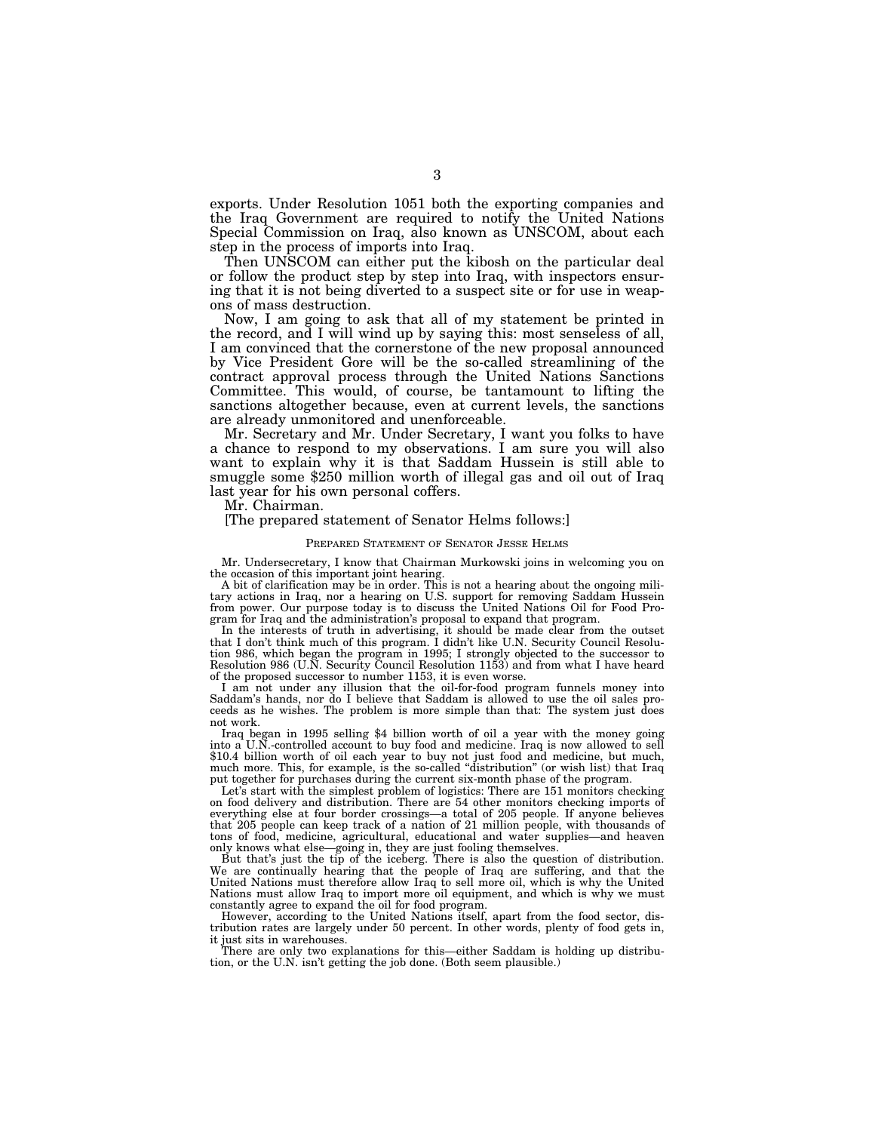exports. Under Resolution 1051 both the exporting companies and the Iraq Government are required to notify the United Nations Special Commission on Iraq, also known as UNSCOM, about each step in the process of imports into Iraq.

Then UNSCOM can either put the kibosh on the particular deal or follow the product step by step into Iraq, with inspectors ensuring that it is not being diverted to a suspect site or for use in weapons of mass destruction.

Now, I am going to ask that all of my statement be printed in the record, and I will wind up by saying this: most senseless of all, I am convinced that the cornerstone of the new proposal announced by Vice President Gore will be the so-called streamlining of the contract approval process through the United Nations Sanctions Committee. This would, of course, be tantamount to lifting the sanctions altogether because, even at current levels, the sanctions are already unmonitored and unenforceable.

Mr. Secretary and Mr. Under Secretary, I want you folks to have a chance to respond to my observations. I am sure you will also want to explain why it is that Saddam Hussein is still able to smuggle some \$250 million worth of illegal gas and oil out of Iraq last year for his own personal coffers.

Mr. Chairman.

#### [The prepared statement of Senator Helms follows:]

#### PREPARED STATEMENT OF SENATOR JESSE HELMS

Mr. Undersecretary, I know that Chairman Murkowski joins in welcoming you on the occasion of this important joint hearing.

A bit of clarification may be in order. This is not a hearing about the ongoing military actions in Iraq, nor a hearing on U.S. support for removing Saddam Hussein from power. Our purpose today is to discuss the United Nations Oil for Food Program for Iraq and the administration's proposal to expand that program.

In the interests of truth in advertising, it should be made clear from the outset that I don't think much of this program. I didn't like U.N. Security Council Resolution 986, which began the program in 1995; I strongly objected to the successor to Resolution 986 (U.N. Security Council Resolution 1153) and from what I have heard of the proposed successor to number 1153, it is even worse.

I am not under any illusion that the oil-for-food program funnels money into Saddam's hands, nor do I believe that Saddam is allowed to use the oil sales proceeds as he wishes. The problem is more simple than that: The system just does not work.

Iraq began in 1995 selling \$4 billion worth of oil a year with the money going into a U.N.-controlled account to buy food and medicine. Iraq is now allowed to sell \$10.4 billion worth of oil each year to buy not just food and medicine, but much, much more. This, for example, is the so-called "distribution" (or wish list) that Iraq put together for purchases during the current six-month phase of the program.

Let's start with the simplest problem of logistics: There are 151 monitors checking on food delivery and distribution. There are 54 other monitors checking imports of everything else at four border crossings—a total of 205 people. If anyone believes that 205 people can keep track of a nation of 21 million people, with thousands of tons of food, medicine, agricultural, educational and water supplies—and heaven only knows what else—going in, they are just fooling themselves.

But that's just the tip of the iceberg. There is also the question of distribution. We are continually hearing that the people of Iraq are suffering, and that the United Nations must therefore allow Iraq to sell more oil, which is why the United Nations must allow Iraq to import more oil equipment, and which is why we must constantly agree to expand the oil for food program.

However, according to the United Nations itself, apart from the food sector, distribution rates are largely under 50 percent. In other words, plenty of food gets in, it just sits in warehouses.

There are only two explanations for this—either Saddam is holding up distribution, or the U.N. isn't getting the job done. (Both seem plausible.)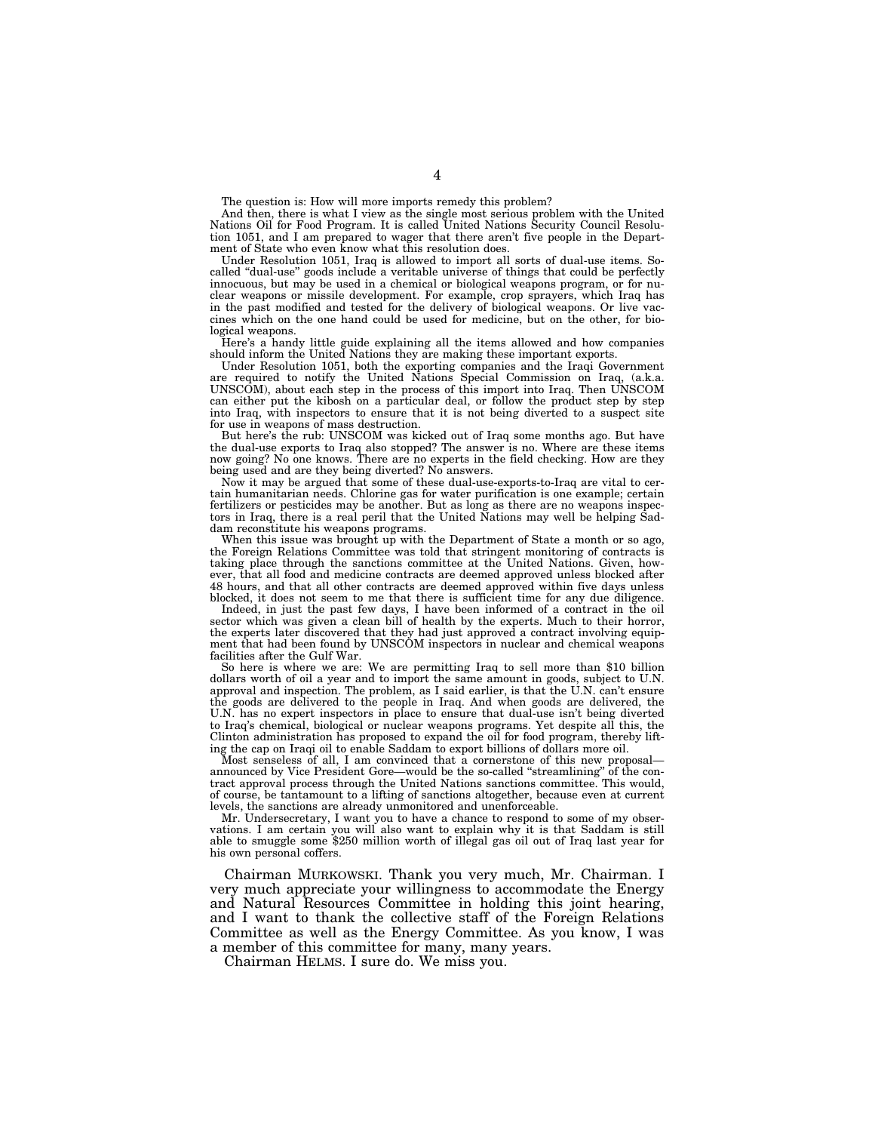The question is: How will more imports remedy this problem?

And then, there is what I view as the single most serious problem with the United Nations Oil for Food Program. It is called United Nations Security Council Resolution 1051, and I am prepared to wager that there aren't five people in the Department of State who even know what this resolution does.

Under Resolution 1051, Iraq is allowed to import all sorts of dual-use items. Socalled "dual-use" goods include a veritable universe of things that could be perfectly innocuous, but may be used in a chemical or biological weapons program, or for nuclear weapons or missile development. For example, crop sprayers, which Iraq has in the past modified and tested for the delivery of biological weapons. Or live vaccines which on the one hand could be used for medicine, but on the other, for biological weapons.

Here's a handy little guide explaining all the items allowed and how companies should inform the United Nations they are making these important exports.

Under Resolution 1051, both the exporting companies and the Iraqi Government are required to notify the United Nations Special Commission on Iraq, (a.k.a. UNSCOM), about each step in the process of this import into Iraq. Then UNSCOM can either put the kibosh on a particular deal, or follow the product step by step into Iraq, with inspectors to ensure that it is not being diverted to a suspect site for use in weapons of mass destruction.

But here's the rub: UNSCOM was kicked out of Iraq some months ago. But have the dual-use exports to Iraq also stopped? The answer is no. Where are these items now going? No one knows. There are no experts in the field checking. How are they being used and are they being diverted? No answers.

Now it may be argued that some of these dual-use-exports-to-Iraq are vital to certain humanitarian needs. Chlorine gas for water purification is one example; certain fertilizers or pesticides may be another. But as long as there are no weapons inspectors in Iraq, there is a real peril that the United Nations may well be helping Saddam reconstitute his weapons programs.

When this issue was brought up with the Department of State a month or so ago, the Foreign Relations Committee was told that stringent monitoring of contracts is taking place through the sanctions committee at the United Nations. Given, however, that all food and medicine contracts are deemed approved unless blocked after 48 hours, and that all other contracts are deemed approved within five days unless blocked, it does not seem to me that there is sufficient time for any due diligence.

Indeed, in just the past few days, I have been informed of a contract in the oil sector which was given a clean bill of health by the experts. Much to their horror, the experts later discovered that they had just approved a contract involving equipment that had been found by UNSCOM inspectors in nuclear and chemical weapons facilities after the Gulf War.

So here is where we are: We are permitting Iraq to sell more than \$10 billion dollars worth of oil a year and to import the same amount in goods, subject to U.N. approval and inspection. The problem, as I said earlier, is that the U.N. can't ensure the goods are delivered to the people in Iraq. And when goods are delivered, the U.N. has no expert inspectors in place to ensure that dual-use isn't being diverted to Iraq's chemical, biological or nuclear weapons programs. Yet despite all this, the Clinton administration has proposed to expand the oil for food program, thereby lifting the cap on Iraqi oil to enable Saddam to export billions of dollars more oil.

Most senseless of all, I am convinced that a cornerstone of this new proposal announced by Vice President Gore—would be the so-called ''streamlining'' of the contract approval process through the United Nations sanctions committee. This would, of course, be tantamount to a lifting of sanctions altogether, because even at current levels, the sanctions are already unmonitored and unenforceable.

Mr. Undersecretary, I want you to have a chance to respond to some of my observations. I am certain you will also want to explain why it is that Saddam is still able to smuggle some \$250 million worth of illegal gas oil out of Iraq last year for his own personal coffers.

Chairman MURKOWSKI. Thank you very much, Mr. Chairman. I very much appreciate your willingness to accommodate the Energy and Natural Resources Committee in holding this joint hearing, and I want to thank the collective staff of the Foreign Relations Committee as well as the Energy Committee. As you know, I was a member of this committee for many, many years.

Chairman HELMS. I sure do. We miss you.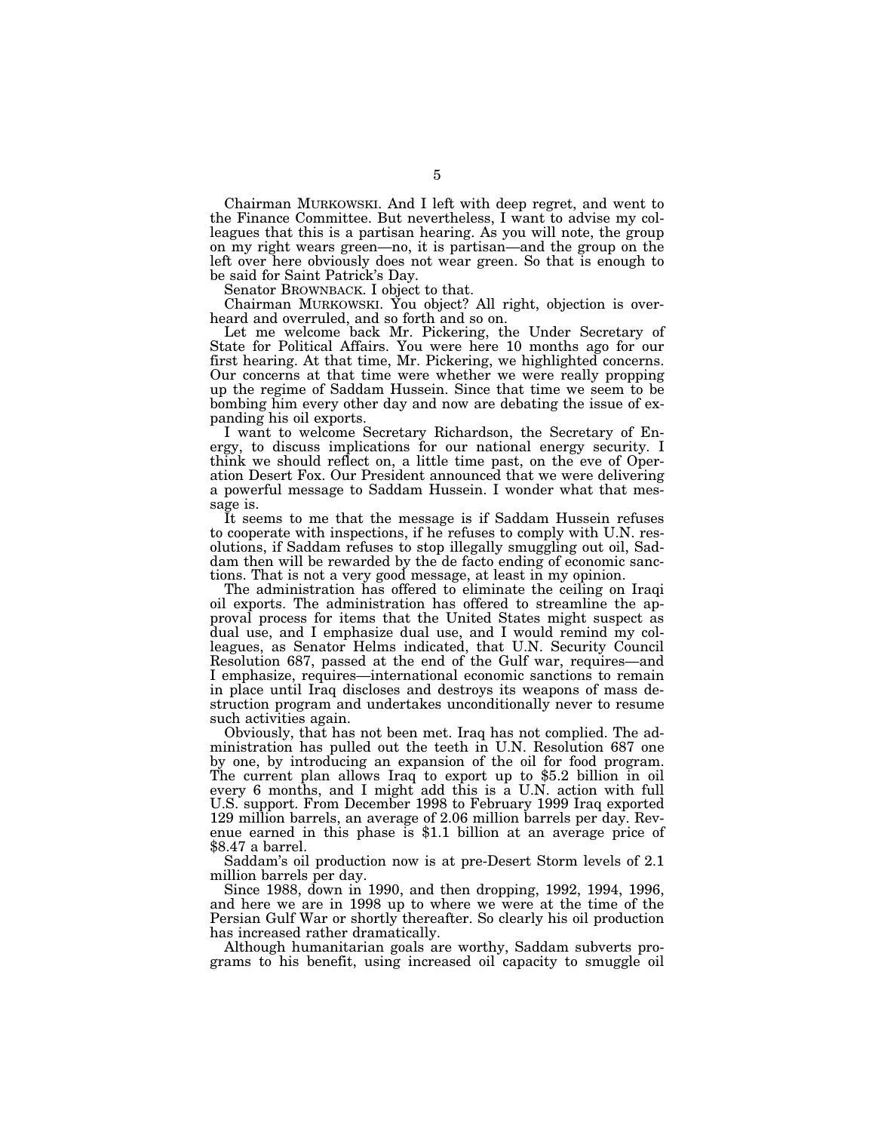Chairman MURKOWSKI. And I left with deep regret, and went to the Finance Committee. But nevertheless, I want to advise my colleagues that this is a partisan hearing. As you will note, the group on my right wears green—no, it is partisan—and the group on the left over here obviously does not wear green. So that is enough to be said for Saint Patrick's Day.

Senator BROWNBACK. I object to that.

Chairman MURKOWSKI. You object? All right, objection is overheard and overruled, and so forth and so on.

Let me welcome back Mr. Pickering, the Under Secretary of State for Political Affairs. You were here 10 months ago for our first hearing. At that time, Mr. Pickering, we highlighted concerns. Our concerns at that time were whether we were really propping up the regime of Saddam Hussein. Since that time we seem to be bombing him every other day and now are debating the issue of expanding his oil exports.

I want to welcome Secretary Richardson, the Secretary of Energy, to discuss implications for our national energy security. I think we should reflect on, a little time past, on the eve of Operation Desert Fox. Our President announced that we were delivering a powerful message to Saddam Hussein. I wonder what that message is.

It seems to me that the message is if Saddam Hussein refuses to cooperate with inspections, if he refuses to comply with U.N. resolutions, if Saddam refuses to stop illegally smuggling out oil, Saddam then will be rewarded by the de facto ending of economic sanctions. That is not a very good message, at least in my opinion.

The administration has offered to eliminate the ceiling on Iraqi oil exports. The administration has offered to streamline the approval process for items that the United States might suspect as dual use, and I emphasize dual use, and I would remind my colleagues, as Senator Helms indicated, that U.N. Security Council Resolution 687, passed at the end of the Gulf war, requires—and I emphasize, requires—international economic sanctions to remain in place until Iraq discloses and destroys its weapons of mass destruction program and undertakes unconditionally never to resume such activities again.

Obviously, that has not been met. Iraq has not complied. The administration has pulled out the teeth in U.N. Resolution 687 one by one, by introducing an expansion of the oil for food program. The current plan allows Iraq to export up to \$5.2 billion in oil every 6 months, and I might add this is a U.N. action with full U.S. support. From December 1998 to February 1999 Iraq exported 129 million barrels, an average of 2.06 million barrels per day. Revenue earned in this phase is \$1.1 billion at an average price of \$8.47 a barrel.

Saddam's oil production now is at pre-Desert Storm levels of 2.1 million barrels per day.

Since 1988, down in 1990, and then dropping, 1992, 1994, 1996, and here we are in 1998 up to where we were at the time of the Persian Gulf War or shortly thereafter. So clearly his oil production has increased rather dramatically.

Although humanitarian goals are worthy, Saddam subverts programs to his benefit, using increased oil capacity to smuggle oil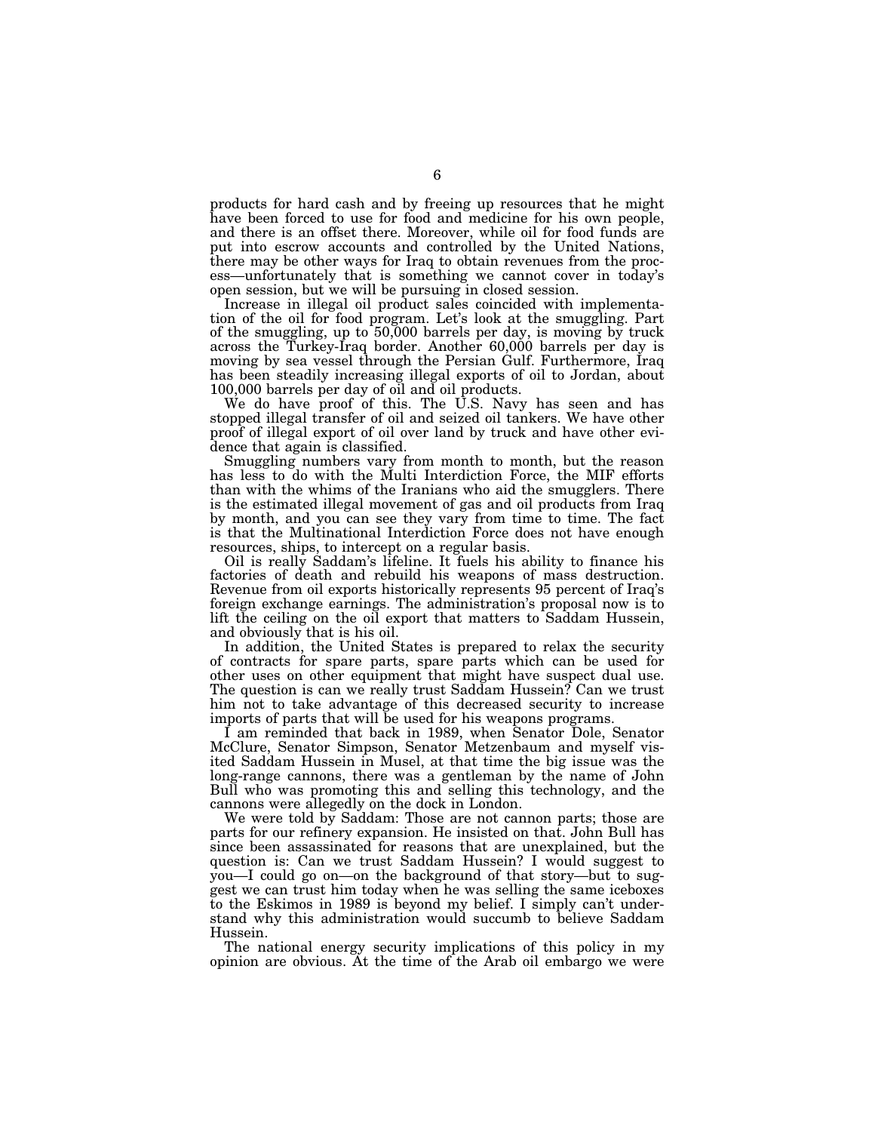products for hard cash and by freeing up resources that he might have been forced to use for food and medicine for his own people, and there is an offset there. Moreover, while oil for food funds are put into escrow accounts and controlled by the United Nations, there may be other ways for Iraq to obtain revenues from the process—unfortunately that is something we cannot cover in today's open session, but we will be pursuing in closed session.

Increase in illegal oil product sales coincided with implementation of the oil for food program. Let's look at the smuggling. Part of the smuggling, up to 50,000 barrels per day, is moving by truck across the Turkey-Iraq border. Another 60,000 barrels per day is moving by sea vessel through the Persian Gulf. Furthermore, Iraq has been steadily increasing illegal exports of oil to Jordan, about 100,000 barrels per day of oil and oil products.

We do have proof of this. The U.S. Navy has seen and has stopped illegal transfer of oil and seized oil tankers. We have other proof of illegal export of oil over land by truck and have other evidence that again is classified.

Smuggling numbers vary from month to month, but the reason has less to do with the Multi Interdiction Force, the MIF efforts than with the whims of the Iranians who aid the smugglers. There is the estimated illegal movement of gas and oil products from Iraq by month, and you can see they vary from time to time. The fact is that the Multinational Interdiction Force does not have enough resources, ships, to intercept on a regular basis.

Oil is really Saddam's lifeline. It fuels his ability to finance his factories of death and rebuild his weapons of mass destruction. Revenue from oil exports historically represents 95 percent of Iraq's foreign exchange earnings. The administration's proposal now is to lift the ceiling on the oil export that matters to Saddam Hussein, and obviously that is his oil.

In addition, the United States is prepared to relax the security of contracts for spare parts, spare parts which can be used for other uses on other equipment that might have suspect dual use. The question is can we really trust Saddam Hussein? Can we trust him not to take advantage of this decreased security to increase imports of parts that will be used for his weapons programs.

I am reminded that back in 1989, when Senator Dole, Senator McClure, Senator Simpson, Senator Metzenbaum and myself visited Saddam Hussein in Musel, at that time the big issue was the long-range cannons, there was a gentleman by the name of John Bull who was promoting this and selling this technology, and the cannons were allegedly on the dock in London.

We were told by Saddam: Those are not cannon parts; those are parts for our refinery expansion. He insisted on that. John Bull has since been assassinated for reasons that are unexplained, but the question is: Can we trust Saddam Hussein? I would suggest to you—I could go on—on the background of that story—but to suggest we can trust him today when he was selling the same iceboxes to the Eskimos in 1989 is beyond my belief. I simply can't understand why this administration would succumb to believe Saddam Hussein.

The national energy security implications of this policy in my opinion are obvious. At the time of the Arab oil embargo we were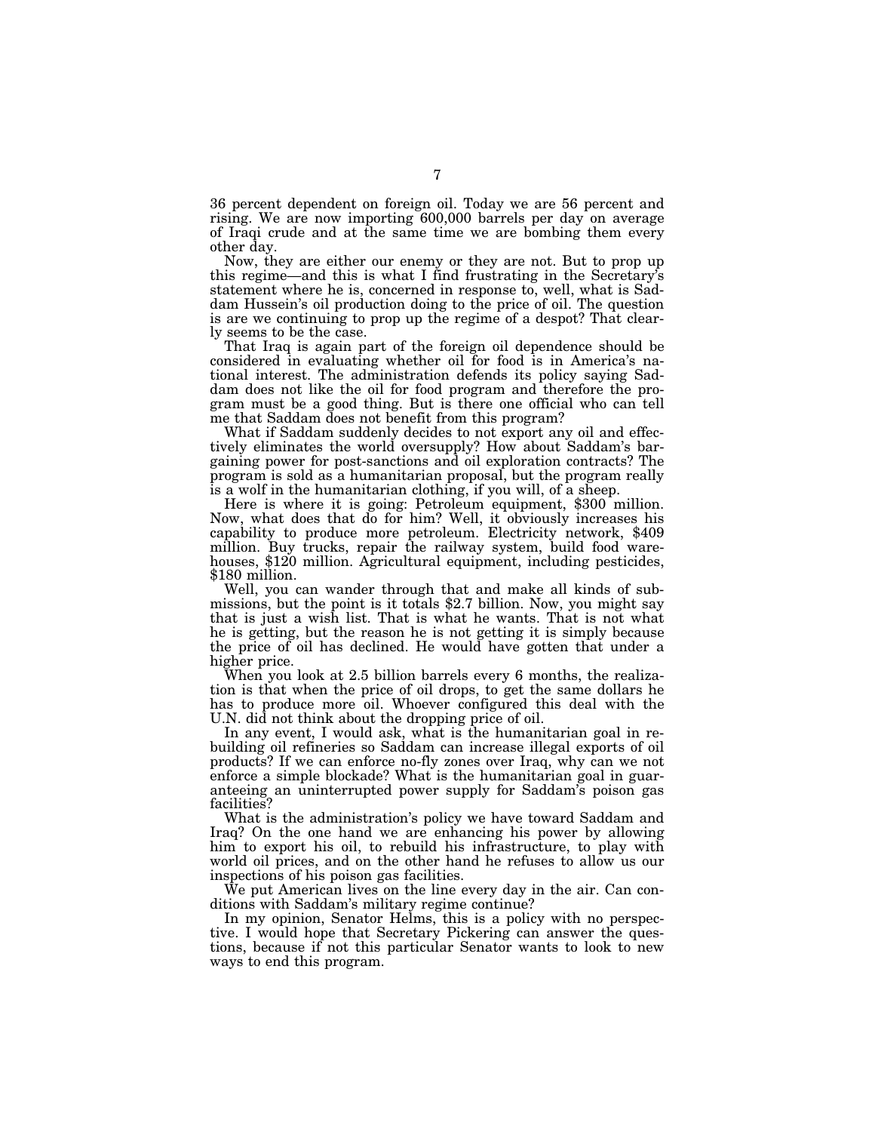36 percent dependent on foreign oil. Today we are 56 percent and rising. We are now importing 600,000 barrels per day on average of Iraqi crude and at the same time we are bombing them every other day.

Now, they are either our enemy or they are not. But to prop up this regime—and this is what I find frustrating in the Secretary's statement where he is, concerned in response to, well, what is Saddam Hussein's oil production doing to the price of oil. The question is are we continuing to prop up the regime of a despot? That clearly seems to be the case.

That Iraq is again part of the foreign oil dependence should be considered in evaluating whether oil for food is in America's national interest. The administration defends its policy saying Saddam does not like the oil for food program and therefore the program must be a good thing. But is there one official who can tell me that Saddam does not benefit from this program?

What if Saddam suddenly decides to not export any oil and effectively eliminates the world oversupply? How about Saddam's bargaining power for post-sanctions and oil exploration contracts? The program is sold as a humanitarian proposal, but the program really

is a wolf in the humanitarian clothing, if you will, of a sheep. Here is where it is going: Petroleum equipment, \$300 million. Now, what does that do for him? Well, it obviously increases his capability to produce more petroleum. Electricity network, \$409 million. Buy trucks, repair the railway system, build food warehouses, \$120 million. Agricultural equipment, including pesticides, \$180 million.

missions, but the point is it totals \$2.7 billion. Now, you might say that is just a wish list. That is what he wants. That is not what he is getting, but the reason he is not getting it is simply because the price of oil has declined. He would have gotten that under a higher price.

When you look at 2.5 billion barrels every 6 months, the realization is that when the price of oil drops, to get the same dollars he has to produce more oil. Whoever configured this deal with the U.N. did not think about the dropping price of oil.

In any event, I would ask, what is the humanitarian goal in rebuilding oil refineries so Saddam can increase illegal exports of oil products? If we can enforce no-fly zones over Iraq, why can we not enforce a simple blockade? What is the humanitarian goal in guaranteeing an uninterrupted power supply for Saddam's poison gas facilities?

What is the administration's policy we have toward Saddam and Iraq? On the one hand we are enhancing his power by allowing him to export his oil, to rebuild his infrastructure, to play with world oil prices, and on the other hand he refuses to allow us our inspections of his poison gas facilities.

We put American lives on the line every day in the air. Can conditions with Saddam's military regime continue?

In my opinion, Senator Helms, this is a policy with no perspective. I would hope that Secretary Pickering can answer the questions, because if not this particular Senator wants to look to new ways to end this program.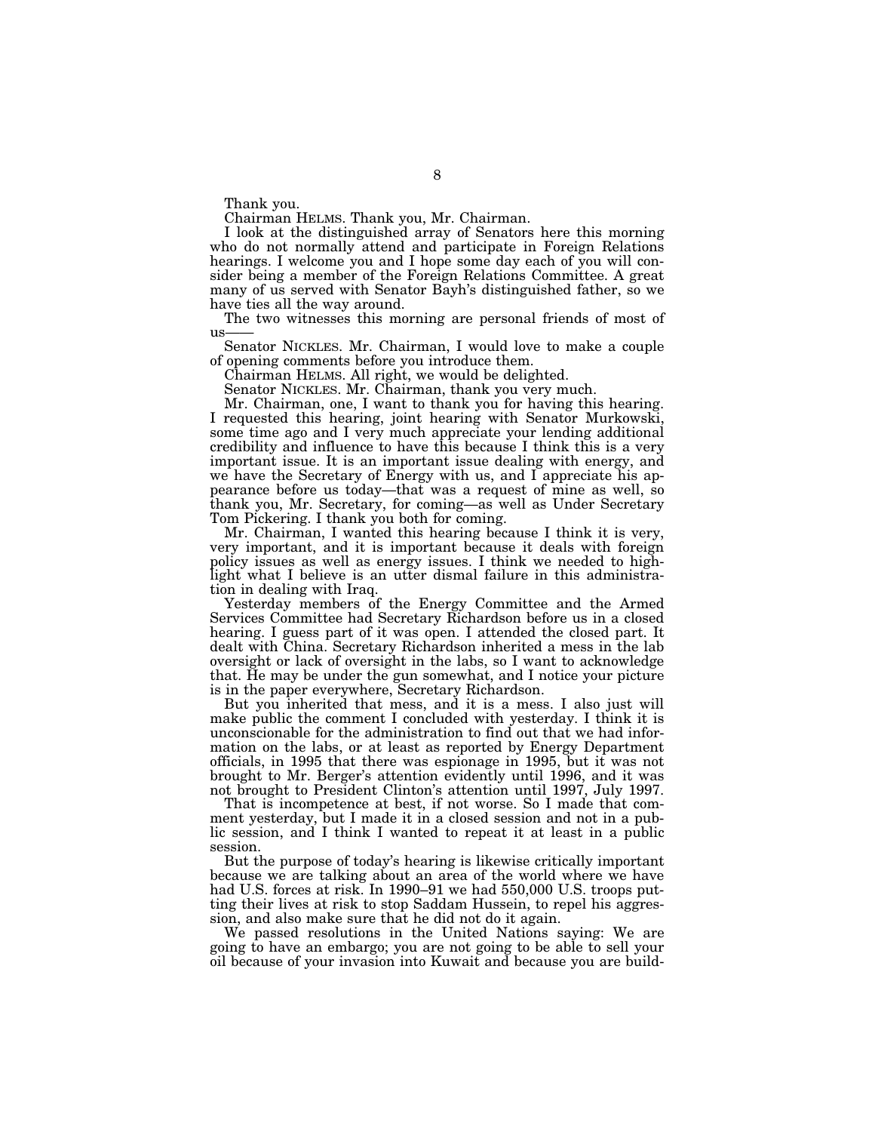Thank you.

Chairman HELMS. Thank you, Mr. Chairman.

I look at the distinguished array of Senators here this morning who do not normally attend and participate in Foreign Relations hearings. I welcome you and I hope some day each of you will consider being a member of the Foreign Relations Committee. A great many of us served with Senator Bayh's distinguished father, so we have ties all the way around.

The two witnesses this morning are personal friends of most of us

Senator NICKLES. Mr. Chairman, I would love to make a couple of opening comments before you introduce them.

Chairman HELMS. All right, we would be delighted.

Senator NICKLES. Mr. Chairman, thank you very much.

Mr. Chairman, one, I want to thank you for having this hearing. I requested this hearing, joint hearing with Senator Murkowski, some time ago and I very much appreciate your lending additional credibility and influence to have this because I think this is a very important issue. It is an important issue dealing with energy, and we have the Secretary of Energy with us, and I appreciate his appearance before us today—that was a request of mine as well, so thank you, Mr. Secretary, for coming—as well as Under Secretary Tom Pickering. I thank you both for coming.

Mr. Chairman, I wanted this hearing because I think it is very, very important, and it is important because it deals with foreign policy issues as well as energy issues. I think we needed to highlight what I believe is an utter dismal failure in this administration in dealing with Iraq.

Yesterday members of the Energy Committee and the Armed Services Committee had Secretary Richardson before us in a closed hearing. I guess part of it was open. I attended the closed part. It dealt with China. Secretary Richardson inherited a mess in the lab oversight or lack of oversight in the labs, so I want to acknowledge that. He may be under the gun somewhat, and I notice your picture is in the paper everywhere, Secretary Richardson.

But you inherited that mess, and it is a mess. I also just will make public the comment I concluded with yesterday. I think it is unconscionable for the administration to find out that we had information on the labs, or at least as reported by Energy Department officials, in 1995 that there was espionage in 1995, but it was not brought to Mr. Berger's attention evidently until 1996, and it was not brought to President Clinton's attention until 1997, July 1997.

That is incompetence at best, if not worse. So I made that comment yesterday, but I made it in a closed session and not in a public session, and I think I wanted to repeat it at least in a public session.

But the purpose of today's hearing is likewise critically important because we are talking about an area of the world where we have had U.S. forces at risk. In 1990–91 we had 550,000 U.S. troops putting their lives at risk to stop Saddam Hussein, to repel his aggression, and also make sure that he did not do it again.

We passed resolutions in the United Nations saying: We are going to have an embargo; you are not going to be able to sell your oil because of your invasion into Kuwait and because you are build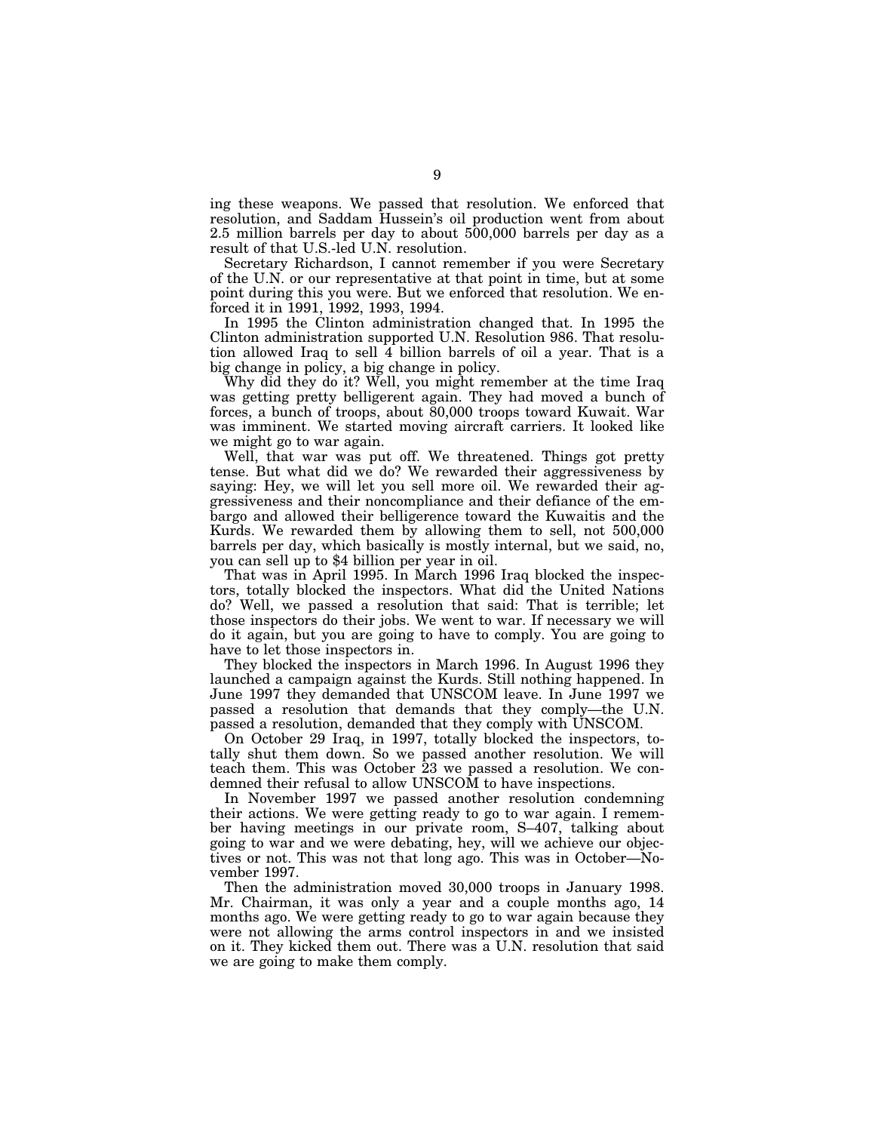ing these weapons. We passed that resolution. We enforced that resolution, and Saddam Hussein's oil production went from about 2.5 million barrels per day to about 500,000 barrels per day as a result of that U.S.-led U.N. resolution.

Secretary Richardson, I cannot remember if you were Secretary of the U.N. or our representative at that point in time, but at some point during this you were. But we enforced that resolution. We enforced it in 1991, 1992, 1993, 1994.

In 1995 the Clinton administration changed that. In 1995 the Clinton administration supported U.N. Resolution 986. That resolution allowed Iraq to sell  $\overline{4}$  billion barrels of oil a year. That is a big change in policy, a big change in policy.

Why did they do it? Well, you might remember at the time Iraq was getting pretty belligerent again. They had moved a bunch of forces, a bunch of troops, about 80,000 troops toward Kuwait. War was imminent. We started moving aircraft carriers. It looked like we might go to war again.

Well, that war was put off. We threatened. Things got pretty tense. But what did we do? We rewarded their aggressiveness by saying: Hey, we will let you sell more oil. We rewarded their aggressiveness and their noncompliance and their defiance of the embargo and allowed their belligerence toward the Kuwaitis and the Kurds. We rewarded them by allowing them to sell, not 500,000 barrels per day, which basically is mostly internal, but we said, no, you can sell up to \$4 billion per year in oil.

That was in April 1995. In March 1996 Iraq blocked the inspectors, totally blocked the inspectors. What did the United Nations do? Well, we passed a resolution that said: That is terrible; let those inspectors do their jobs. We went to war. If necessary we will do it again, but you are going to have to comply. You are going to have to let those inspectors in.

They blocked the inspectors in March 1996. In August 1996 they launched a campaign against the Kurds. Still nothing happened. In June 1997 they demanded that UNSCOM leave. In June 1997 we passed a resolution that demands that they comply—the U.N. passed a resolution, demanded that they comply with UNSCOM.

On October 29 Iraq, in 1997, totally blocked the inspectors, totally shut them down. So we passed another resolution. We will teach them. This was October 23 we passed a resolution. We condemned their refusal to allow UNSCOM to have inspections.

In November 1997 we passed another resolution condemning their actions. We were getting ready to go to war again. I remember having meetings in our private room, S–407, talking about going to war and we were debating, hey, will we achieve our objectives or not. This was not that long ago. This was in October—November 1997.

Then the administration moved 30,000 troops in January 1998. Mr. Chairman, it was only a year and a couple months ago, 14 months ago. We were getting ready to go to war again because they were not allowing the arms control inspectors in and we insisted on it. They kicked them out. There was a U.N. resolution that said we are going to make them comply.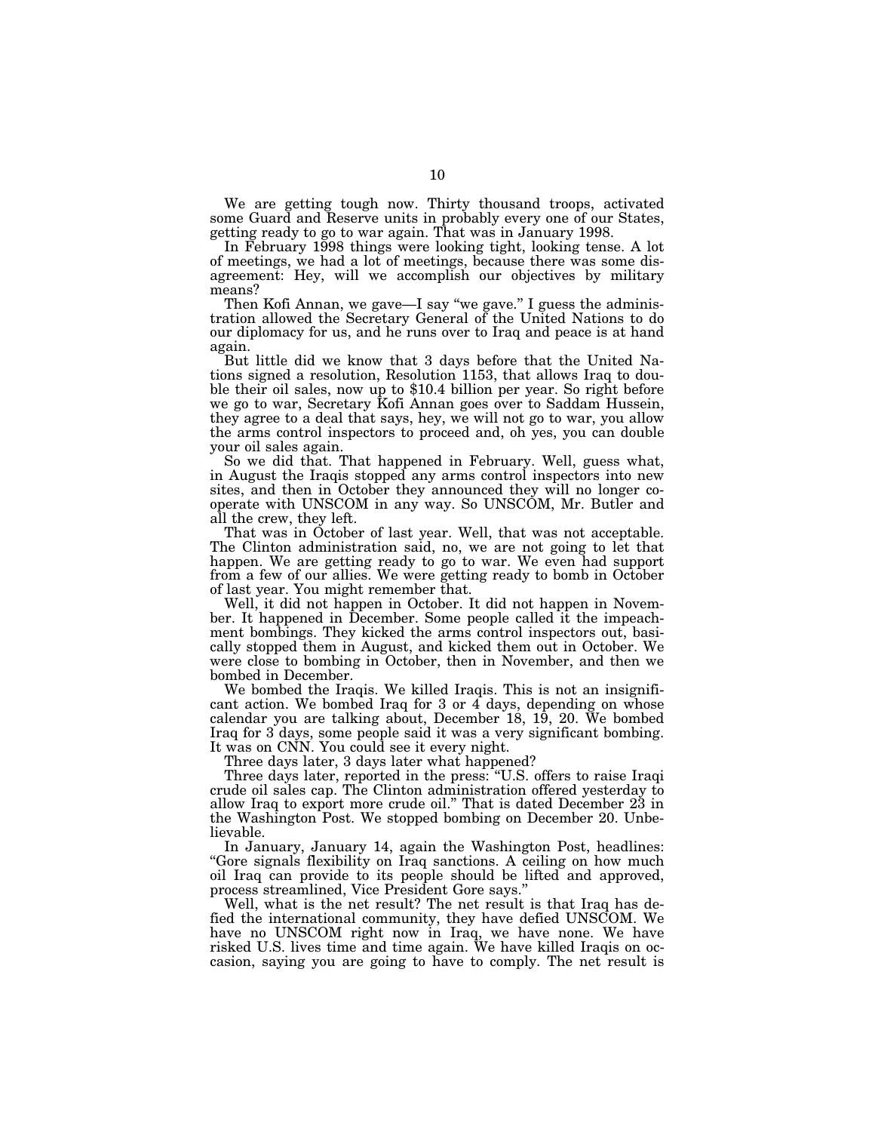We are getting tough now. Thirty thousand troops, activated some Guard and Reserve units in probably every one of our States, getting ready to go to war again. That was in January 1998.

In February 1998 things were looking tight, looking tense. A lot of meetings, we had a lot of meetings, because there was some disagreement: Hey, will we accomplish our objectives by military means?

Then Kofi Annan, we gave—I say "we gave." I guess the administration allowed the Secretary General of the United Nations to do our diplomacy for us, and he runs over to Iraq and peace is at hand again.

But little did we know that 3 days before that the United Nations signed a resolution, Resolution 1153, that allows Iraq to double their oil sales, now up to \$10.4 billion per year. So right before we go to war, Secretary Kofi Annan goes over to Saddam Hussein, they agree to a deal that says, hey, we will not go to war, you allow the arms control inspectors to proceed and, oh yes, you can double your oil sales again.

So we did that. That happened in February. Well, guess what, in August the Iraqis stopped any arms control inspectors into new sites, and then in October they announced they will no longer cooperate with UNSCOM in any way. So UNSCOM, Mr. Butler and all the crew, they left.

That was in October of last year. Well, that was not acceptable. The Clinton administration said, no, we are not going to let that happen. We are getting ready to go to war. We even had support from a few of our allies. We were getting ready to bomb in October of last year. You might remember that.

Well, it did not happen in October. It did not happen in November. It happened in December. Some people called it the impeachment bombings. They kicked the arms control inspectors out, basically stopped them in August, and kicked them out in October. We were close to bombing in October, then in November, and then we bombed in December.

We bombed the Iraqis. We killed Iraqis. This is not an insignificant action. We bombed Iraq for 3 or 4 days, depending on whose calendar you are talking about, December 18, 19, 20. We bombed Iraq for 3 days, some people said it was a very significant bombing. It was on CNN. You could see it every night.

Three days later, 3 days later what happened?

Three days later, reported in the press: ''U.S. offers to raise Iraqi crude oil sales cap. The Clinton administration offered yesterday to allow Iraq to export more crude oil." That is dated December 23 in the Washington Post. We stopped bombing on December 20. Unbelievable.

In January, January 14, again the Washington Post, headlines: ''Gore signals flexibility on Iraq sanctions. A ceiling on how much oil Iraq can provide to its people should be lifted and approved, process streamlined, Vice President Gore says.''

Well, what is the net result? The net result is that Iraq has defied the international community, they have defied UNSCOM. We have no UNSCOM right now in Iraq, we have none. We have risked U.S. lives time and time again. We have killed Iraqis on occasion, saying you are going to have to comply. The net result is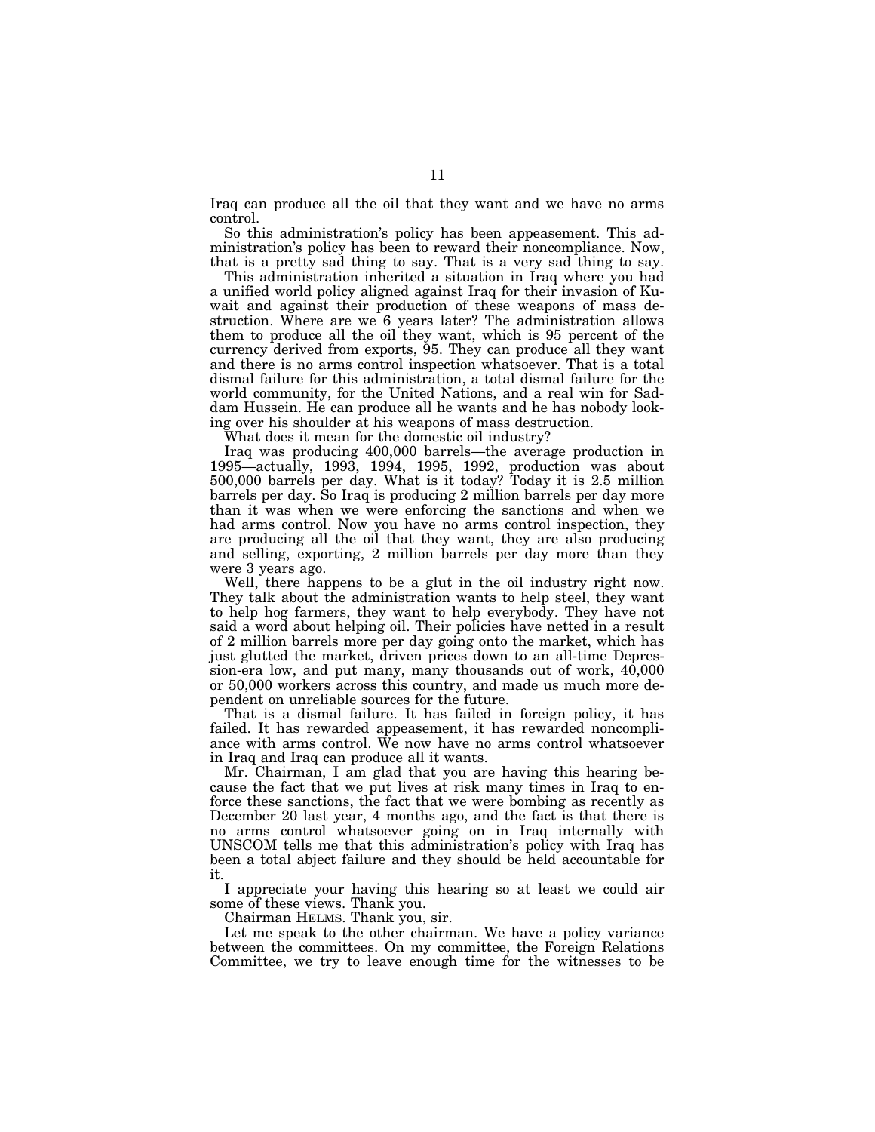Iraq can produce all the oil that they want and we have no arms control.

So this administration's policy has been appeasement. This administration's policy has been to reward their noncompliance. Now, that is a pretty sad thing to say. That is a very sad thing to say.

This administration inherited a situation in Iraq where you had a unified world policy aligned against Iraq for their invasion of Kuwait and against their production of these weapons of mass destruction. Where are we 6 years later? The administration allows them to produce all the oil they want, which is 95 percent of the currency derived from exports, 95. They can produce all they want and there is no arms control inspection whatsoever. That is a total dismal failure for this administration, a total dismal failure for the world community, for the United Nations, and a real win for Saddam Hussein. He can produce all he wants and he has nobody looking over his shoulder at his weapons of mass destruction.

What does it mean for the domestic oil industry?

Iraq was producing 400,000 barrels—the average production in 1995—actually, 1993, 1994, 1995, 1992, production was about 500,000 barrels per day. What is it today? Today it is 2.5 million barrels per day. So Iraq is producing 2 million barrels per day more than it was when we were enforcing the sanctions and when we had arms control. Now you have no arms control inspection, they are producing all the oil that they want, they are also producing and selling, exporting, 2 million barrels per day more than they were 3 years ago.

Well, there happens to be a glut in the oil industry right now. They talk about the administration wants to help steel, they want to help hog farmers, they want to help everybody. They have not said a word about helping oil. Their policies have netted in a result of 2 million barrels more per day going onto the market, which has just glutted the market, driven prices down to an all-time Depression-era low, and put many, many thousands out of work, 40,000 or 50,000 workers across this country, and made us much more dependent on unreliable sources for the future.

That is a dismal failure. It has failed in foreign policy, it has failed. It has rewarded appeasement, it has rewarded noncompliance with arms control. We now have no arms control whatsoever in Iraq and Iraq can produce all it wants.

Mr. Chairman, I am glad that you are having this hearing because the fact that we put lives at risk many times in Iraq to enforce these sanctions, the fact that we were bombing as recently as December 20 last year, 4 months ago, and the fact is that there is no arms control whatsoever going on in Iraq internally with UNSCOM tells me that this administration's policy with Iraq has been a total abject failure and they should be held accountable for it.

I appreciate your having this hearing so at least we could air some of these views. Thank you.

Chairman HELMS. Thank you, sir.

Let me speak to the other chairman. We have a policy variance between the committees. On my committee, the Foreign Relations Committee, we try to leave enough time for the witnesses to be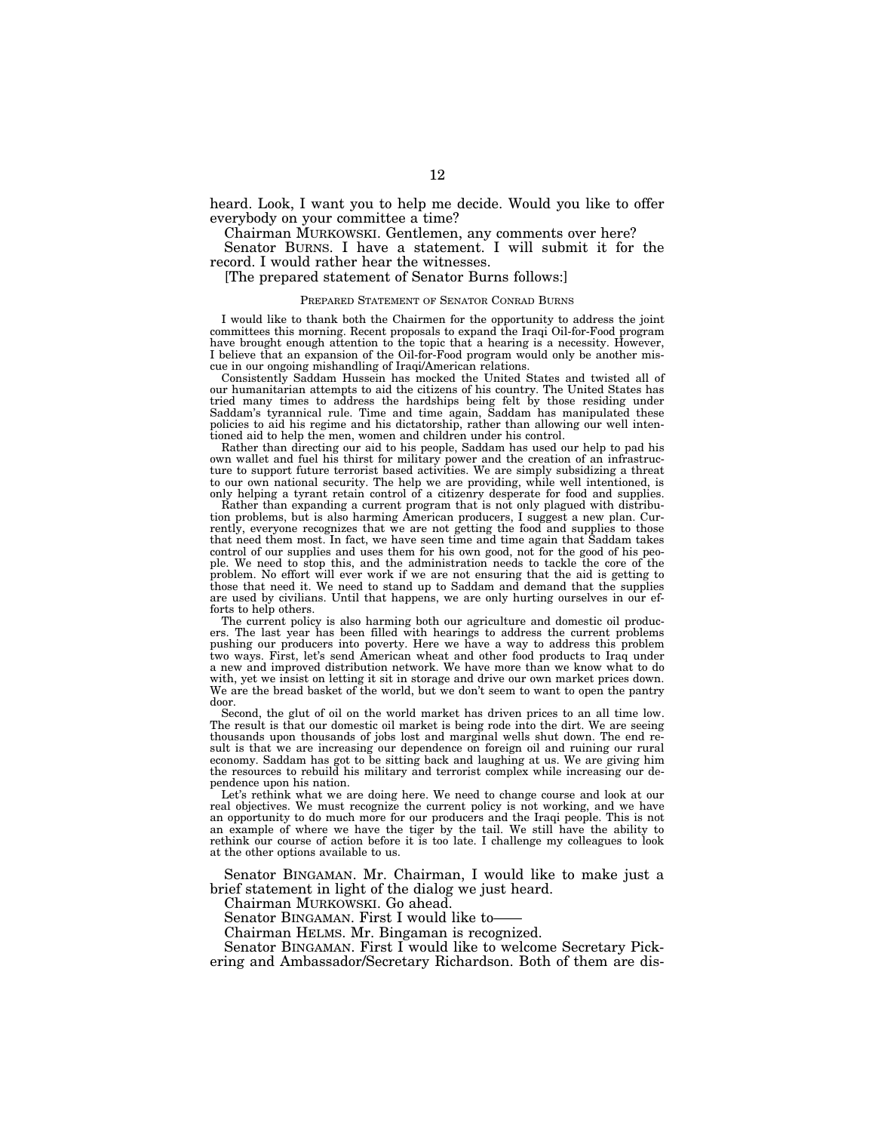heard. Look, I want you to help me decide. Would you like to offer everybody on your committee a time?

Chairman MURKOWSKI. Gentlemen, any comments over here?

Senator BURNS. I have a statement. I will submit it for the record. I would rather hear the witnesses.

[The prepared statement of Senator Burns follows:]

#### PREPARED STATEMENT OF SENATOR CONRAD BURNS

I would like to thank both the Chairmen for the opportunity to address the joint committees this morning. Recent proposals to expand the Iraqi Oil-for-Food program have brought enough attention to the topic that a hearing is a necessity. However, I believe that an expansion of the Oil-for-Food program would only be another miscue in our ongoing mishandling of Iraqi/American relations.

Consistently Saddam Hussein has mocked the United States and twisted all of our humanitarian attempts to aid the citizens of his country. The United States has tried many times to address the hardships being felt by those residing under Saddam's tyrannical rule. Time and time again, Saddam has manipulated these policies to aid his regime and his dictatorship, rather than allowing our well intentioned aid to help the men, women and children under his control.

Rather than directing our aid to his people, Saddam has used our help to pad his own wallet and fuel his thirst for military power and the creation of an infrastructure to support future terrorist based activities. We are simply subsidizing a threat to our own national security. The help we are providing, while well intentioned, is only helping a tyrant retain control of a citizenry desperate for food and supplies.

Rather than expanding a current program that is not only plagued with distribution problems, but is also harming American producers, I suggest a new plan. Currently, everyone recognizes that we are not getting the food and supplies to those that need them most. In fact, we have seen time and time again that Saddam takes control of our supplies and uses them for his own good, not for the good of his people. We need to stop this, and the administration needs to tackle the core of the problem. No effort will ever work if we are not ensuring that the aid is getting to those that need it. We need to stand up to Saddam and demand that the supplies are used by civilians. Until that happens, we are only hurting ourselves in our efforts to help others.

The current policy is also harming both our agriculture and domestic oil producers. The last year has been filled with hearings to address the current problems pushing our producers into poverty. Here we have a way to address this problem two ways. First, let's send American wheat and other food products to Iraq under a new and improved distribution network. We have more than we know what to do with, yet we insist on letting it sit in storage and drive our own market prices down. We are the bread basket of the world, but we don't seem to want to open the pantry door.

Second, the glut of oil on the world market has driven prices to an all time low. The result is that our domestic oil market is being rode into the dirt. We are seeing thousands upon thousands of jobs lost and marginal wells shut down. The end result is that we are increasing our dependence on foreign oil and ruining our rural economy. Saddam has got to be sitting back and laughing at us. We are giving him the resources to rebuild his military and terrorist complex while increasing our dependence upon his nation.

Let's rethink what we are doing here. We need to change course and look at our real objectives. We must recognize the current policy is not working, and we have an opportunity to do much more for our producers and the Iraqi people. This is not an example of where we have the tiger by the tail. We still have the ability to rethink our course of action before it is too late. I challenge my colleagues to look at the other options available to us.

Senator BINGAMAN. Mr. Chairman, I would like to make just a brief statement in light of the dialog we just heard.

Chairman MURKOWSKI. Go ahead.

Senator BINGAMAN. First I would like to——

Chairman HELMS. Mr. Bingaman is recognized.

Senator BINGAMAN. First I would like to welcome Secretary Pickering and Ambassador/Secretary Richardson. Both of them are dis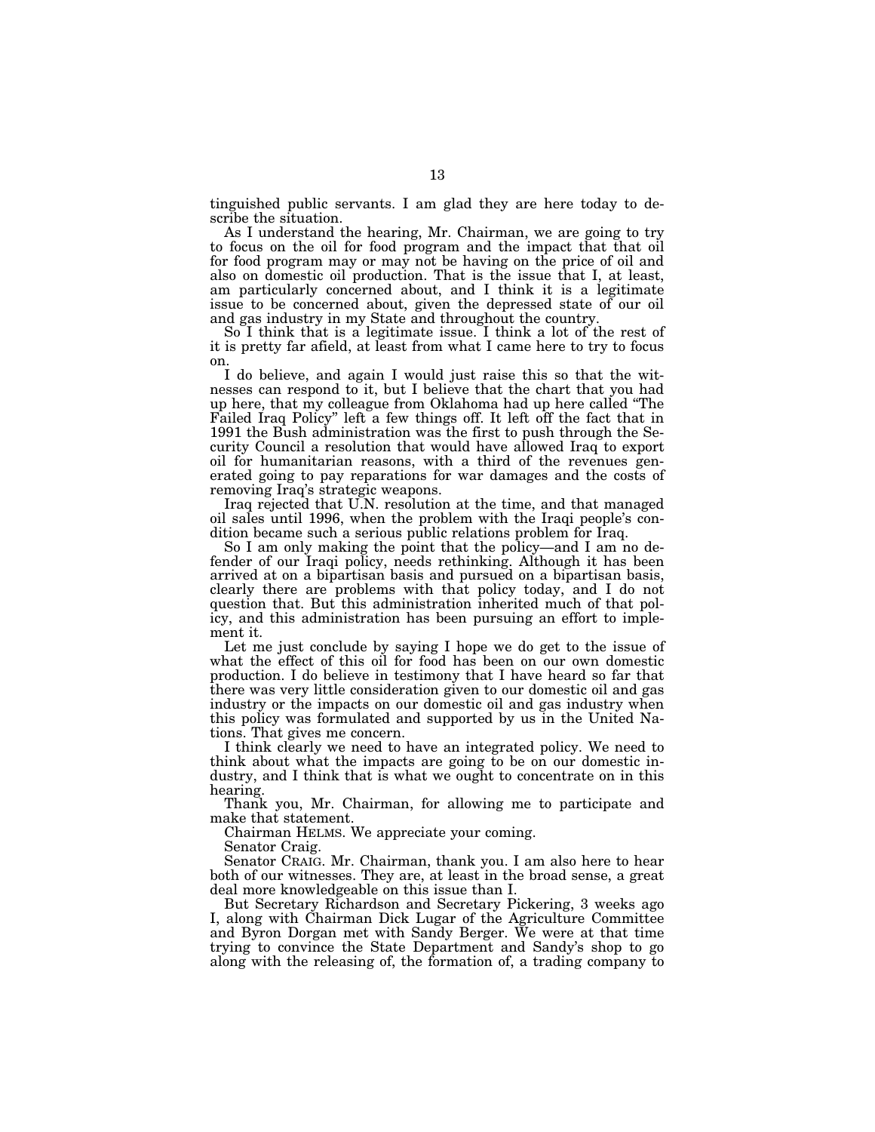tinguished public servants. I am glad they are here today to describe the situation.

As I understand the hearing, Mr. Chairman, we are going to try to focus on the oil for food program and the impact that that oil for food program may or may not be having on the price of oil and also on domestic oil production. That is the issue that I, at least, am particularly concerned about, and I think it is a legitimate issue to be concerned about, given the depressed state of our oil and gas industry in my State and throughout the country.

So I think that is a legitimate issue. I think a lot of the rest of it is pretty far afield, at least from what I came here to try to focus on.

I do believe, and again I would just raise this so that the witnesses can respond to it, but I believe that the chart that you had up here, that my colleague from Oklahoma had up here called ''The Failed Iraq Policy'' left a few things off. It left off the fact that in 1991 the Bush administration was the first to push through the Security Council a resolution that would have allowed Iraq to export oil for humanitarian reasons, with a third of the revenues generated going to pay reparations for war damages and the costs of removing Iraq's strategic weapons.

Iraq rejected that U.N. resolution at the time, and that managed oil sales until 1996, when the problem with the Iraqi people's condition became such a serious public relations problem for Iraq.

So I am only making the point that the policy—and I am no defender of our Iraqi policy, needs rethinking. Although it has been arrived at on a bipartisan basis and pursued on a bipartisan basis, clearly there are problems with that policy today, and I do not question that. But this administration inherited much of that policy, and this administration has been pursuing an effort to implement it.

Let me just conclude by saying I hope we do get to the issue of what the effect of this oil for food has been on our own domestic production. I do believe in testimony that I have heard so far that there was very little consideration given to our domestic oil and gas industry or the impacts on our domestic oil and gas industry when this policy was formulated and supported by us in the United Nations. That gives me concern.

I think clearly we need to have an integrated policy. We need to think about what the impacts are going to be on our domestic industry, and I think that is what we ought to concentrate on in this hearing.

Thank you, Mr. Chairman, for allowing me to participate and make that statement.

Chairman HELMS. We appreciate your coming.

Senator Craig.

Senator CRAIG. Mr. Chairman, thank you. I am also here to hear both of our witnesses. They are, at least in the broad sense, a great deal more knowledgeable on this issue than I.

But Secretary Richardson and Secretary Pickering, 3 weeks ago I, along with Chairman Dick Lugar of the Agriculture Committee and Byron Dorgan met with Sandy Berger. We were at that time trying to convince the State Department and Sandy's shop to go along with the releasing of, the formation of, a trading company to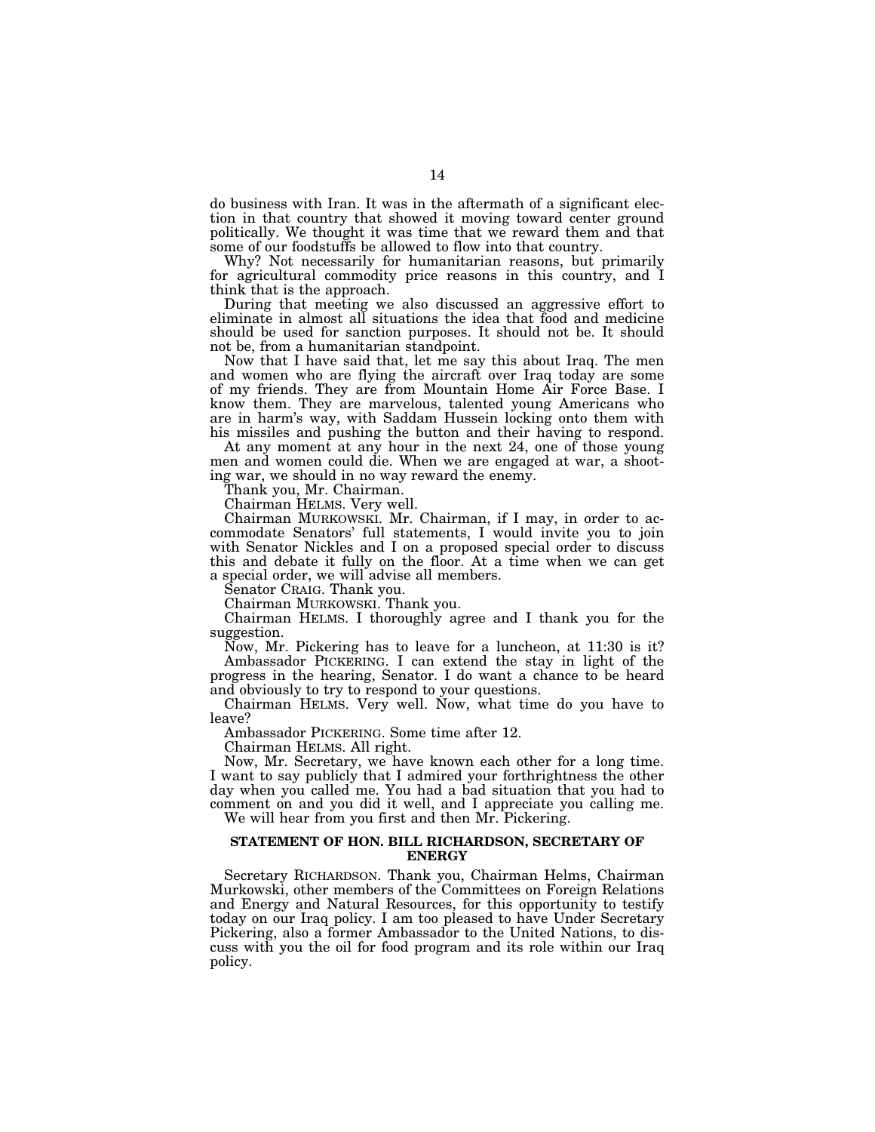do business with Iran. It was in the aftermath of a significant election in that country that showed it moving toward center ground politically. We thought it was time that we reward them and that some of our foodstuffs be allowed to flow into that country.

Why? Not necessarily for humanitarian reasons, but primarily for agricultural commodity price reasons in this country, and I think that is the approach.

During that meeting we also discussed an aggressive effort to eliminate in almost all situations the idea that food and medicine should be used for sanction purposes. It should not be. It should not be, from a humanitarian standpoint.

Now that I have said that, let me say this about Iraq. The men and women who are flying the aircraft over Iraq today are some of my friends. They are from Mountain Home Air Force Base. I know them. They are marvelous, talented young Americans who are in harm's way, with Saddam Hussein locking onto them with his missiles and pushing the button and their having to respond.

At any moment at any hour in the next 24, one of those young men and women could die. When we are engaged at war, a shooting war, we should in no way reward the enemy.

Thank you, Mr. Chairman.

Chairman HELMS. Very well.

Chairman MURKOWSKI. Mr. Chairman, if I may, in order to accommodate Senators' full statements, I would invite you to join with Senator Nickles and I on a proposed special order to discuss this and debate it fully on the floor. At a time when we can get a special order, we will advise all members.

Senator CRAIG. Thank you.

Chairman MURKOWSKI. Thank you.

Chairman HELMS. I thoroughly agree and I thank you for the suggestion.

Now, Mr. Pickering has to leave for a luncheon, at 11:30 is it? Ambassador PICKERING. I can extend the stay in light of the progress in the hearing, Senator. I do want a chance to be heard and obviously to try to respond to your questions.

Chairman HELMS. Very well. Now, what time do you have to leave?

Ambassador PICKERING. Some time after 12.

Chairman HELMS. All right.

Now, Mr. Secretary, we have known each other for a long time. I want to say publicly that I admired your forthrightness the other day when you called me. You had a bad situation that you had to comment on and you did it well, and I appreciate you calling me.

We will hear from you first and then Mr. Pickering.

#### **STATEMENT OF HON. BILL RICHARDSON, SECRETARY OF ENERGY**

Secretary RICHARDSON. Thank you, Chairman Helms, Chairman Murkowski, other members of the Committees on Foreign Relations and Energy and Natural Resources, for this opportunity to testify today on our Iraq policy. I am too pleased to have Under Secretary Pickering, also a former Ambassador to the United Nations, to discuss with you the oil for food program and its role within our Iraq policy.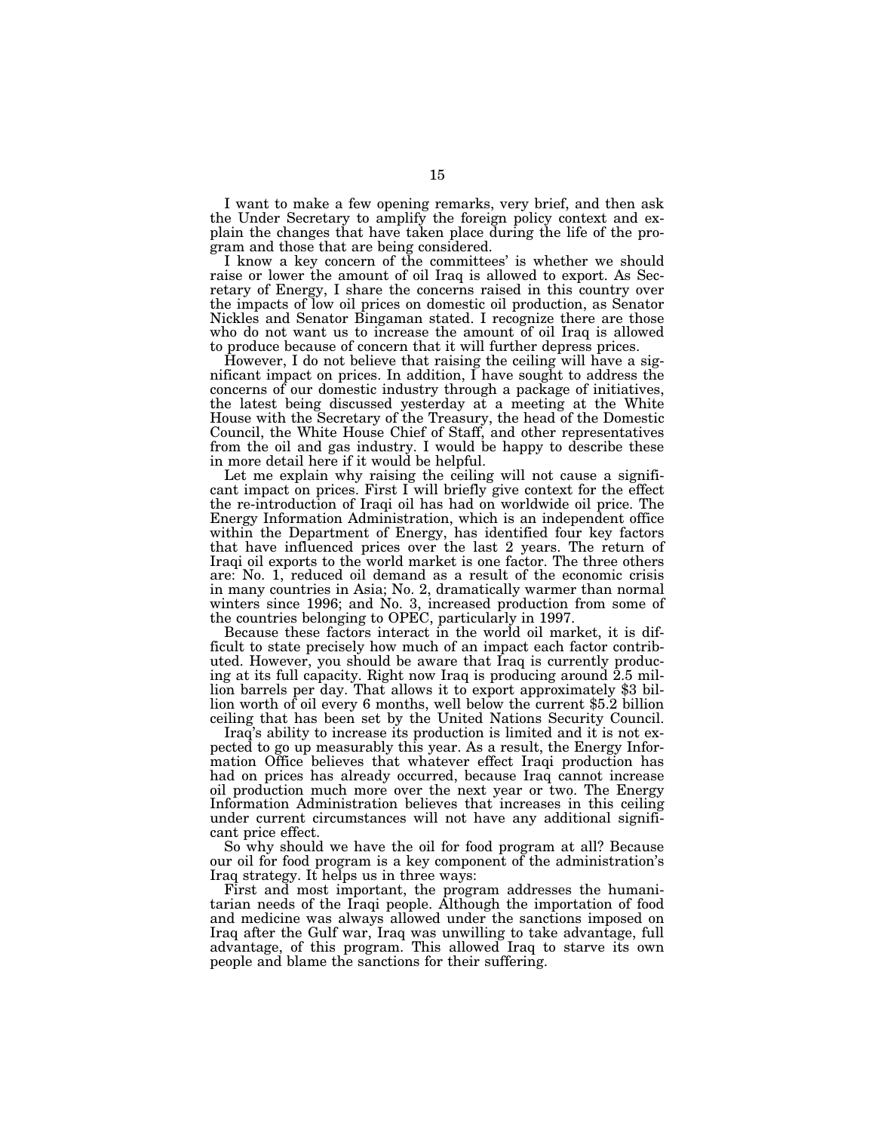I want to make a few opening remarks, very brief, and then ask the Under Secretary to amplify the foreign policy context and explain the changes that have taken place during the life of the program and those that are being considered.

I know a key concern of the committees' is whether we should raise or lower the amount of oil Iraq is allowed to export. As Secretary of Energy, I share the concerns raised in this country over the impacts of low oil prices on domestic oil production, as Senator Nickles and Senator Bingaman stated. I recognize there are those who do not want us to increase the amount of oil Iraq is allowed to produce because of concern that it will further depress prices.

However, I do not believe that raising the ceiling will have a significant impact on prices. In addition, I have sought to address the concerns of our domestic industry through a package of initiatives, the latest being discussed yesterday at a meeting at the White House with the Secretary of the Treasury, the head of the Domestic Council, the White House Chief of Staff, and other representatives from the oil and gas industry. I would be happy to describe these in more detail here if it would be helpful.

Let me explain why raising the ceiling will not cause a significant impact on prices. First I will briefly give context for the effect the re-introduction of Iraqi oil has had on worldwide oil price. The Energy Information Administration, which is an independent office within the Department of Energy, has identified four key factors that have influenced prices over the last 2 years. The return of Iraqi oil exports to the world market is one factor. The three others are: No. 1, reduced oil demand as a result of the economic crisis in many countries in Asia; No. 2, dramatically warmer than normal winters since 1996; and No. 3, increased production from some of the countries belonging to OPEC, particularly in 1997.

Because these factors interact in the world oil market, it is difficult to state precisely how much of an impact each factor contributed. However, you should be aware that Iraq is currently producing at its full capacity. Right now Iraq is producing around 2.5 million barrels per day. That allows it to export approximately \$3 billion worth of oil every 6 months, well below the current \$5.2 billion ceiling that has been set by the United Nations Security Council.

Iraq's ability to increase its production is limited and it is not expected to go up measurably this year. As a result, the Energy Information Office believes that whatever effect Iraqi production has had on prices has already occurred, because Iraq cannot increase oil production much more over the next year or two. The Energy Information Administration believes that increases in this ceiling under current circumstances will not have any additional significant price effect.

So why should we have the oil for food program at all? Because our oil for food program is a key component of the administration's Iraq strategy. It helps us in three ways:

First and most important, the program addresses the humanitarian needs of the Iraqi people. Although the importation of food and medicine was always allowed under the sanctions imposed on Iraq after the Gulf war, Iraq was unwilling to take advantage, full advantage, of this program. This allowed Iraq to starve its own people and blame the sanctions for their suffering.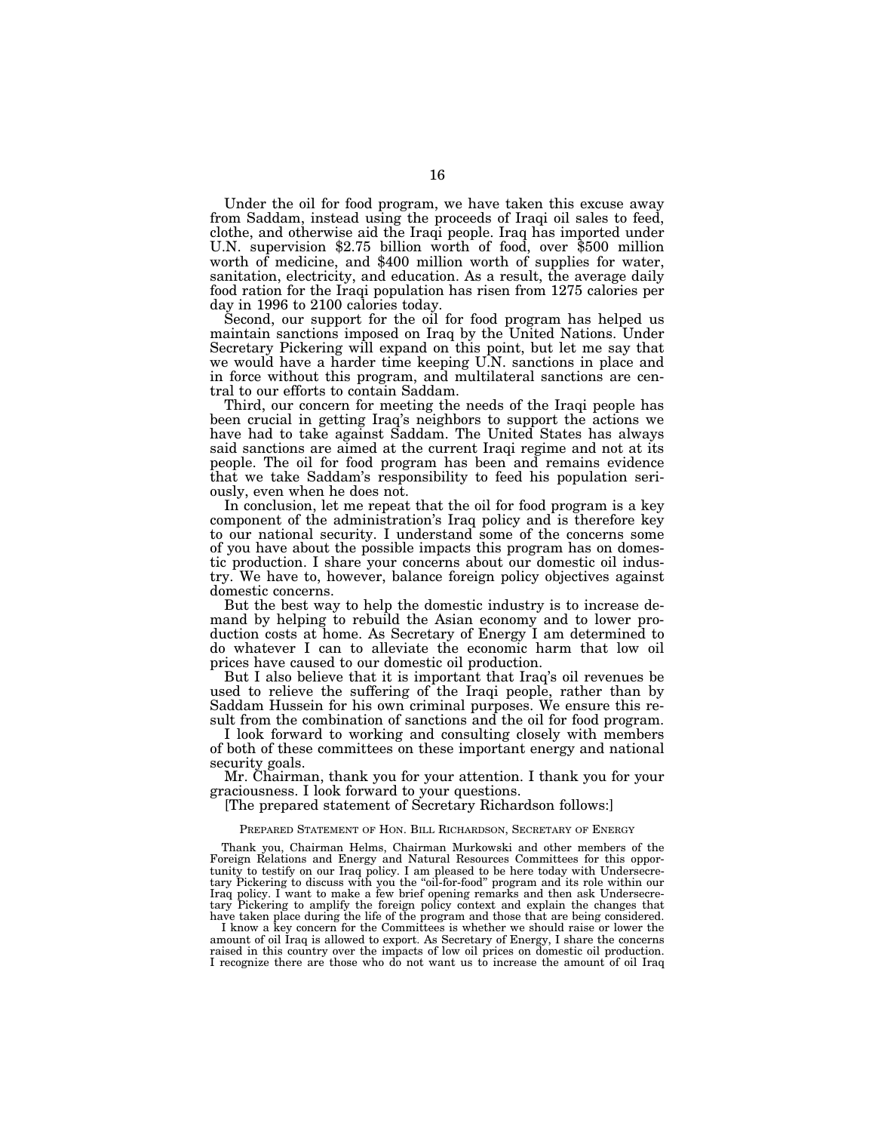Under the oil for food program, we have taken this excuse away from Saddam, instead using the proceeds of Iraqi oil sales to feed, clothe, and otherwise aid the Iraqi people. Iraq has imported under U.N. supervision \$2.75 billion worth of food, over \$500 million worth of medicine, and \$400 million worth of supplies for water, sanitation, electricity, and education. As a result, the average daily food ration for the Iraqi population has risen from 1275 calories per day in 1996 to 2100 calories today.

Second, our support for the oil for food program has helped us maintain sanctions imposed on Iraq by the United Nations. Under Secretary Pickering will expand on this point, but let me say that we would have a harder time keeping U.N. sanctions in place and in force without this program, and multilateral sanctions are central to our efforts to contain Saddam.

Third, our concern for meeting the needs of the Iraqi people has been crucial in getting Iraq's neighbors to support the actions we have had to take against Saddam. The United States has always said sanctions are aimed at the current Iraqi regime and not at its people. The oil for food program has been and remains evidence that we take Saddam's responsibility to feed his population seriously, even when he does not.

In conclusion, let me repeat that the oil for food program is a key component of the administration's Iraq policy and is therefore key to our national security. I understand some of the concerns some of you have about the possible impacts this program has on domestic production. I share your concerns about our domestic oil industry. We have to, however, balance foreign policy objectives against domestic concerns.

But the best way to help the domestic industry is to increase demand by helping to rebuild the Asian economy and to lower production costs at home. As Secretary of Energy I am determined to do whatever I can to alleviate the economic harm that low oil prices have caused to our domestic oil production.

But I also believe that it is important that Iraq's oil revenues be used to relieve the suffering of the Iraqi people, rather than by Saddam Hussein for his own criminal purposes. We ensure this result from the combination of sanctions and the oil for food program.

I look forward to working and consulting closely with members of both of these committees on these important energy and national security goals.

Mr. Chairman, thank you for your attention. I thank you for your graciousness. I look forward to your questions.

[The prepared statement of Secretary Richardson follows:]

#### PREPARED STATEMENT OF HON. BILL RICHARDSON, SECRETARY OF ENERGY

Thank you, Chairman Helms, Chairman Murkowski and other members of the Foreign Relations and Energy and Natural Resources Committees for this opportunity to testify on our Iraq policy. I am pleased to be here today with Undersecretary Pickering to discuss with you the ''oil-for-food'' program and its role within our Iraq policy. I want to make a few brief opening remarks and then ask Undersecretary Pickering to amplify the foreign policy context and explain the changes that have taken place during the life of the program and those that are being considered.

I know a key concern for the Committees is whether we should raise or lower the amount of oil Iraq is allowed to export. As Secretary of Energy, I share the concerns raised in this country over the impacts of low oil prices on domestic oil production. I recognize there are those who do not want us to increase the amount of oil Iraq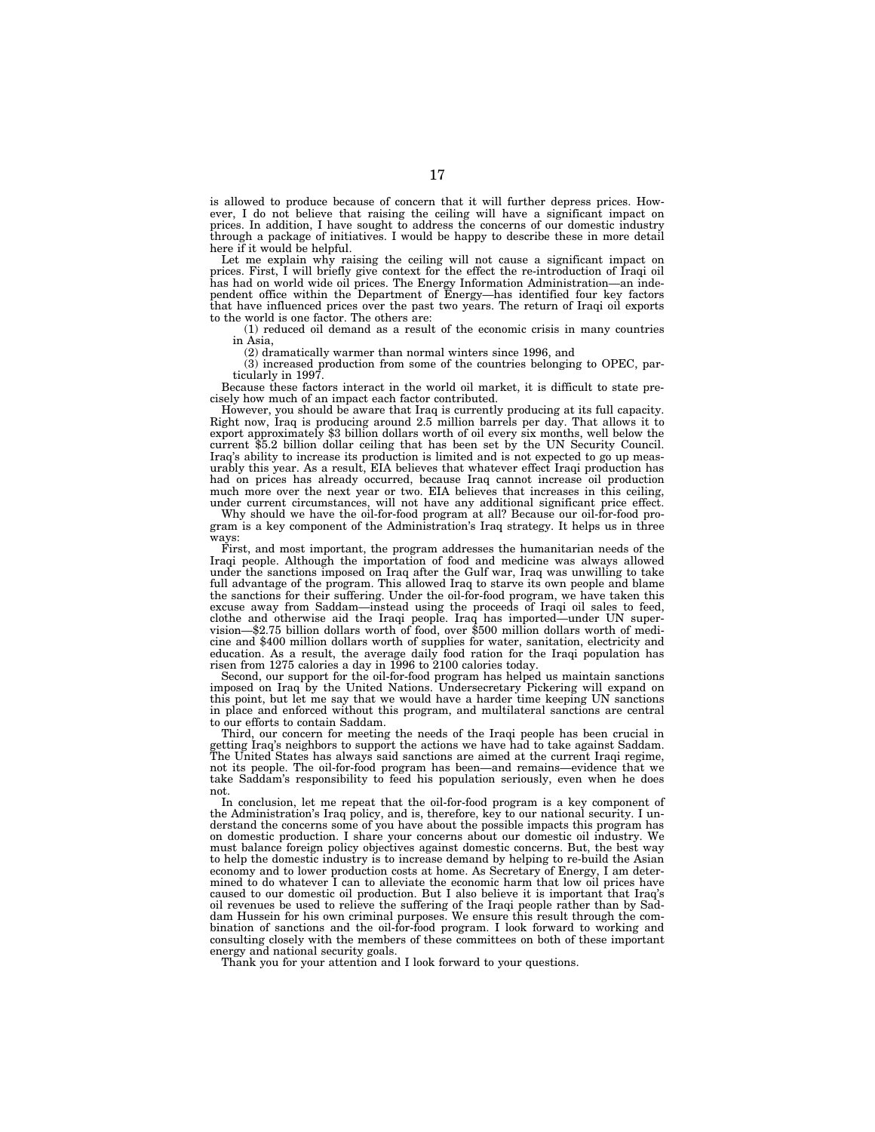is allowed to produce because of concern that it will further depress prices. However, I do not believe that raising the ceiling will have a significant impact on prices. In addition, I have sought to address the concerns of our domestic industry through a package of initiatives. I would be happy to describe these in more detail here if it would be helpful.

Let me explain why raising the ceiling will not cause a significant impact on prices. First, I will briefly give context for the effect the re-introduction of Iraqi oil has had on world wide oil prices. The Energy Information Administration—an independent office within the Department of Energy—has identified four key factors that have influenced prices over the past two years. The return of Iraqi oil exports to the world is one factor. The others are:

(1) reduced oil demand as a result of the economic crisis in many countries

in Asia,

(2) dramatically warmer than normal winters since 1996, and

(3) increased production from some of the countries belonging to OPEC, particularly in 1997.

Because these factors interact in the world oil market, it is difficult to state precisely how much of an impact each factor contributed.

However, you should be aware that Iraq is currently producing at its full capacity. Right now, Iraq is producing around 2.5 million barrels per day. That allows it to export approximately \$3 billion dollars worth of oil every six months, well below the current \$5.2 billion dollar ceiling that has been set by the UN Security Council. Iraq's ability to increase its production is limited and is not expected to go up measurably this year. As a result, EIA believes that whatever effect Iraqi production has had on prices has already occurred, because Iraq cannot increase oil production much more over the next year or two. EIA believes that increases in this ceiling, under current circumstances, will not have any additional significant price effect.

Why should we have the oil-for-food program at all? Because our oil-for-food program is a key component of the Administration's Iraq strategy. It helps us in three ways:

First, and most important, the program addresses the humanitarian needs of the Iraqi people. Although the importation of food and medicine was always allowed under the sanctions imposed on Iraq after the Gulf war, Iraq was unwilling to take full advantage of the program. This allowed Iraq to starve its own people and blame the sanctions for their suffering. Under the oil-for-food program, we have taken this excuse away from Saddam—instead using the proceeds of Iraqi oil sales to feed, clothe and otherwise aid the Iraqi people. Iraq has imported—under UN supervision—\$2.75 billion dollars worth of food, over \$500 million dollars worth of medicine and \$400 million dollars worth of supplies for water, sanitation, electricity and education. As a result, the average daily food ration for the Iraqi population has risen from 1275 calories a day in 1996 to 2100 calories today.

Second, our support for the oil-for-food program has helped us maintain sanctions imposed on Iraq by the United Nations. Undersecretary Pickering will expand on this point, but let me say that we would have a harder time keeping UN sanctions in place and enforced without this program, and multilateral sanctions are central to our efforts to contain Saddam.

Third, our concern for meeting the needs of the Iraqi people has been crucial in getting Iraq's neighbors to support the actions we have had to take against Saddam. The United States has always said sanctions are aimed at the current Iraqi regime, not its people. The oil-for-food program has been—and remains—evidence that we take Saddam's responsibility to feed his population seriously, even when he does not.

In conclusion, let me repeat that the oil-for-food program is a key component of the Administration's Iraq policy, and is, therefore, key to our national security. I understand the concerns some of you have about the possible impacts this program has on domestic production. I share your concerns about our domestic oil industry. We must balance foreign policy objectives against domestic concerns. But, the best way to help the domestic industry is to increase demand by helping to re-build the Asian economy and to lower production costs at home. As Secretary of Energy, I am determined to do whatever I can to alleviate the economic harm that low oil prices have caused to our domestic oil production. But I also believe it is important that Iraq's oil revenues be used to relieve the suffering of the Iraqi people rather than by Saddam Hussein for his own criminal purposes. We ensure this result through the combination of sanctions and the oil-for-food program. I look forward to working and consulting closely with the members of these committees on both of these important energy and national security goals.

Thank you for your attention and I look forward to your questions.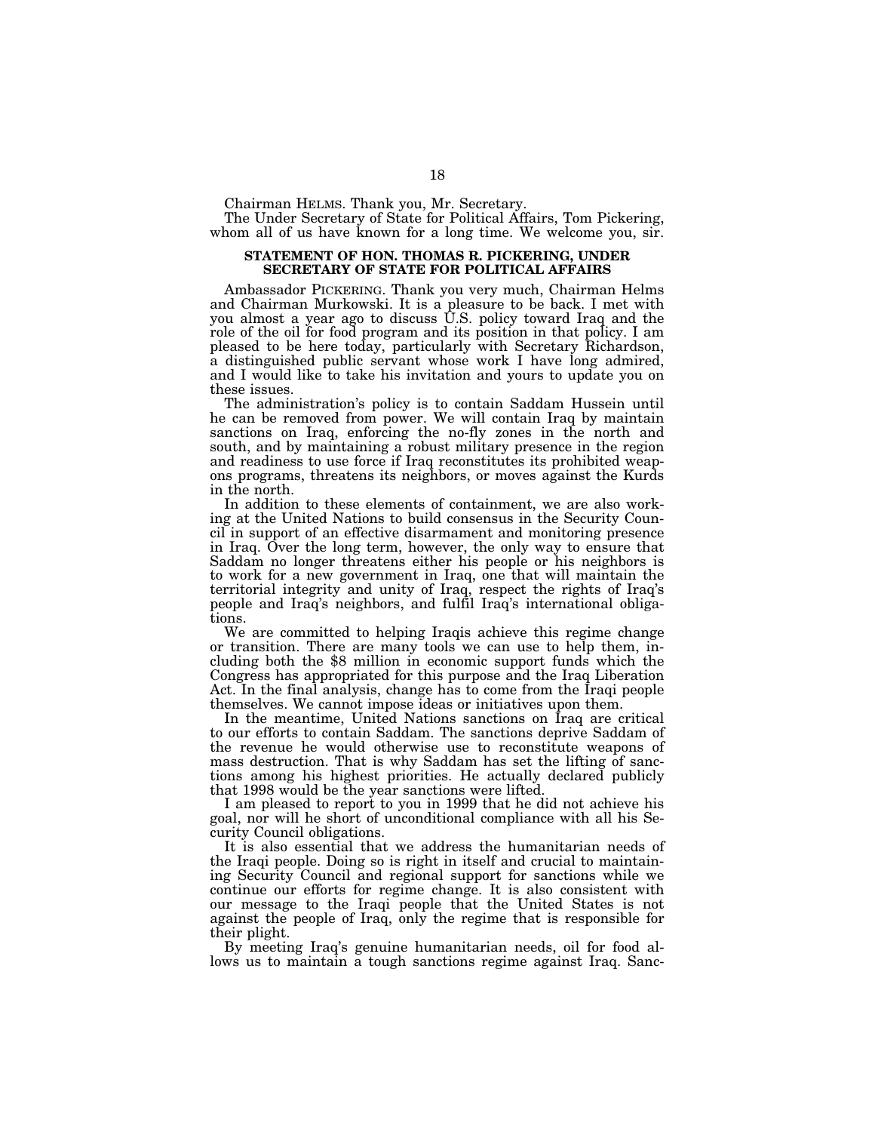Chairman HELMS. Thank you, Mr. Secretary.

The Under Secretary of State for Political Affairs, Tom Pickering, whom all of us have known for a long time. We welcome you, sir.

#### **STATEMENT OF HON. THOMAS R. PICKERING, UNDER SECRETARY OF STATE FOR POLITICAL AFFAIRS**

Ambassador PICKERING. Thank you very much, Chairman Helms and Chairman Murkowski. It is a pleasure to be back. I met with you almost a year ago to discuss U.S. policy toward Iraq and the role of the oil for food program and its position in that policy. I am pleased to be here today, particularly with Secretary Richardson, a distinguished public servant whose work I have long admired, and I would like to take his invitation and yours to update you on these issues.

The administration's policy is to contain Saddam Hussein until he can be removed from power. We will contain Iraq by maintain sanctions on Iraq, enforcing the no-fly zones in the north and south, and by maintaining a robust military presence in the region and readiness to use force if Iraq reconstitutes its prohibited weapons programs, threatens its neighbors, or moves against the Kurds in the north.

In addition to these elements of containment, we are also working at the United Nations to build consensus in the Security Council in support of an effective disarmament and monitoring presence in Iraq. Over the long term, however, the only way to ensure that Saddam no longer threatens either his people or his neighbors is to work for a new government in Iraq, one that will maintain the territorial integrity and unity of Iraq, respect the rights of Iraq's people and Iraq's neighbors, and fulfil Iraq's international obligations.

We are committed to helping Iraqis achieve this regime change or transition. There are many tools we can use to help them, including both the \$8 million in economic support funds which the Congress has appropriated for this purpose and the Iraq Liberation Act. In the final analysis, change has to come from the Iraqi people themselves. We cannot impose ideas or initiatives upon them.

In the meantime, United Nations sanctions on Iraq are critical to our efforts to contain Saddam. The sanctions deprive Saddam of the revenue he would otherwise use to reconstitute weapons of mass destruction. That is why Saddam has set the lifting of sanctions among his highest priorities. He actually declared publicly that 1998 would be the year sanctions were lifted.

I am pleased to report to you in 1999 that he did not achieve his goal, nor will he short of unconditional compliance with all his Security Council obligations.

It is also essential that we address the humanitarian needs of the Iraqi people. Doing so is right in itself and crucial to maintaining Security Council and regional support for sanctions while we continue our efforts for regime change. It is also consistent with our message to the Iraqi people that the United States is not against the people of Iraq, only the regime that is responsible for their plight.

By meeting Iraq's genuine humanitarian needs, oil for food allows us to maintain a tough sanctions regime against Iraq. Sanc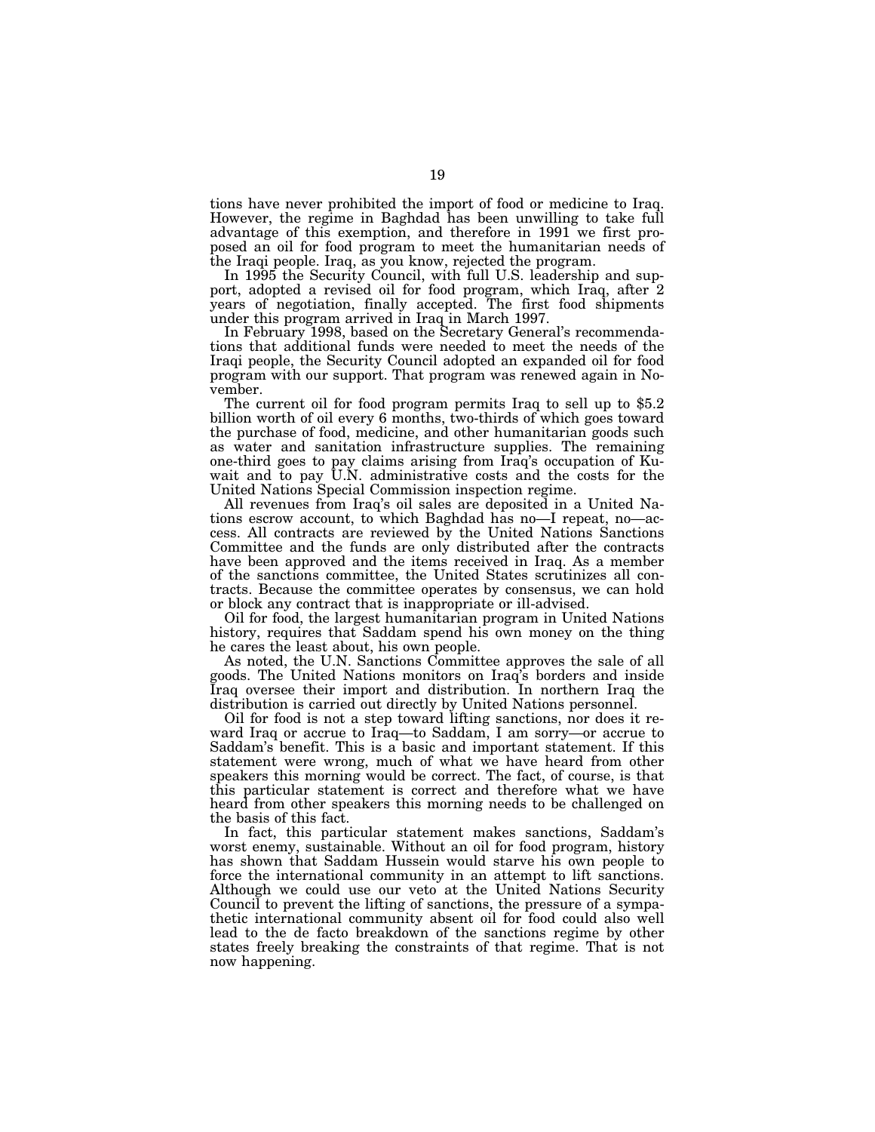tions have never prohibited the import of food or medicine to Iraq. However, the regime in Baghdad has been unwilling to take full advantage of this exemption, and therefore in 1991 we first proposed an oil for food program to meet the humanitarian needs of the Iraqi people. Iraq, as you know, rejected the program.

In 1995 the Security Council, with full U.S. leadership and support, adopted a revised oil for food program, which Iraq, after 2 years of negotiation, finally accepted. The first food shipments under this program arrived in Iraq in March 1997.

In February 1998, based on the Secretary General's recommendations that additional funds were needed to meet the needs of the Iraqi people, the Security Council adopted an expanded oil for food program with our support. That program was renewed again in November.

The current oil for food program permits Iraq to sell up to \$5.2 billion worth of oil every 6 months, two-thirds of which goes toward the purchase of food, medicine, and other humanitarian goods such as water and sanitation infrastructure supplies. The remaining one-third goes to pay claims arising from Iraq's occupation of Kuwait and to pay U.N. administrative costs and the costs for the United Nations Special Commission inspection regime.

All revenues from Iraq's oil sales are deposited in a United Nations escrow account, to which Baghdad has no—I repeat, no—access. All contracts are reviewed by the United Nations Sanctions Committee and the funds are only distributed after the contracts have been approved and the items received in Iraq. As a member of the sanctions committee, the United States scrutinizes all contracts. Because the committee operates by consensus, we can hold or block any contract that is inappropriate or ill-advised.

Oil for food, the largest humanitarian program in United Nations history, requires that Saddam spend his own money on the thing he cares the least about, his own people.

As noted, the U.N. Sanctions Committee approves the sale of all goods. The United Nations monitors on Iraq's borders and inside Iraq oversee their import and distribution. In northern Iraq the distribution is carried out directly by United Nations personnel.

Oil for food is not a step toward lifting sanctions, nor does it reward Iraq or accrue to Iraq—to Saddam, I am sorry—or accrue to Saddam's benefit. This is a basic and important statement. If this statement were wrong, much of what we have heard from other speakers this morning would be correct. The fact, of course, is that this particular statement is correct and therefore what we have heard from other speakers this morning needs to be challenged on the basis of this fact.

In fact, this particular statement makes sanctions, Saddam's worst enemy, sustainable. Without an oil for food program, history has shown that Saddam Hussein would starve his own people to force the international community in an attempt to lift sanctions. Although we could use our veto at the United Nations Security Council to prevent the lifting of sanctions, the pressure of a sympathetic international community absent oil for food could also well lead to the de facto breakdown of the sanctions regime by other states freely breaking the constraints of that regime. That is not now happening.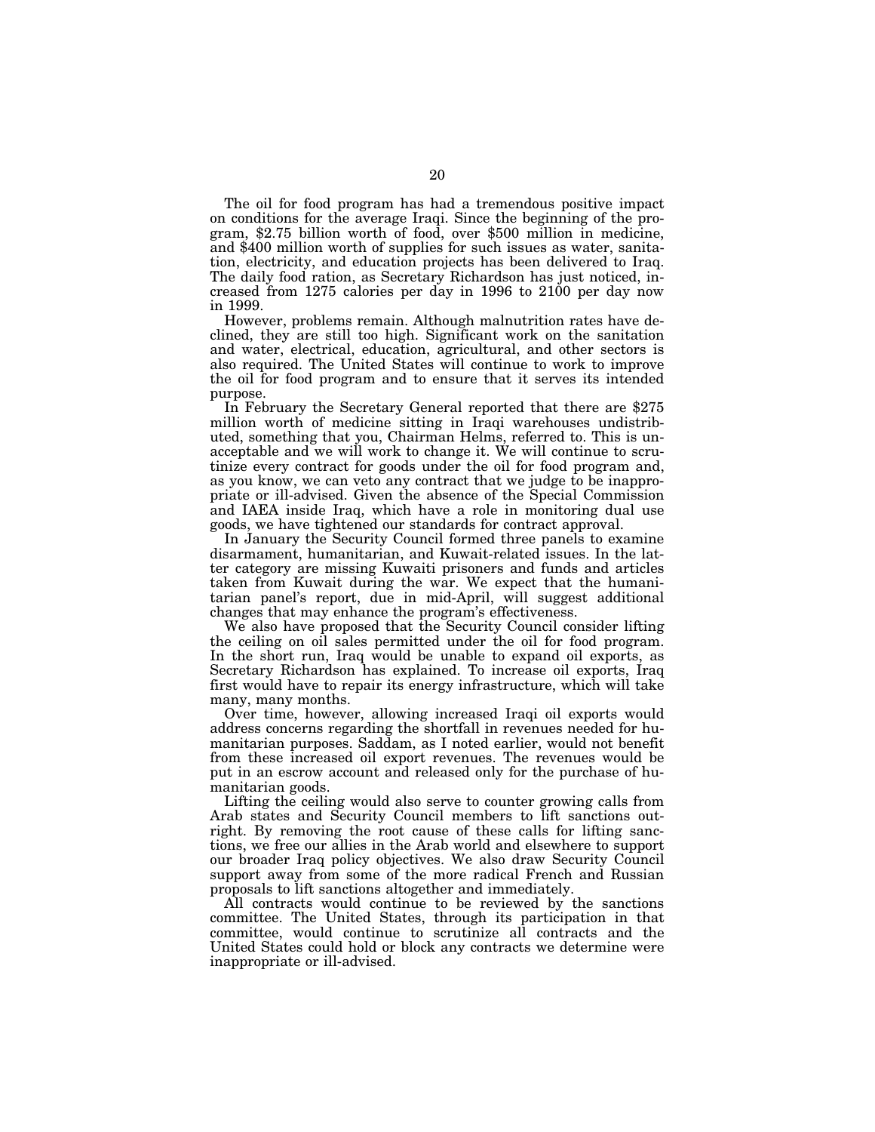The oil for food program has had a tremendous positive impact on conditions for the average Iraqi. Since the beginning of the program, \$2.75 billion worth of food, over \$500 million in medicine, and \$400 million worth of supplies for such issues as water, sanitation, electricity, and education projects has been delivered to Iraq. The daily food ration, as Secretary Richardson has just noticed, increased from 1275 calories per day in 1996 to 2100 per day now in 1999.

However, problems remain. Although malnutrition rates have declined, they are still too high. Significant work on the sanitation and water, electrical, education, agricultural, and other sectors is also required. The United States will continue to work to improve the oil for food program and to ensure that it serves its intended purpose.

In February the Secretary General reported that there are \$275 million worth of medicine sitting in Iraqi warehouses undistributed, something that you, Chairman Helms, referred to. This is unacceptable and we will work to change it. We will continue to scrutinize every contract for goods under the oil for food program and, as you know, we can veto any contract that we judge to be inappropriate or ill-advised. Given the absence of the Special Commission and IAEA inside Iraq, which have a role in monitoring dual use goods, we have tightened our standards for contract approval.

In January the Security Council formed three panels to examine disarmament, humanitarian, and Kuwait-related issues. In the latter category are missing Kuwaiti prisoners and funds and articles taken from Kuwait during the war. We expect that the humanitarian panel's report, due in mid-April, will suggest additional changes that may enhance the program's effectiveness.

We also have proposed that the Security Council consider lifting the ceiling on oil sales permitted under the oil for food program. In the short run, Iraq would be unable to expand oil exports, as Secretary Richardson has explained. To increase oil exports, Iraq first would have to repair its energy infrastructure, which will take many, many months.

Over time, however, allowing increased Iraqi oil exports would address concerns regarding the shortfall in revenues needed for humanitarian purposes. Saddam, as I noted earlier, would not benefit from these increased oil export revenues. The revenues would be put in an escrow account and released only for the purchase of humanitarian goods.

Lifting the ceiling would also serve to counter growing calls from Arab states and Security Council members to lift sanctions outright. By removing the root cause of these calls for lifting sanctions, we free our allies in the Arab world and elsewhere to support our broader Iraq policy objectives. We also draw Security Council support away from some of the more radical French and Russian proposals to lift sanctions altogether and immediately.

All contracts would continue to be reviewed by the sanctions committee. The United States, through its participation in that committee, would continue to scrutinize all contracts and the United States could hold or block any contracts we determine were inappropriate or ill-advised.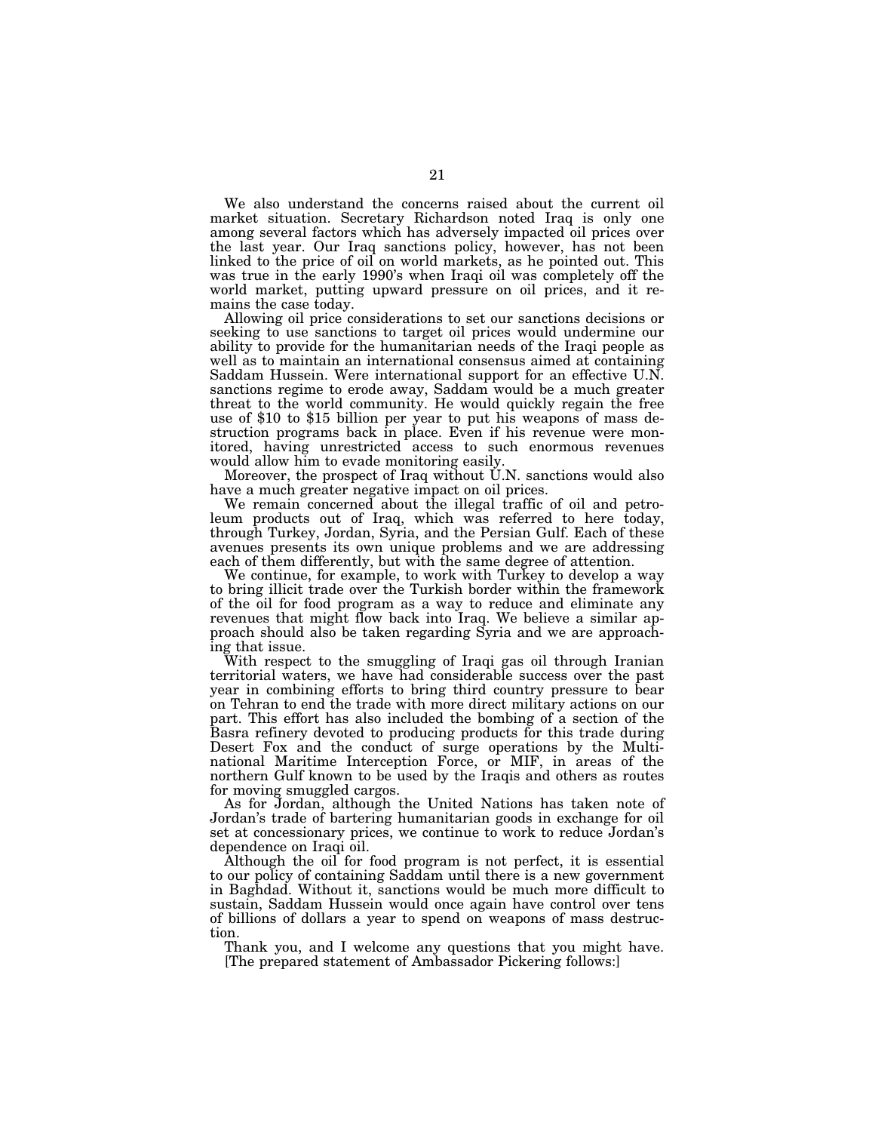We also understand the concerns raised about the current oil market situation. Secretary Richardson noted Iraq is only one among several factors which has adversely impacted oil prices over the last year. Our Iraq sanctions policy, however, has not been linked to the price of oil on world markets, as he pointed out. This was true in the early 1990's when Iraqi oil was completely off the world market, putting upward pressure on oil prices, and it remains the case today.

Allowing oil price considerations to set our sanctions decisions or seeking to use sanctions to target oil prices would undermine our ability to provide for the humanitarian needs of the Iraqi people as well as to maintain an international consensus aimed at containing Saddam Hussein. Were international support for an effective U.N. sanctions regime to erode away, Saddam would be a much greater threat to the world community. He would quickly regain the free use of \$10 to \$15 billion per year to put his weapons of mass destruction programs back in place. Even if his revenue were monitored, having unrestricted access to such enormous revenues would allow him to evade monitoring easily.

Moreover, the prospect of Iraq without U.N. sanctions would also have a much greater negative impact on oil prices.

We remain concerned about the illegal traffic of oil and petroleum products out of Iraq, which was referred to here today, through Turkey, Jordan, Syria, and the Persian Gulf. Each of these avenues presents its own unique problems and we are addressing each of them differently, but with the same degree of attention.

We continue, for example, to work with Turkey to develop a way to bring illicit trade over the Turkish border within the framework of the oil for food program as a way to reduce and eliminate any revenues that might flow back into Iraq. We believe a similar approach should also be taken regarding Syria and we are approaching that issue.

With respect to the smuggling of Iraqi gas oil through Iranian territorial waters, we have had considerable success over the past year in combining efforts to bring third country pressure to bear on Tehran to end the trade with more direct military actions on our part. This effort has also included the bombing of a section of the Basra refinery devoted to producing products for this trade during Desert Fox and the conduct of surge operations by the Multinational Maritime Interception Force, or MIF, in areas of the northern Gulf known to be used by the Iraqis and others as routes for moving smuggled cargos.

As for Jordan, although the United Nations has taken note of Jordan's trade of bartering humanitarian goods in exchange for oil set at concessionary prices, we continue to work to reduce Jordan's dependence on Iraqi oil.

Although the oil for food program is not perfect, it is essential to our policy of containing Saddam until there is a new government in Baghdad. Without it, sanctions would be much more difficult to sustain, Saddam Hussein would once again have control over tens of billions of dollars a year to spend on weapons of mass destruction.

Thank you, and I welcome any questions that you might have. [The prepared statement of Ambassador Pickering follows:]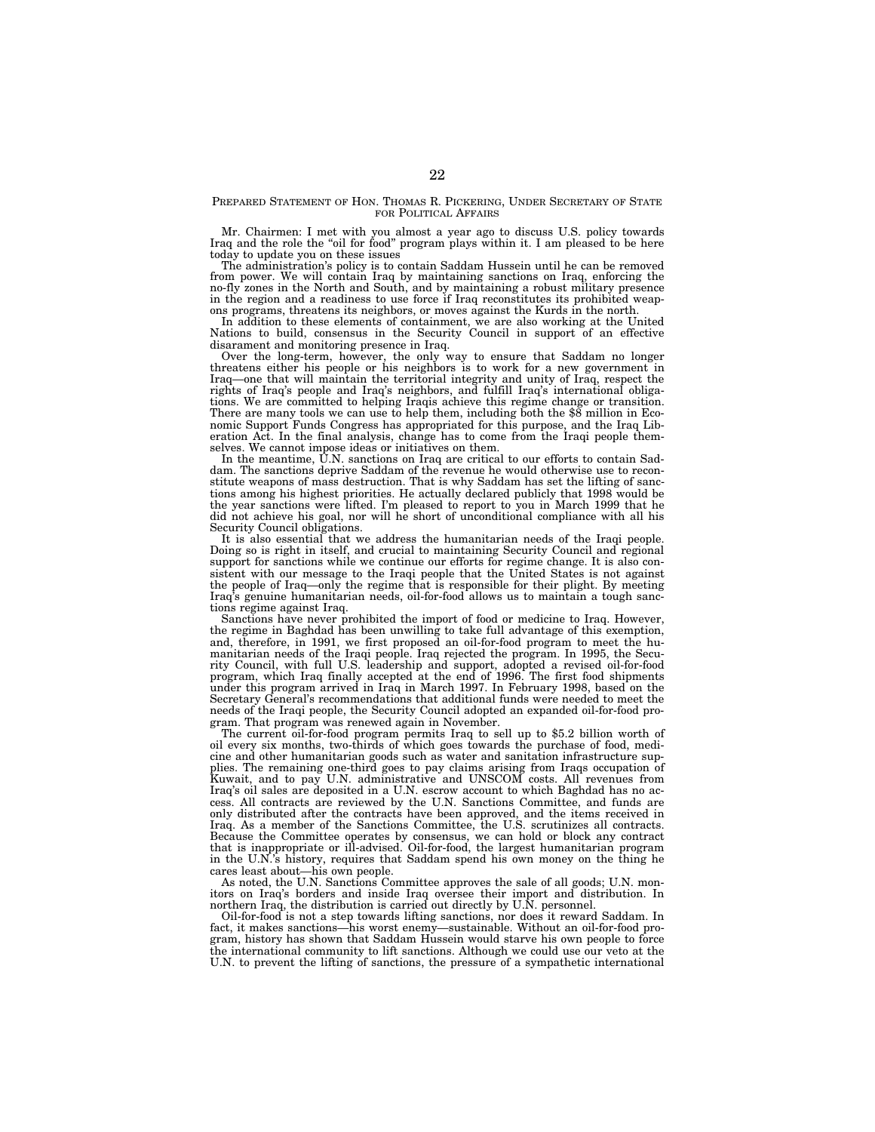#### PREPARED STATEMENT OF HON. THOMAS R. PICKERING, UNDER SECRETARY OF STATE FOR POLITICAL AFFAIRS

Mr. Chairmen: I met with you almost a year ago to discuss U.S. policy towards Iraq and the role the "oil for food" program plays within it. I am pleased to be here today to update you on these issues

The administration's policy is to contain Saddam Hussein until he can be removed from power. We will contain Iraq by maintaining sanctions on Iraq, enforcing the no-fly zones in the North and South, and by maintaining a robust military presence<br>in the region and a readiness to use force if Iraq reconst ons programs, threatens its neighbors, or moves against the Kurds in the north.

In addition to these elements of containment, we are also working at the United Nations to build, consensus in the Security Council in support of an effective disarament and monitoring presence in Iraq.

Over the long-term, however, the only way to ensure that Saddam no longer threatens either his people or his neighbors is to work for a new government in Iraq—one that will maintain the territorial integrity and unity of Iraq, respect the rights of Iraq's people and Iraq's neighbors, and fulfill Iraq's international obligations. We are committed to helping Iraqis achieve this regime change or transition. There are many tools we can use to help them, including both the \$8 million in Economic Support Funds Congress has appropriated for this purpose, and the Iraq Liberation Act. In the final analysis, change has to come from the Iraqi people themselves. We cannot impose ideas or initiatives on them.

In the meantime, U.N. sanctions on Iraq are critical to our efforts to contain Saddam. The sanctions deprive Saddam of the revenue he would otherwise use to reconstitute weapons of mass destruction. That is why Saddam has set the lifting of sanctions among his highest priorities. He actually declared publicly that 1998 would be the year sanctions were lifted. I'm pleased to report to you in March 1999 that he did not achieve his goal, nor will he short of unconditional compliance with all his Security Council obligations.

It is also essential that we address the humanitarian needs of the Iraqi people. Doing so is right in itself, and crucial to maintaining Security Council and regional support for sanctions while we continue our efforts for regime change. It is also consistent with our message to the Iraqi people that the United States is not against the people of Iraq—only the regime that is responsible for their plight. By meeting Iraq's genuine humanitarian needs, oil-for-food allows us to maintain a tough sanctions regime against Iraq.

Sanctions have never prohibited the import of food or medicine to Iraq. However, the regime in Baghdad has been unwilling to take full advantage of this exemption, and, therefore, in 1991, we first proposed an oil-for-food program to meet the humanitarian needs of the Iraqi people. Iraq rejected the program. In 1995, the Security Council, with full U.S. leadership and support, adopted a revised oil-for-food program, which Iraq finally accepted at the end of 1996. The first food shipments under this program arrived in Iraq in March 1997. In February 1998, based on the Secretary General's recommendations that additional funds were needed to meet the needs of the Iraqi people, the Security Council adopted an expanded oil-for-food program. That program was renewed again in November.

The current oil-for-food program permits Iraq to sell up to \$5.2 billion worth of oil every six months, two-thirds of which goes towards the purchase of food, medicine and other humanitarian goods such as water and sanitation infrastructure supplies. The remaining one-third goes to pay claims arising from Iraqs occupation of Kuwait, and to pay U.N. administrative and UNSCOM costs. All revenues from Iraq's oil sales are deposited in a U.N. escrow account to which Baghdad has no access. All contracts are reviewed by the U.N. Sanctions Committee, and funds are only distributed after the contracts have been approved, and the items received in Iraq. As a member of the Sanctions Committee, the U.S. scrutinizes all contracts. Because the Committee operates by consensus, we can hold or block any contract that is inappropriate or ill-advised. Oil-for-food, the largest humanitarian program in the U.N.'s history, requires that Saddam spend his own money on the thing he cares least about—his own people.

As noted, the U.N. Sanctions Committee approves the sale of all goods; U.N. monitors on Iraq's borders and inside Iraq oversee their import and distribution. In northern Iraq, the distribution is carried out directly by U.N. personnel.

Oil-for-food is not a step towards lifting sanctions, nor does it reward Saddam. In fact, it makes sanctions—his worst enemy—sustainable. Without an oil-for-food program, history has shown that Saddam Hussein would starve his own people to force the international community to lift sanctions. Although we could use our veto at the U.N. to prevent the lifting of sanctions, the pressure of a sympathetic international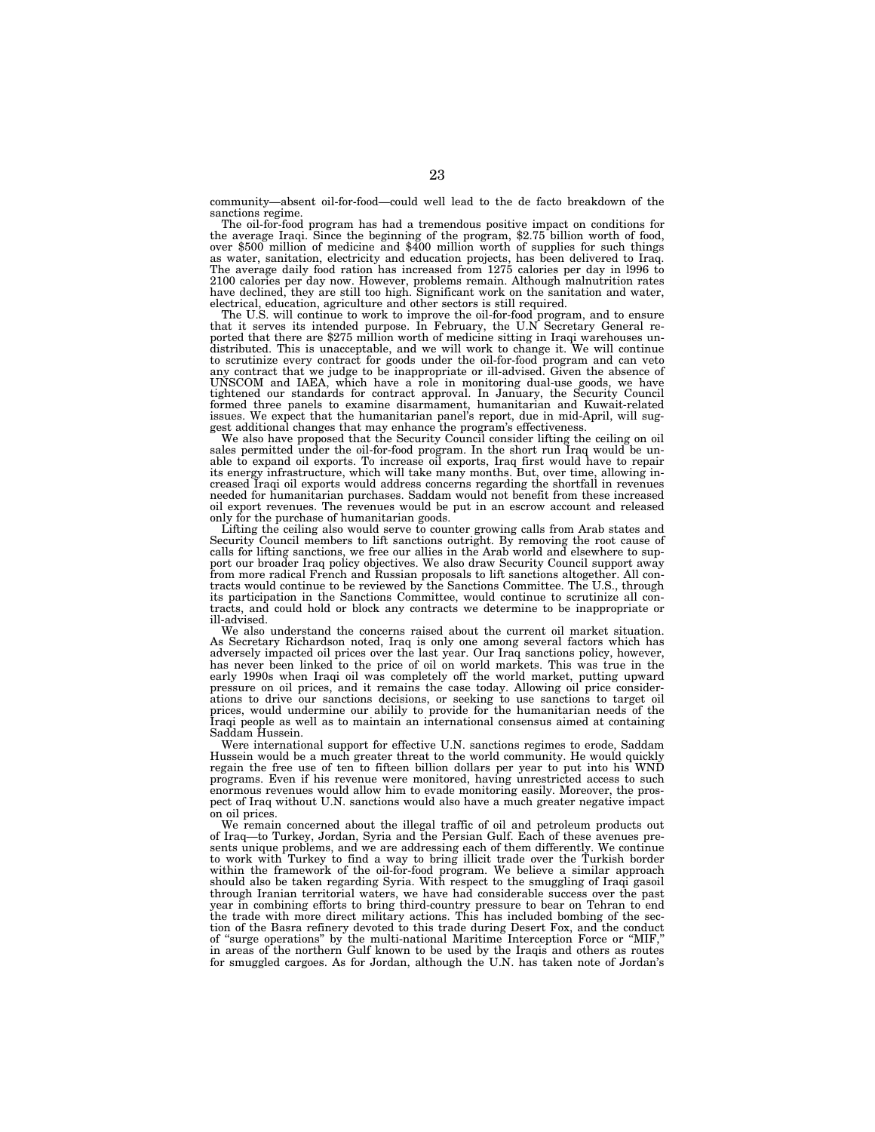community—absent oil-for-food—could well lead to the de facto breakdown of the

sanctions regime.<br>The oil-for-food program has had a tremendous positive impact on conditions for The oil-for-food program has had a tremendous positive impact on conditions for<br>the average Iraqi. Since the beginning of the program, \$2.75 billion worth of food,<br>over \$500 million of medicine and \$400 million worth of su as water, sanitation, electricity and education projects, has been delivered to Iraq. The average daily food ration has increased from 1275 calories per day in l996 to 2100 calories per day now. However, problems remain. Although malnutrition rates have declined, they are still too high. Significant work on the sanitation and water, electrical, education, agriculture and other sectors is still required. The U.S. will continue to work to improve the oil-for-food program, and to ensure

that it serves its intended purpose. In February, the U.N Secretary General reported that there are \$275 million worth of medicine sitting in Iraqi warehouses undistributed. This is unacceptable, and we will work to change it. We will continue to scrutinize every contract for goods under the oil-for-food program and can veto any contract that we judge to be inappropriate or ill-advised. Given the absence of UNSCOM and IAEA, which have a role in monitoring dual-use goods, we have tightened our standards for contract approval. In January, the Security Council formed three panels to examine disarmament, humanitarian and Kuwait-related issues. We expect that the humanitarian panel's report, due in mid-April, will suggest additional changes that may enhance the program's effectiveness.

We also have proposed that the Security Council consider lifting the ceiling on oil sales permitted under the oil-for-food program. In the short run Iraq would be unable to expand oil exports. To increase oil exports, Iraq first would have to repair its energy infrastructure, which will take many months. But, over time, allowing increased Iraqi oil exports would address concerns regarding the shortfall in revenues needed for humanitarian purchases. Saddam would not benefit from these increased oil export revenues. The revenues would be put in an escrow account and released only for the purchase of humanitarian goods.

Lifting the ceiling also would serve to counter growing calls from Arab states and Security Council members to lift sanctions outright. By removing the root cause of calls for lifting sanctions, we free our allies in the Arab world and elsewhere to sup-<br>port our broader Iraq policy objectives. We also draw Security Council support away<br>from more radical French and Russian proposals to tracts would continue to be reviewed by the Sanctions Committee. The U.S., through its participation in the Sanctions Committee, would continue to scrutinize all con-tracts, and could hold or block any contracts we determine to be inappropriate or ill-advised.

We also understand the concerns raised about the current oil market situation. As Secretary Richardson noted, Iraq is only one among several factors which has adversely impacted oil prices over the last year. Our Iraq sanctions policy, however, has never been linked to the price of oil on world markets. This was true in the early 1990s when Iraqi oil was completely off the world market, putting upward pressure on oil prices, and it remains the case today. Allowing oil price considerations to drive our sanctions decisions, or seeking to use sanctions to target oil prices, would undermine our abilily to provide for the humanitarian needs of the Iraqi people as well as to maintain an international consensus aimed at containing Saddam Hussein.

Were international support for effective U.N. sanctions regimes to erode, Saddam Hussein would be a much greater threat to the world community. He would quickly regain the free use of ten to fifteen billion dollars per year to put into his WND programs. Even if his revenue were monitored, having unrestricted access to such enormous revenues would allow him to evade monitoring easily. Moreover, the prospect of Iraq without U.N. sanctions would also have a much greater negative impact on oil prices.

We remain concerned about the illegal traffic of oil and petroleum products out of Iraq—to Turkey, Jordan, Syria and the Persian Gulf. Each of these avenues presents unique problems, and we are addressing each of them differently. We continue to work with Turkey to find a way to bring illicit trade over the Turkish border within the framework of the oil-for-food program. We believe a similar approach should also be taken regarding Syria. With respect to the smuggling of Iraqi gasoil through Iranian territorial waters, we have had considerable success over the past year in combining efforts to bring third-country pressure to bear on Tehran to end the trade with more direct military actions. This has included bombing of the section of the Basra refinery devoted to this trade during Desert Fox, and the conduct of ''surge operations'' by the multi-national Maritime Interception Force or ''MIF,'' in areas of the northern Gulf known to be used by the Iraqis and others as routes for smuggled cargoes. As for Jordan, although the U.N. has taken note of Jordan's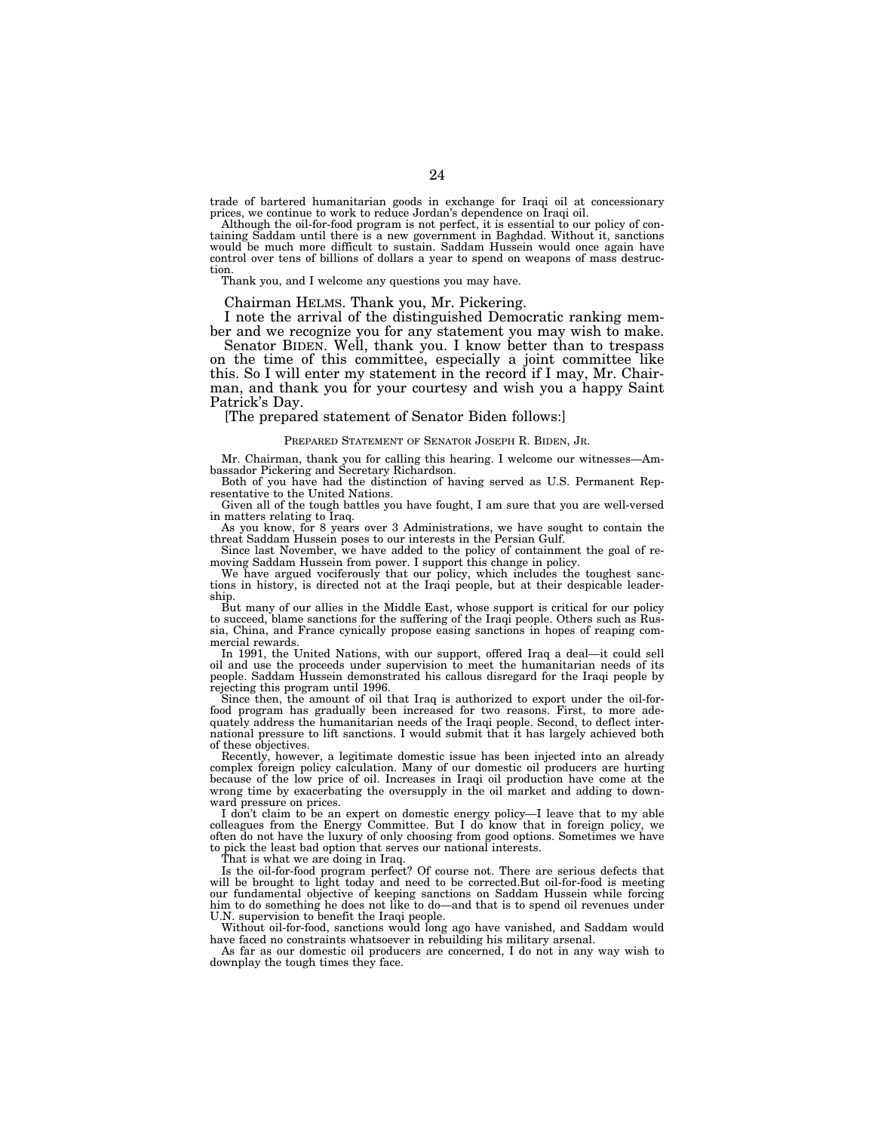trade of bartered humanitarian goods in exchange for Iraqi oil at concessionary prices, we continue to work to reduce Jordan's dependence on Iraqi oil.

Although the oil-for-food program is not perfect, it is essential to our policy of containing Saddam until there is a new government in Baghdad. Without it, sanctions would be much more difficult to sustain. Saddam Hussein would once again have control over tens of billions of dollars a year to spend on weapons of mass destruction.

Thank you, and I welcome any questions you may have.

Chairman HELMS. Thank you, Mr. Pickering.

I note the arrival of the distinguished Democratic ranking member and we recognize you for any statement you may wish to make.

Senator BIDEN. Well, thank you. I know better than to trespass on the time of this committee, especially a joint committee like this. So I will enter my statement in the record if I may, Mr. Chairman, and thank you for your courtesy and wish you a happy Saint Patrick's Day.

[The prepared statement of Senator Biden follows:]

#### PREPARED STATEMENT OF SENATOR JOSEPH R. BIDEN, JR.

Mr. Chairman, thank you for calling this hearing. I welcome our witnesses—Ambassador Pickering and Secretary Richardson.

Both of you have had the distinction of having served as U.S. Permanent Representative to the United Nations.

Given all of the tough battles you have fought, I am sure that you are well-versed in matters relating to Iraq.

As you know, for 8 years over 3 Administrations, we have sought to contain the threat Saddam Hussein poses to our interests in the Persian Gulf.

Since last November, we have added to the policy of containment the goal of removing Saddam Hussein from power. I support this change in policy.

We have argued vociferously that our policy, which includes the toughest sanctions in history, is directed not at the Iraqi people, but at their despicable leadership.

But many of our allies in the Middle East, whose support is critical for our policy to succeed, blame sanctions for the suffering of the Iraqi people. Others such as Russia, China, and France cynically propose easing sanctions in hopes of reaping commercial rewards.

In 1991, the United Nations, with our support, offered Iraq a deal—it could sell oil and use the proceeds under supervision to meet the humanitarian needs of its people. Saddam Hussein demonstrated his callous disregard for the Iraqi people by rejecting this program until 1996.

Since then, the amount of oil that Iraq is authorized to export under the oil-forfood program has gradually been increased for two reasons. First, to more adequately address the humanitarian needs of the Iraqi people. Second, to deflect international pressure to lift sanctions. I would submit that it has largely achieved both of these objectives.

Recently, however, a legitimate domestic issue has been injected into an already complex foreign policy calculation. Many of our domestic oil producers are hurting because of the low price of oil. Increases in Iraqi oil production have come at the wrong time by exacerbating the oversupply in the oil market and adding to downward pressure on prices.

I don't claim to be an expert on domestic energy policy—I leave that to my able colleagues from the Energy Committee. But I do know that in foreign policy, we often do not have the luxury of only choosing from good options. Sometimes we have to pick the least bad option that serves our national interests.

That is what we are doing in Iraq.

Is the oil-for-food program perfect? Of course not. There are serious defects that will be brought to light today and need to be corrected.But oil-for-food is meeting our fundamental objective of keeping sanctions on Saddam Hussein while forcing him to do something he does not like to do—and that is to spend oil revenues under U.N. supervision to benefit the Iraqi people.

Without oil-for-food, sanctions would long ago have vanished, and Saddam would have faced no constraints whatsoever in rebuilding his military arsenal.

As far as our domestic oil producers are concerned, I do not in any way wish to downplay the tough times they face.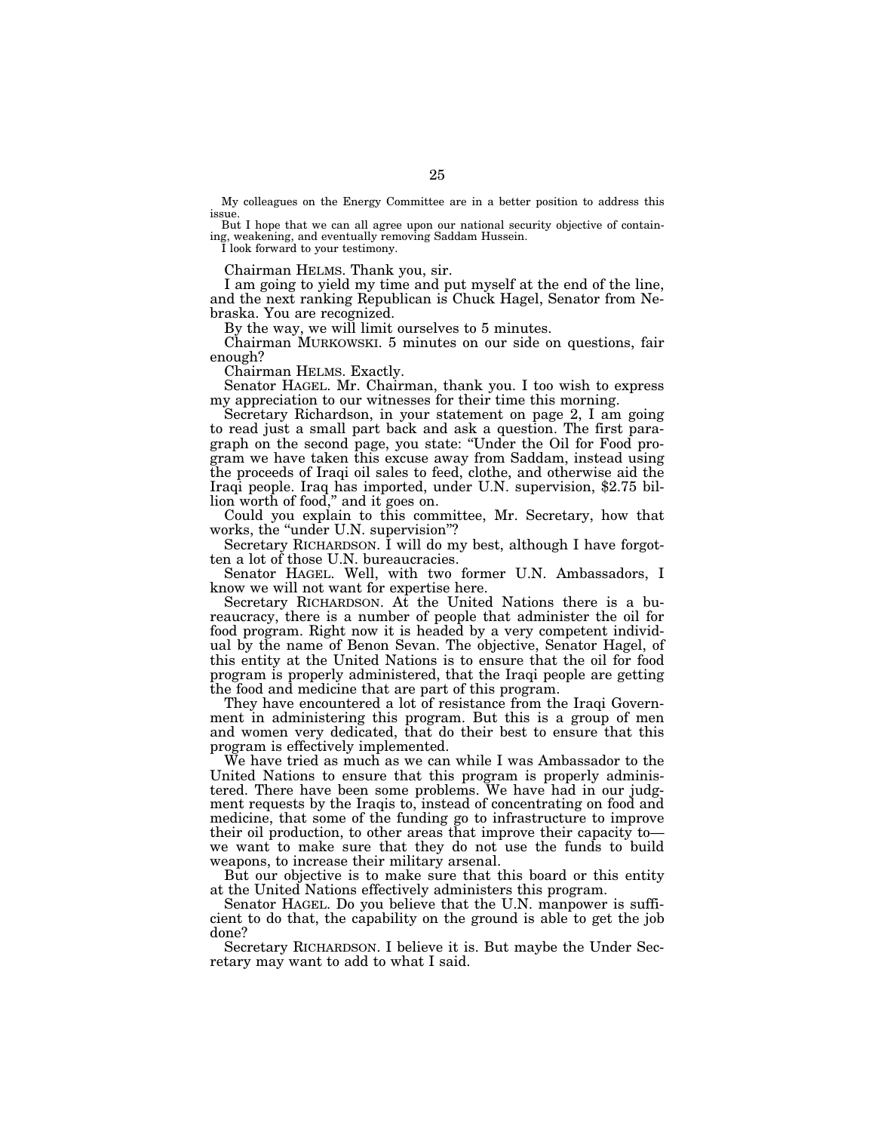My colleagues on the Energy Committee are in a better position to address this issue.

But I hope that we can all agree upon our national security objective of containing, weakening, and eventually removing Saddam Hussein.

I look forward to your testimony.

Chairman HELMS. Thank you, sir.

I am going to yield my time and put myself at the end of the line, and the next ranking Republican is Chuck Hagel, Senator from Nebraska. You are recognized.

By the way, we will limit ourselves to 5 minutes.

Chairman MURKOWSKI. 5 minutes on our side on questions, fair enough?

Chairman HELMS. Exactly.

Senator HAGEL. Mr. Chairman, thank you. I too wish to express my appreciation to our witnesses for their time this morning.

Secretary Richardson, in your statement on page 2, I am going to read just a small part back and ask a question. The first paragraph on the second page, you state: ''Under the Oil for Food program we have taken this excuse away from Saddam, instead using the proceeds of Iraqi oil sales to feed, clothe, and otherwise aid the Iraqi people. Iraq has imported, under U.N. supervision, \$2.75 billion worth of food,'' and it goes on.

Could you explain to this committee, Mr. Secretary, how that works, the "under U.N. supervision"?

Secretary RICHARDSON. I will do my best, although I have forgotten a lot of those U.N. bureaucracies.

Senator HAGEL. Well, with two former U.N. Ambassadors, I know we will not want for expertise here.

Secretary RICHARDSON. At the United Nations there is a bureaucracy, there is a number of people that administer the oil for food program. Right now it is headed by a very competent individual by the name of Benon Sevan. The objective, Senator Hagel, of this entity at the United Nations is to ensure that the oil for food program is properly administered, that the Iraqi people are getting the food and medicine that are part of this program.

They have encountered a lot of resistance from the Iraqi Government in administering this program. But this is a group of men and women very dedicated, that do their best to ensure that this program is effectively implemented.

We have tried as much as we can while I was Ambassador to the United Nations to ensure that this program is properly administered. There have been some problems. We have had in our judgment requests by the Iraqis to, instead of concentrating on food and medicine, that some of the funding go to infrastructure to improve their oil production, to other areas that improve their capacity to we want to make sure that they do not use the funds to build weapons, to increase their military arsenal.

But our objective is to make sure that this board or this entity at the United Nations effectively administers this program.

Senator HAGEL. Do you believe that the U.N. manpower is sufficient to do that, the capability on the ground is able to get the job done?

Secretary RICHARDSON. I believe it is. But maybe the Under Secretary may want to add to what I said.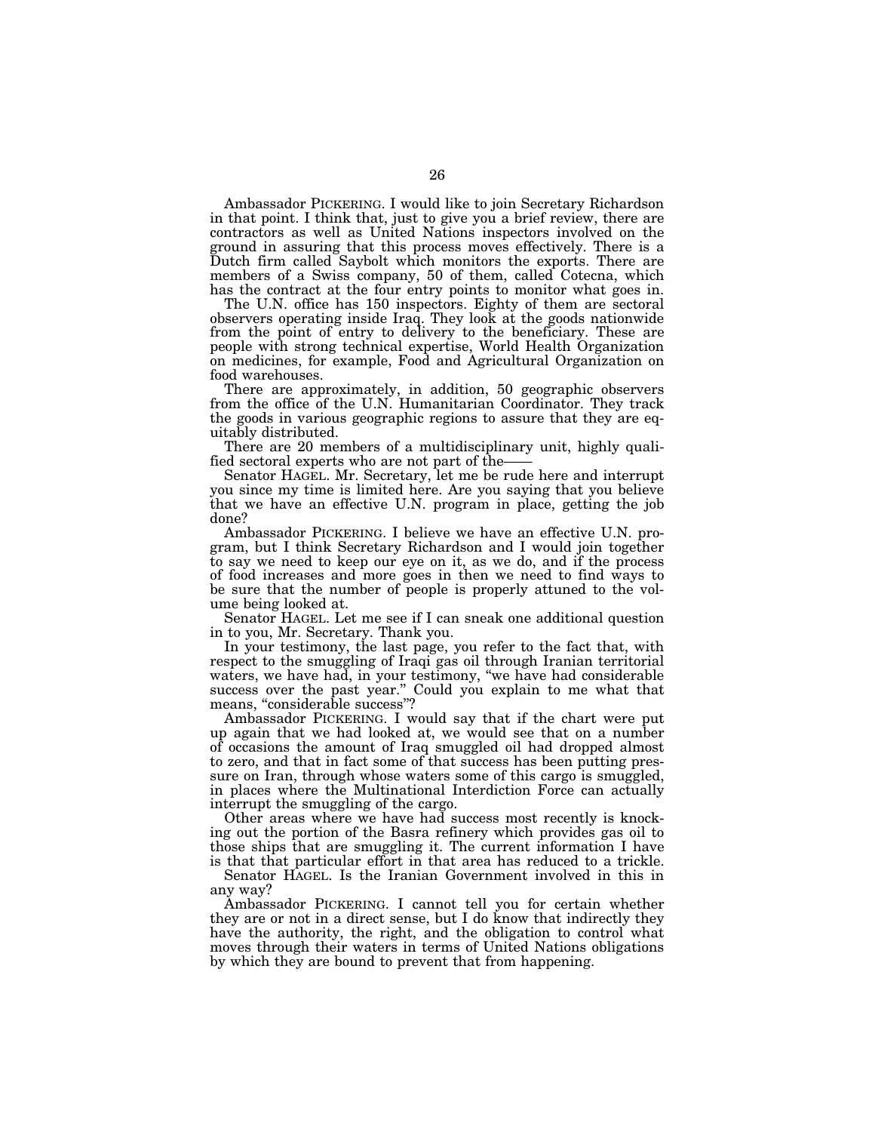Ambassador PICKERING. I would like to join Secretary Richardson in that point. I think that, just to give you a brief review, there are contractors as well as United Nations inspectors involved on the ground in assuring that this process moves effectively. There is a Dutch firm called Saybolt which monitors the exports. There are members of a Swiss company, 50 of them, called Cotecna, which has the contract at the four entry points to monitor what goes in.

The U.N. office has 150 inspectors. Eighty of them are sectoral observers operating inside Iraq. They look at the goods nationwide from the point of entry to delivery to the beneficiary. These are people with strong technical expertise, World Health Organization on medicines, for example, Food and Agricultural Organization on food warehouses.

There are approximately, in addition, 50 geographic observers from the office of the U.N. Humanitarian Coordinator. They track the goods in various geographic regions to assure that they are equitably distributed.

There are 20 members of a multidisciplinary unit, highly qualified sectoral experts who are not part of the——

Senator HAGEL. Mr. Secretary, let me be rude here and interrupt you since my time is limited here. Are you saying that you believe that we have an effective U.N. program in place, getting the job done?

Ambassador PICKERING. I believe we have an effective U.N. program, but I think Secretary Richardson and I would join together to say we need to keep our eye on it, as we do, and if the process of food increases and more goes in then we need to find ways to be sure that the number of people is properly attuned to the volume being looked at.

Senator HAGEL. Let me see if I can sneak one additional question in to you, Mr. Secretary. Thank you.

In your testimony, the last page, you refer to the fact that, with respect to the smuggling of Iraqi gas oil through Iranian territorial waters, we have had, in your testimony, "we have had considerable success over the past year.'' Could you explain to me what that means, "considerable success"?

Ambassador PICKERING. I would say that if the chart were put up again that we had looked at, we would see that on a number of occasions the amount of Iraq smuggled oil had dropped almost to zero, and that in fact some of that success has been putting pressure on Iran, through whose waters some of this cargo is smuggled, in places where the Multinational Interdiction Force can actually interrupt the smuggling of the cargo.

Other areas where we have had success most recently is knocking out the portion of the Basra refinery which provides gas oil to those ships that are smuggling it. The current information I have is that that particular effort in that area has reduced to a trickle.

Senator HAGEL. Is the Iranian Government involved in this in any way?

Ambassador PICKERING. I cannot tell you for certain whether they are or not in a direct sense, but I do know that indirectly they have the authority, the right, and the obligation to control what moves through their waters in terms of United Nations obligations by which they are bound to prevent that from happening.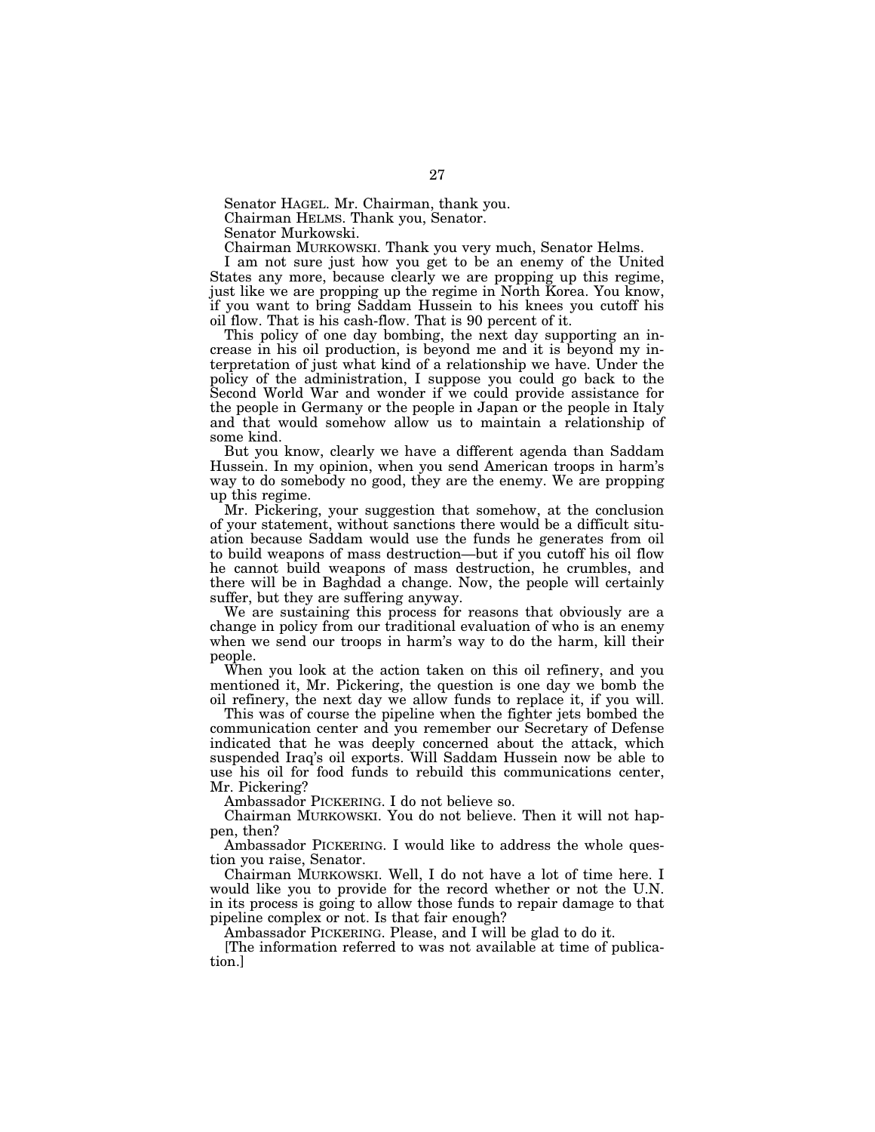Senator HAGEL. Mr. Chairman, thank you.

Chairman HELMS. Thank you, Senator.

Senator Murkowski.

Chairman MURKOWSKI. Thank you very much, Senator Helms.

I am not sure just how you get to be an enemy of the United States any more, because clearly we are propping up this regime, just like we are propping up the regime in North Korea. You know, if you want to bring Saddam Hussein to his knees you cutoff his oil flow. That is his cash-flow. That is 90 percent of it.

This policy of one day bombing, the next day supporting an increase in his oil production, is beyond me and it is beyond my interpretation of just what kind of a relationship we have. Under the policy of the administration, I suppose you could go back to the Second World War and wonder if we could provide assistance for the people in Germany or the people in Japan or the people in Italy and that would somehow allow us to maintain a relationship of some kind.

But you know, clearly we have a different agenda than Saddam Hussein. In my opinion, when you send American troops in harm's way to do somebody no good, they are the enemy. We are propping up this regime.

Mr. Pickering, your suggestion that somehow, at the conclusion of your statement, without sanctions there would be a difficult situation because Saddam would use the funds he generates from oil to build weapons of mass destruction—but if you cutoff his oil flow he cannot build weapons of mass destruction, he crumbles, and there will be in Baghdad a change. Now, the people will certainly suffer, but they are suffering anyway.

We are sustaining this process for reasons that obviously are a change in policy from our traditional evaluation of who is an enemy when we send our troops in harm's way to do the harm, kill their people.

When you look at the action taken on this oil refinery, and you mentioned it, Mr. Pickering, the question is one day we bomb the oil refinery, the next day we allow funds to replace it, if you will.

This was of course the pipeline when the fighter jets bombed the communication center and you remember our Secretary of Defense indicated that he was deeply concerned about the attack, which suspended Iraq's oil exports. Will Saddam Hussein now be able to use his oil for food funds to rebuild this communications center, Mr. Pickering?

Ambassador PICKERING. I do not believe so.

Chairman MURKOWSKI. You do not believe. Then it will not happen, then?

Ambassador PICKERING. I would like to address the whole question you raise, Senator.

Chairman MURKOWSKI. Well, I do not have a lot of time here. I would like you to provide for the record whether or not the U.N. in its process is going to allow those funds to repair damage to that pipeline complex or not. Is that fair enough?

Ambassador PICKERING. Please, and I will be glad to do it.

[The information referred to was not available at time of publication.]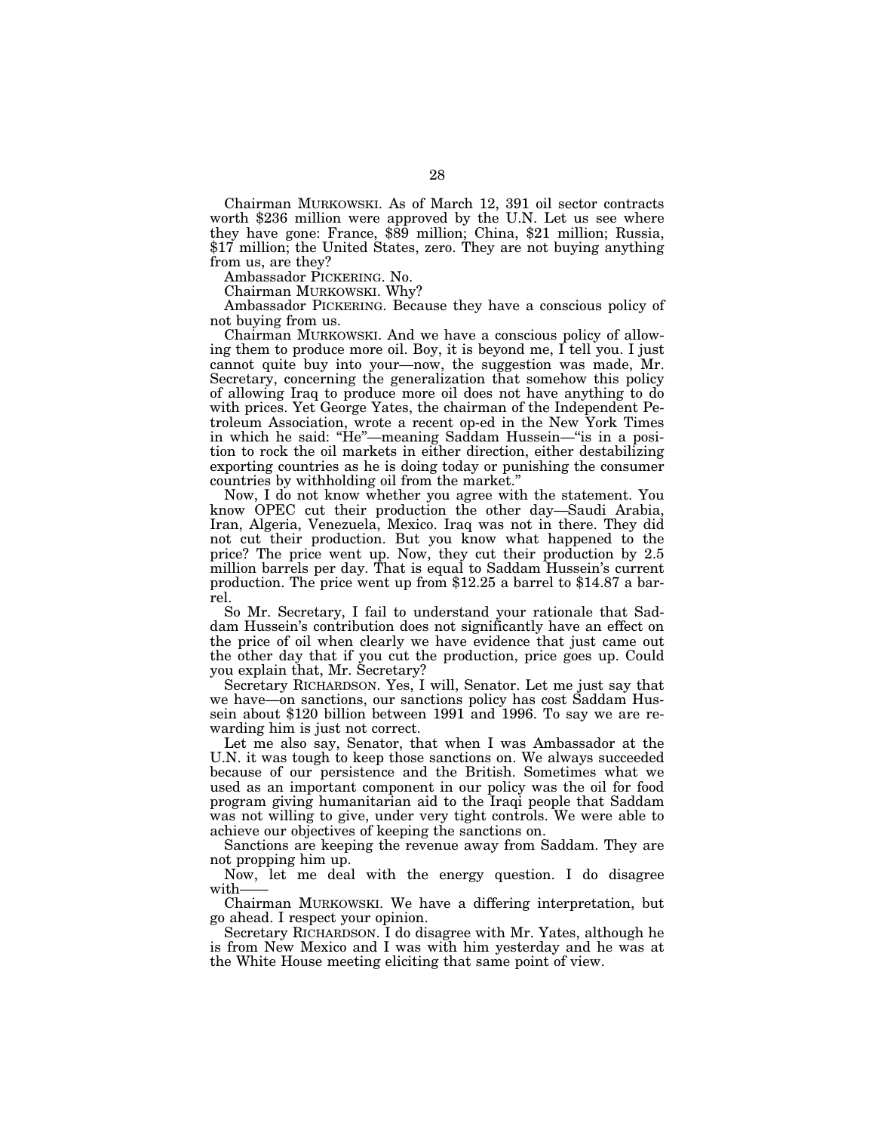Chairman MURKOWSKI. As of March 12, 391 oil sector contracts worth \$236 million were approved by the U.N. Let us see where they have gone: France, \$89 million; China, \$21 million; Russia, \$17 million; the United States, zero. They are not buying anything from us, are they?

Ambassador PICKERING. No.

Chairman MURKOWSKI. Why?

Ambassador PICKERING. Because they have a conscious policy of not buying from us.

Chairman MURKOWSKI. And we have a conscious policy of allowing them to produce more oil. Boy, it is beyond me, I tell you. I just cannot quite buy into your—now, the suggestion was made, Mr. Secretary, concerning the generalization that somehow this policy of allowing Iraq to produce more oil does not have anything to do with prices. Yet George Yates, the chairman of the Independent Petroleum Association, wrote a recent op-ed in the New York Times in which he said: ''He''—meaning Saddam Hussein—''is in a position to rock the oil markets in either direction, either destabilizing exporting countries as he is doing today or punishing the consumer countries by withholding oil from the market.''

Now, I do not know whether you agree with the statement. You know OPEC cut their production the other day—Saudi Arabia, Iran, Algeria, Venezuela, Mexico. Iraq was not in there. They did not cut their production. But you know what happened to the price? The price went up. Now, they cut their production by 2.5 million barrels per day. That is equal to Saddam Hussein's current production. The price went up from \$12.25 a barrel to \$14.87 a barrel.

So Mr. Secretary, I fail to understand your rationale that Saddam Hussein's contribution does not significantly have an effect on the price of oil when clearly we have evidence that just came out the other day that if you cut the production, price goes up. Could you explain that, Mr. Secretary?

Secretary RICHARDSON. Yes, I will, Senator. Let me just say that we have—on sanctions, our sanctions policy has cost Saddam Hussein about \$120 billion between 1991 and 1996. To say we are rewarding him is just not correct.

Let me also say, Senator, that when I was Ambassador at the U.N. it was tough to keep those sanctions on. We always succeeded because of our persistence and the British. Sometimes what we used as an important component in our policy was the oil for food program giving humanitarian aid to the Iraqi people that Saddam was not willing to give, under very tight controls. We were able to achieve our objectives of keeping the sanctions on.

Sanctions are keeping the revenue away from Saddam. They are not propping him up.

Now, let me deal with the energy question. I do disagree with——

Chairman MURKOWSKI. We have a differing interpretation, but go ahead. I respect your opinion.

Secretary RICHARDSON. I do disagree with Mr. Yates, although he is from New Mexico and I was with him yesterday and he was at the White House meeting eliciting that same point of view.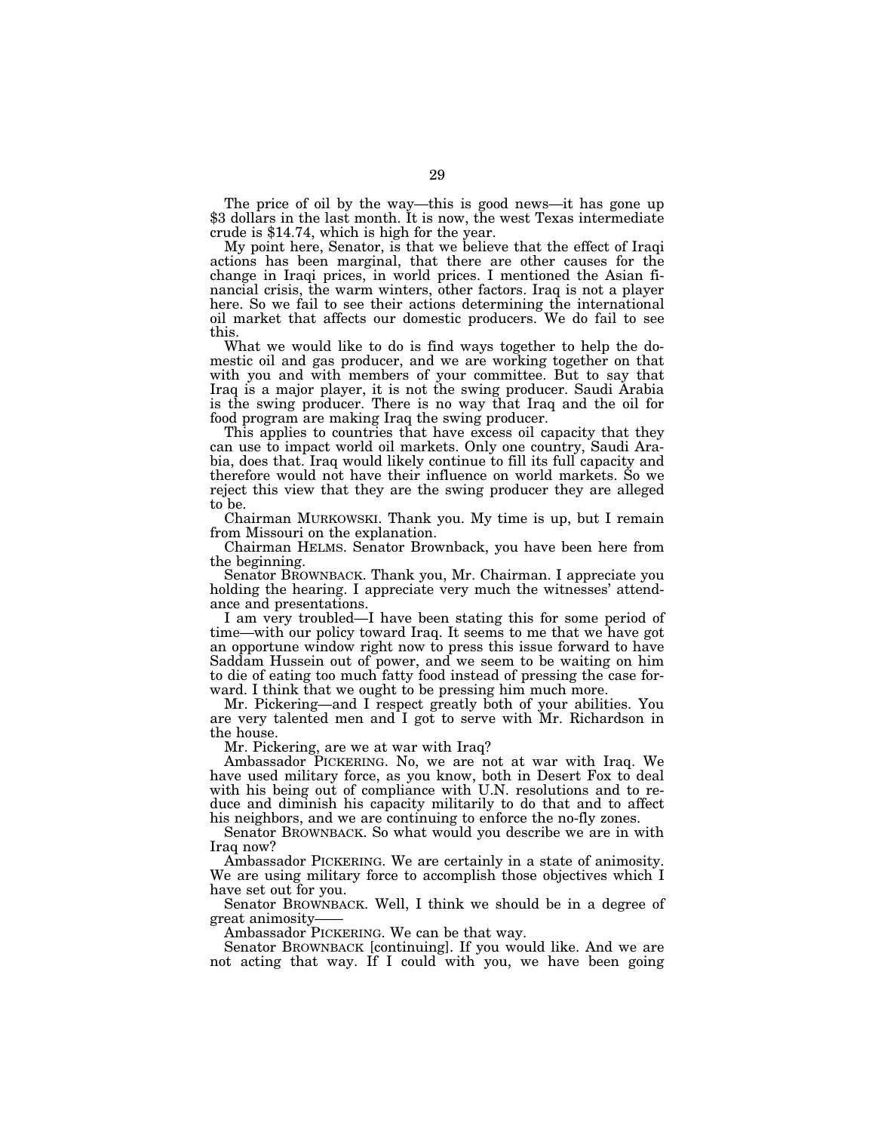The price of oil by the way—this is good news—it has gone up \$3 dollars in the last month. It is now, the west Texas intermediate crude is \$14.74, which is high for the year.

My point here, Senator, is that we believe that the effect of Iraqi actions has been marginal, that there are other causes for the change in Iraqi prices, in world prices. I mentioned the Asian financial crisis, the warm winters, other factors. Iraq is not a player here. So we fail to see their actions determining the international oil market that affects our domestic producers. We do fail to see this.

What we would like to do is find ways together to help the domestic oil and gas producer, and we are working together on that with you and with members of your committee. But to say that Iraq is a major player, it is not the swing producer. Saudi Arabia is the swing producer. There is no way that Iraq and the oil for food program are making Iraq the swing producer.

This applies to countries that have excess oil capacity that they can use to impact world oil markets. Only one country, Saudi Arabia, does that. Iraq would likely continue to fill its full capacity and therefore would not have their influence on world markets. So we reject this view that they are the swing producer they are alleged to be.

Chairman MURKOWSKI. Thank you. My time is up, but I remain from Missouri on the explanation.

Chairman HELMS. Senator Brownback, you have been here from the beginning.

Senator BROWNBACK. Thank you, Mr. Chairman. I appreciate you holding the hearing. I appreciate very much the witnesses' attendance and presentations.

I am very troubled—I have been stating this for some period of time—with our policy toward Iraq. It seems to me that we have got an opportune window right now to press this issue forward to have Saddam Hussein out of power, and we seem to be waiting on him to die of eating too much fatty food instead of pressing the case forward. I think that we ought to be pressing him much more.

Mr. Pickering—and I respect greatly both of your abilities. You are very talented men and I got to serve with Mr. Richardson in the house.

Mr. Pickering, are we at war with Iraq?

Ambassador PICKERING. No, we are not at war with Iraq. We have used military force, as you know, both in Desert Fox to deal with his being out of compliance with U.N. resolutions and to reduce and diminish his capacity militarily to do that and to affect his neighbors, and we are continuing to enforce the no-fly zones.

Senator BROWNBACK. So what would you describe we are in with Iraq now?

Ambassador PICKERING. We are certainly in a state of animosity. We are using military force to accomplish those objectives which I have set out for you.

Senator BROWNBACK. Well, I think we should be in a degree of great animosity——

Ambassador PICKERING. We can be that way.

Senator BROWNBACK [continuing]. If you would like. And we are not acting that way. If I could with you, we have been going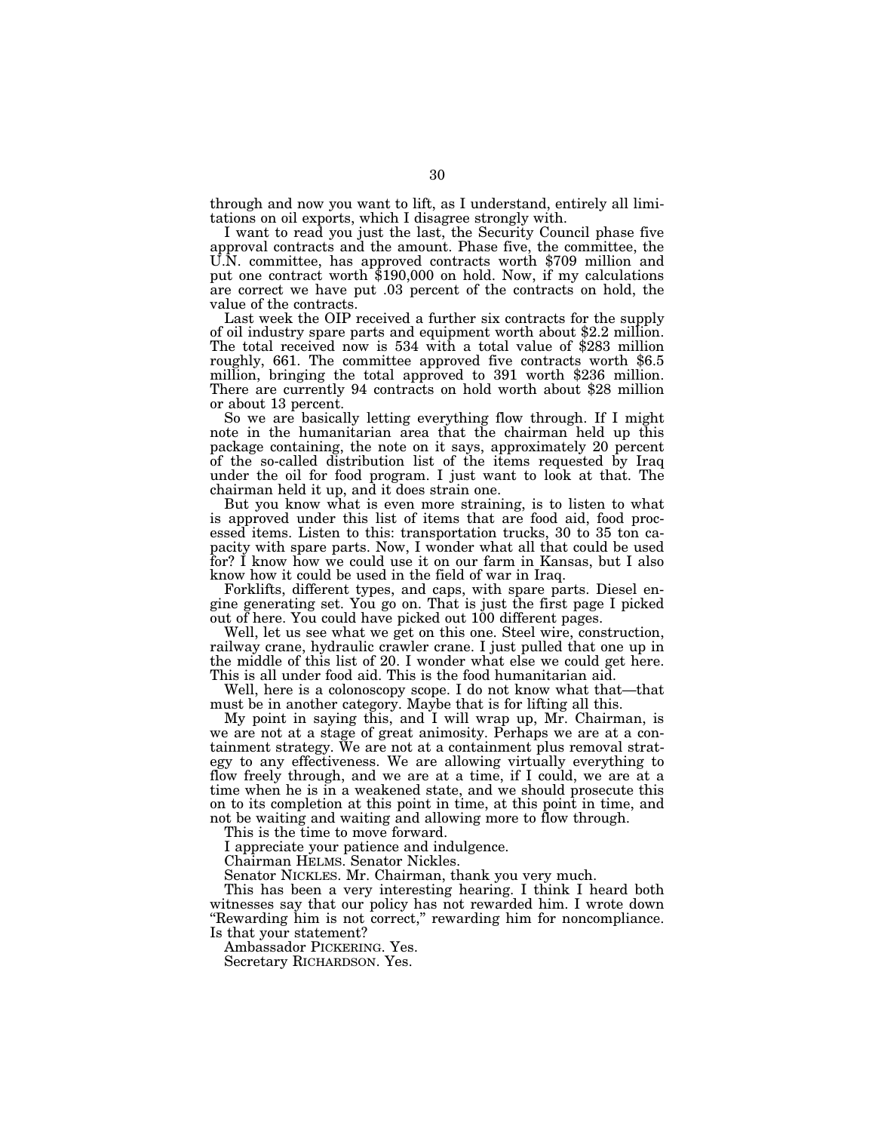through and now you want to lift, as I understand, entirely all limitations on oil exports, which I disagree strongly with.

I want to read you just the last, the Security Council phase five approval contracts and the amount. Phase five, the committee, the U.N. committee, has approved contracts worth \$709 million and put one contract worth \$190,000 on hold. Now, if my calculations are correct we have put .03 percent of the contracts on hold, the

value of the contracts.<br>Last week the OIP received a further six contracts for the supply of oil industry spare parts and equipment worth about \$2.2 million. The total received now is 534 with a total value of \$283 million roughly, 661. The committee approved five contracts worth \$6.5 million, bringing the total approved to 391 worth \$236 million. There are currently 94 contracts on hold worth about \$28 million or about 13 percent.

So we are basically letting everything flow through. If I might note in the humanitarian area that the chairman held up this package containing, the note on it says, approximately 20 percent of the so-called distribution list of the items requested by Iraq under the oil for food program. I just want to look at that. The chairman held it up, and it does strain one.

But you know what is even more straining, is to listen to what is approved under this list of items that are food aid, food processed items. Listen to this: transportation trucks, 30 to 35 ton capacity with spare parts. Now, I wonder what all that could be used for? I know how we could use it on our farm in Kansas, but I also know how it could be used in the field of war in Iraq.

Forklifts, different types, and caps, with spare parts. Diesel engine generating set. You go on. That is just the first page I picked out of here. You could have picked out 100 different pages.

Well, let us see what we get on this one. Steel wire, construction, railway crane, hydraulic crawler crane. I just pulled that one up in the middle of this list of 20. I wonder what else we could get here. This is all under food aid. This is the food humanitarian aid.

Well, here is a colonoscopy scope. I do not know what that—that must be in another category. Maybe that is for lifting all this.

My point in saying this, and I will wrap up, Mr. Chairman, is we are not at a stage of great animosity. Perhaps we are at a containment strategy. We are not at a containment plus removal strategy to any effectiveness. We are allowing virtually everything to flow freely through, and we are at a time, if I could, we are at a time when he is in a weakened state, and we should prosecute this on to its completion at this point in time, at this point in time, and not be waiting and waiting and allowing more to flow through.

This is the time to move forward.

I appreciate your patience and indulgence.

Chairman HELMS. Senator Nickles.

Senator NICKLES. Mr. Chairman, thank you very much.

This has been a very interesting hearing. I think I heard both witnesses say that our policy has not rewarded him. I wrote down "Rewarding him is not correct," rewarding him for noncompliance. Is that your statement?

Ambassador PICKERING. Yes.

Secretary RICHARDSON. Yes.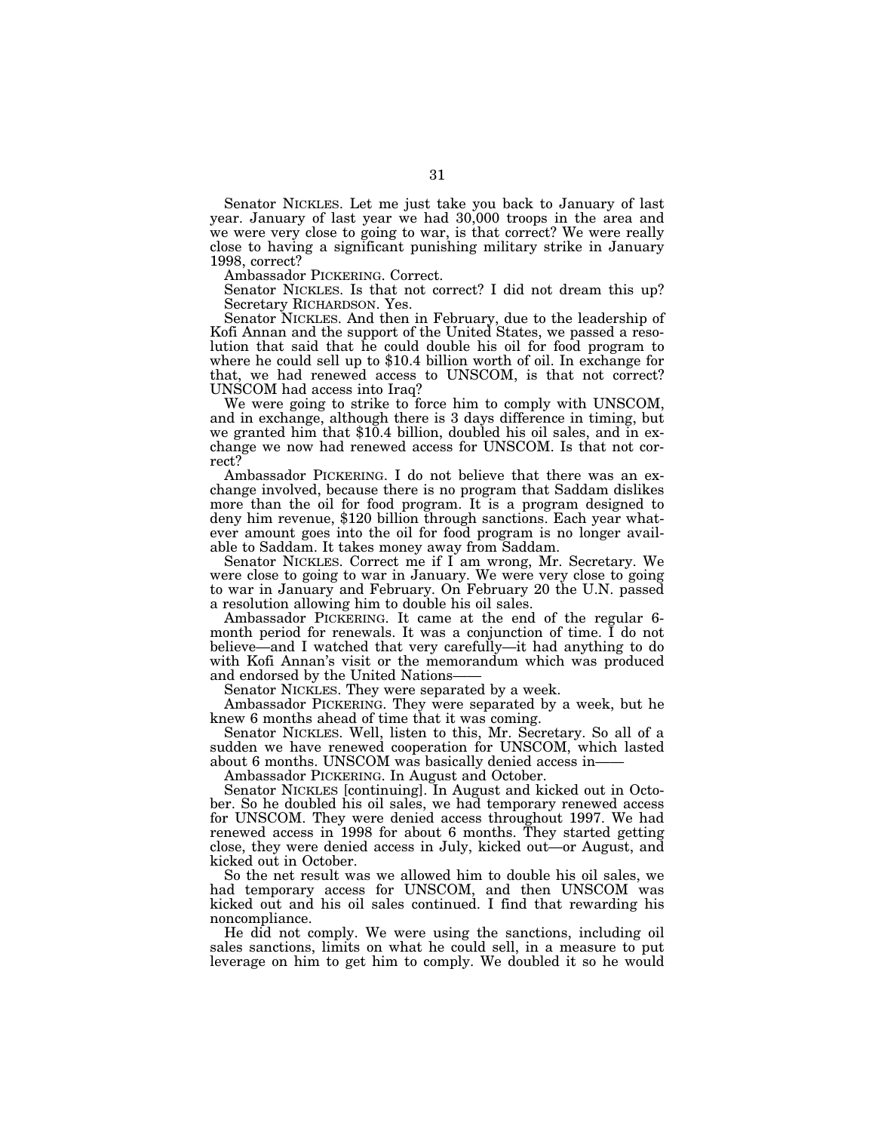Senator NICKLES. Let me just take you back to January of last year. January of last year we had 30,000 troops in the area and we were very close to going to war, is that correct? We were really close to having a significant punishing military strike in January 1998, correct?

Ambassador PICKERING. Correct.

Senator NICKLES. Is that not correct? I did not dream this up? Secretary RICHARDSON. Yes.

Senator NICKLES. And then in February, due to the leadership of Kofi Annan and the support of the United States, we passed a resolution that said that he could double his oil for food program to where he could sell up to \$10.4 billion worth of oil. In exchange for that, we had renewed access to UNSCOM, is that not correct? UNSCOM had access into Iraq?

We were going to strike to force him to comply with UNSCOM, and in exchange, although there is 3 days difference in timing, but we granted him that \$10.4 billion, doubled his oil sales, and in exchange we now had renewed access for UNSCOM. Is that not correct?

Ambassador PICKERING. I do not believe that there was an exchange involved, because there is no program that Saddam dislikes more than the oil for food program. It is a program designed to deny him revenue, \$120 billion through sanctions. Each year whatever amount goes into the oil for food program is no longer available to Saddam. It takes money away from Saddam.

Senator NICKLES. Correct me if I am wrong, Mr. Secretary. We were close to going to war in January. We were very close to going to war in January and February. On February 20 the U.N. passed a resolution allowing him to double his oil sales.

Ambassador PICKERING. It came at the end of the regular 6 month period for renewals. It was a conjunction of time. I do not believe—and I watched that very carefully—it had anything to do with Kofi Annan's visit or the memorandum which was produced and endorsed by the United Nations-

Senator NICKLES. They were separated by a week.

Ambassador PICKERING. They were separated by a week, but he knew 6 months ahead of time that it was coming.

Senator NICKLES. Well, listen to this, Mr. Secretary. So all of a sudden we have renewed cooperation for UNSCOM, which lasted about 6 months. UNSCOM was basically denied access in——

Ambassador PICKERING. In August and October.

Senator NICKLES [continuing]. In August and kicked out in October. So he doubled his oil sales, we had temporary renewed access for UNSCOM. They were denied access throughout 1997. We had renewed access in 1998 for about 6 months. They started getting close, they were denied access in July, kicked out—or August, and kicked out in October.

So the net result was we allowed him to double his oil sales, we had temporary access for UNSCOM, and then UNSCOM was kicked out and his oil sales continued. I find that rewarding his noncompliance.

He did not comply. We were using the sanctions, including oil sales sanctions, limits on what he could sell, in a measure to put leverage on him to get him to comply. We doubled it so he would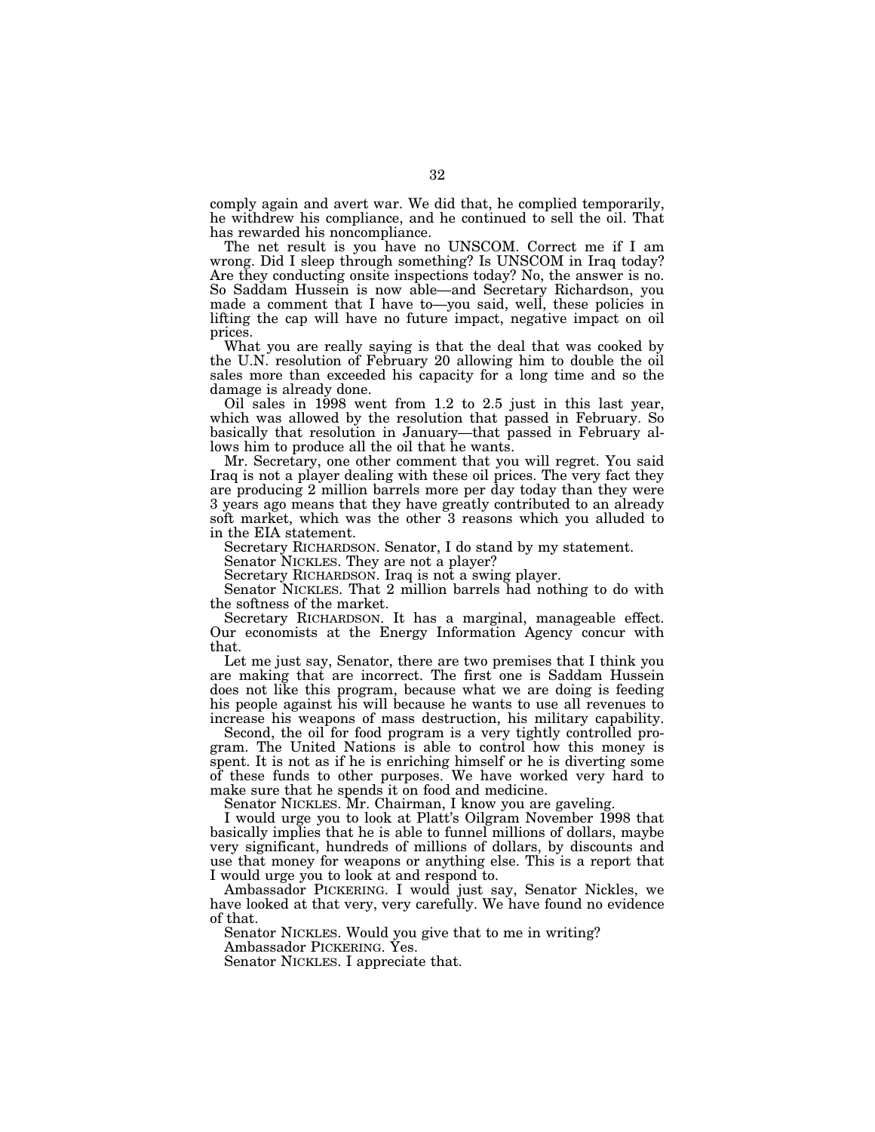comply again and avert war. We did that, he complied temporarily, he withdrew his compliance, and he continued to sell the oil. That has rewarded his noncompliance.

The net result is you have no UNSCOM. Correct me if I am wrong. Did I sleep through something? Is UNSCOM in Iraq today? Are they conducting onsite inspections today? No, the answer is no. So Saddam Hussein is now able—and Secretary Richardson, you made a comment that I have to—you said, well, these policies in lifting the cap will have no future impact, negative impact on oil prices.

What you are really saying is that the deal that was cooked by the U.N. resolution of February 20 allowing him to double the oil sales more than exceeded his capacity for a long time and so the damage is already done.

Oil sales in 1998 went from 1.2 to 2.5 just in this last year, which was allowed by the resolution that passed in February. So basically that resolution in January—that passed in February allows him to produce all the oil that he wants.

Mr. Secretary, one other comment that you will regret. You said Iraq is not a player dealing with these oil prices. The very fact they are producing 2 million barrels more per day today than they were 3 years ago means that they have greatly contributed to an already soft market, which was the other 3 reasons which you alluded to in the EIA statement.

Secretary RICHARDSON. Senator, I do stand by my statement.

Senator NICKLES. They are not a player?

Secretary RICHARDSON. Iraq is not a swing player.

Senator NICKLES. That 2 million barrels had nothing to do with the softness of the market.

Secretary RICHARDSON. It has a marginal, manageable effect. Our economists at the Energy Information Agency concur with that.

Let me just say, Senator, there are two premises that I think you are making that are incorrect. The first one is Saddam Hussein does not like this program, because what we are doing is feeding his people against his will because he wants to use all revenues to increase his weapons of mass destruction, his military capability.

Second, the oil for food program is a very tightly controlled program. The United Nations is able to control how this money is spent. It is not as if he is enriching himself or he is diverting some of these funds to other purposes. We have worked very hard to make sure that he spends it on food and medicine.

Senator NICKLES. Mr. Chairman, I know you are gaveling.

I would urge you to look at Platt's Oilgram November 1998 that basically implies that he is able to funnel millions of dollars, maybe very significant, hundreds of millions of dollars, by discounts and use that money for weapons or anything else. This is a report that I would urge you to look at and respond to.

Ambassador PICKERING. I would just say, Senator Nickles, we have looked at that very, very carefully. We have found no evidence of that.

Senator NICKLES. Would you give that to me in writing?

Ambassador PICKERING. Yes.

Senator NICKLES. I appreciate that.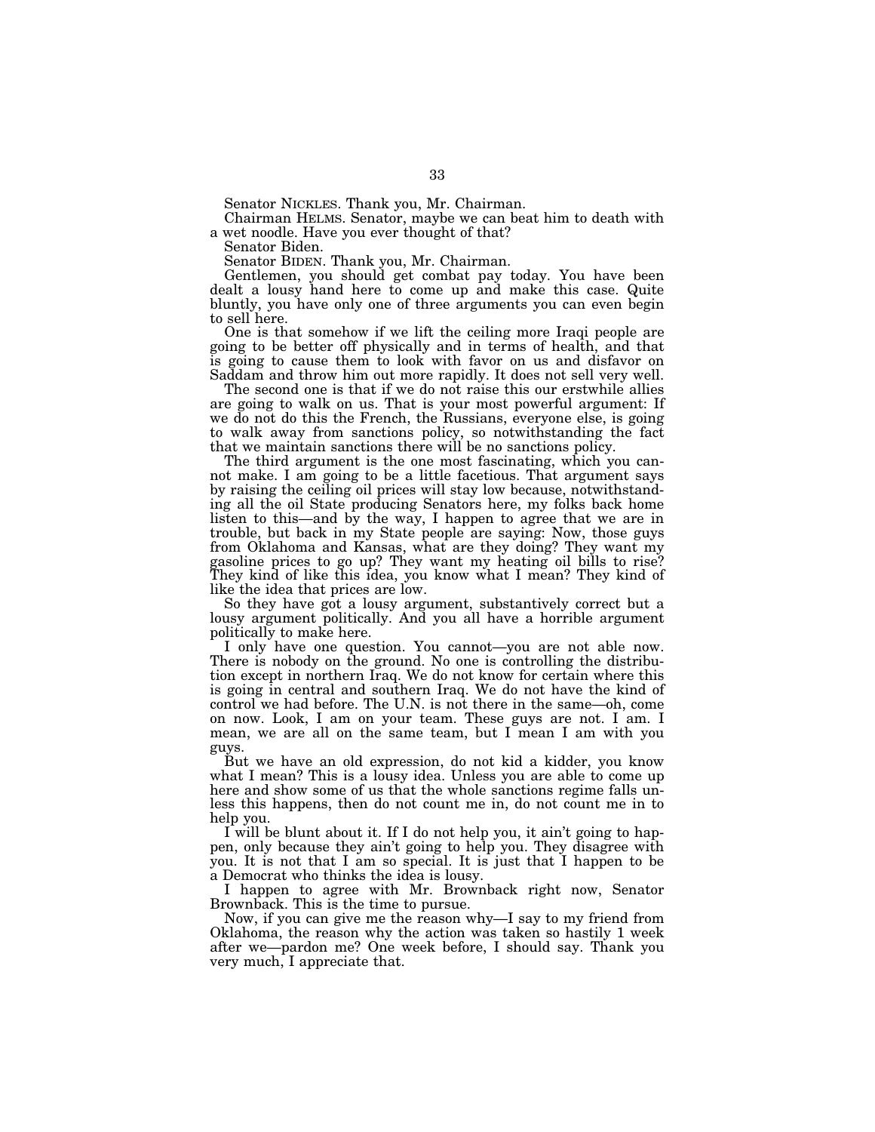Senator NICKLES. Thank you, Mr. Chairman.

Chairman HELMS. Senator, maybe we can beat him to death with a wet noodle. Have you ever thought of that?

Senator Biden.

Senator BIDEN. Thank you, Mr. Chairman.

Gentlemen, you should get combat pay today. You have been dealt a lousy hand here to come up and make this case. Quite bluntly, you have only one of three arguments you can even begin to sell here.

One is that somehow if we lift the ceiling more Iraqi people are going to be better off physically and in terms of health, and that is going to cause them to look with favor on us and disfavor on Saddam and throw him out more rapidly. It does not sell very well.

The second one is that if we do not raise this our erstwhile allies are going to walk on us. That is your most powerful argument: If we do not do this the French, the Russians, everyone else, is going to walk away from sanctions policy, so notwithstanding the fact that we maintain sanctions there will be no sanctions policy.

The third argument is the one most fascinating, which you cannot make. I am going to be a little facetious. That argument says by raising the ceiling oil prices will stay low because, notwithstanding all the oil State producing Senators here, my folks back home listen to this—and by the way, I happen to agree that we are in trouble, but back in my State people are saying: Now, those guys from Oklahoma and Kansas, what are they doing? They want my gasoline prices to go up? They want my heating oil bills to rise? They kind of like this idea, you know what I mean? They kind of like the idea that prices are low.

So they have got a lousy argument, substantively correct but a lousy argument politically. And you all have a horrible argument politically to make here.

I only have one question. You cannot—you are not able now. There is nobody on the ground. No one is controlling the distribution except in northern Iraq. We do not know for certain where this is going in central and southern Iraq. We do not have the kind of control we had before. The U.N. is not there in the same—oh, come on now. Look, I am on your team. These guys are not. I am. I mean, we are all on the same team, but I mean I am with you guys.

But we have an old expression, do not kid a kidder, you know what I mean? This is a lousy idea. Unless you are able to come up here and show some of us that the whole sanctions regime falls unless this happens, then do not count me in, do not count me in to help you.

I will be blunt about it. If I do not help you, it ain't going to happen, only because they ain't going to help you. They disagree with you. It is not that I am so special. It is just that I happen to be a Democrat who thinks the idea is lousy.

I happen to agree with Mr. Brownback right now, Senator Brownback. This is the time to pursue.

Now, if you can give me the reason why—I say to my friend from Oklahoma, the reason why the action was taken so hastily 1 week after we—pardon me? One week before, I should say. Thank you very much, I appreciate that.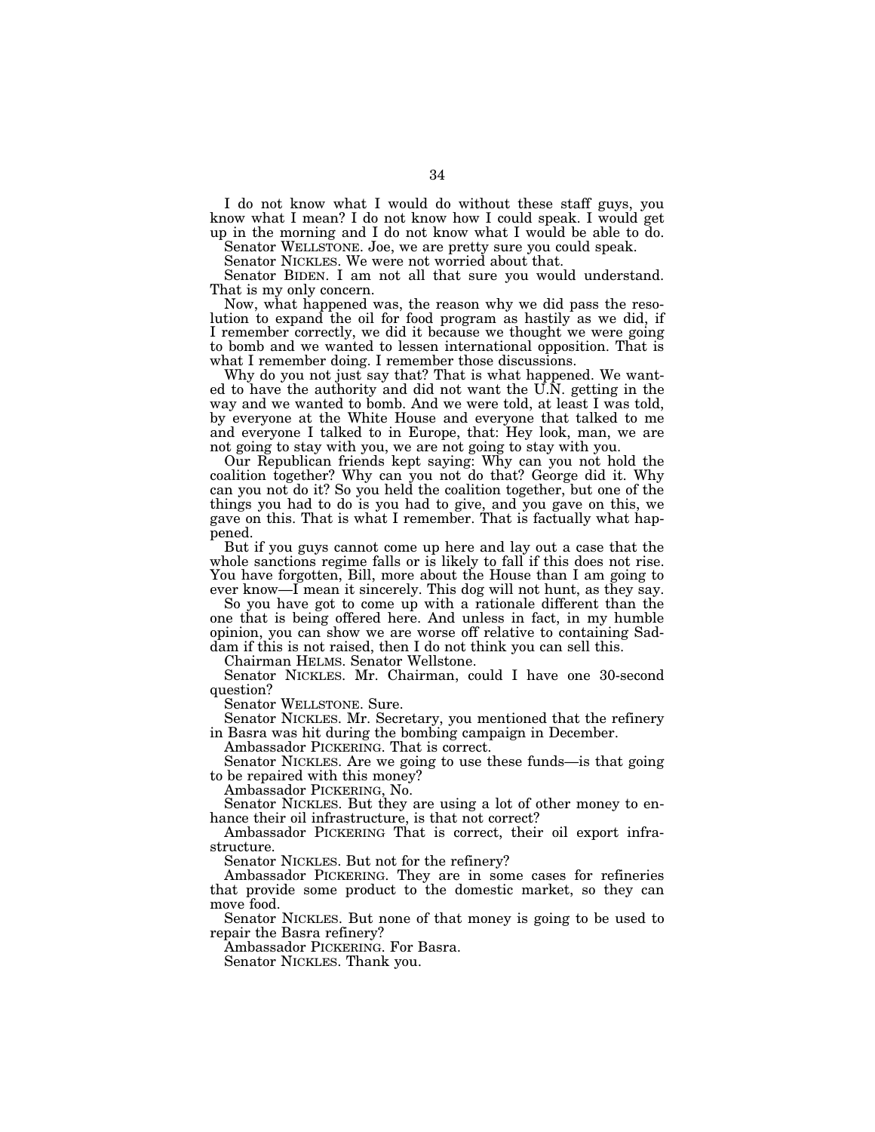I do not know what I would do without these staff guys, you know what I mean? I do not know how I could speak. I would get up in the morning and I do not know what I would be able to do.

Senator WELLSTONE. Joe, we are pretty sure you could speak. Senator NICKLES. We were not worried about that.

Senator BIDEN. I am not all that sure you would understand. That is my only concern.

Now, what happened was, the reason why we did pass the resolution to expand the oil for food program as hastily as we did, if I remember correctly, we did it because we thought we were going to bomb and we wanted to lessen international opposition. That is what I remember doing. I remember those discussions.

Why do you not just say that? That is what happened. We wanted to have the authority and did not want the U.N. getting in the way and we wanted to bomb. And we were told, at least I was told, by everyone at the White House and everyone that talked to me and everyone I talked to in Europe, that: Hey look, man, we are not going to stay with you, we are not going to stay with you.

Our Republican friends kept saying: Why can you not hold the coalition together? Why can you not do that? George did it. Why can you not do it? So you held the coalition together, but one of the things you had to do is you had to give, and you gave on this, we gave on this. That is what I remember. That is factually what happened.

But if you guys cannot come up here and lay out a case that the whole sanctions regime falls or is likely to fall if this does not rise. You have forgotten, Bill, more about the House than I am going to ever know—I mean it sincerely. This dog will not hunt, as they say.

So you have got to come up with a rationale different than the one that is being offered here. And unless in fact, in my humble opinion, you can show we are worse off relative to containing Saddam if this is not raised, then I do not think you can sell this.

Chairman HELMS. Senator Wellstone.

Senator NICKLES. Mr. Chairman, could I have one 30-second question?

Senator WELLSTONE. Sure.

Senator NICKLES. Mr. Secretary, you mentioned that the refinery in Basra was hit during the bombing campaign in December.

Ambassador PICKERING. That is correct.

Senator NICKLES. Are we going to use these funds—is that going to be repaired with this money?

Ambassador PICKERING, No.

Senator NICKLES. But they are using a lot of other money to enhance their oil infrastructure, is that not correct?

Ambassador PICKERING That is correct, their oil export infrastructure.

Senator NICKLES. But not for the refinery?

Ambassador PICKERING. They are in some cases for refineries that provide some product to the domestic market, so they can move food.

Senator NICKLES. But none of that money is going to be used to repair the Basra refinery?

Ambassador PICKERING. For Basra.

Senator NICKLES. Thank you.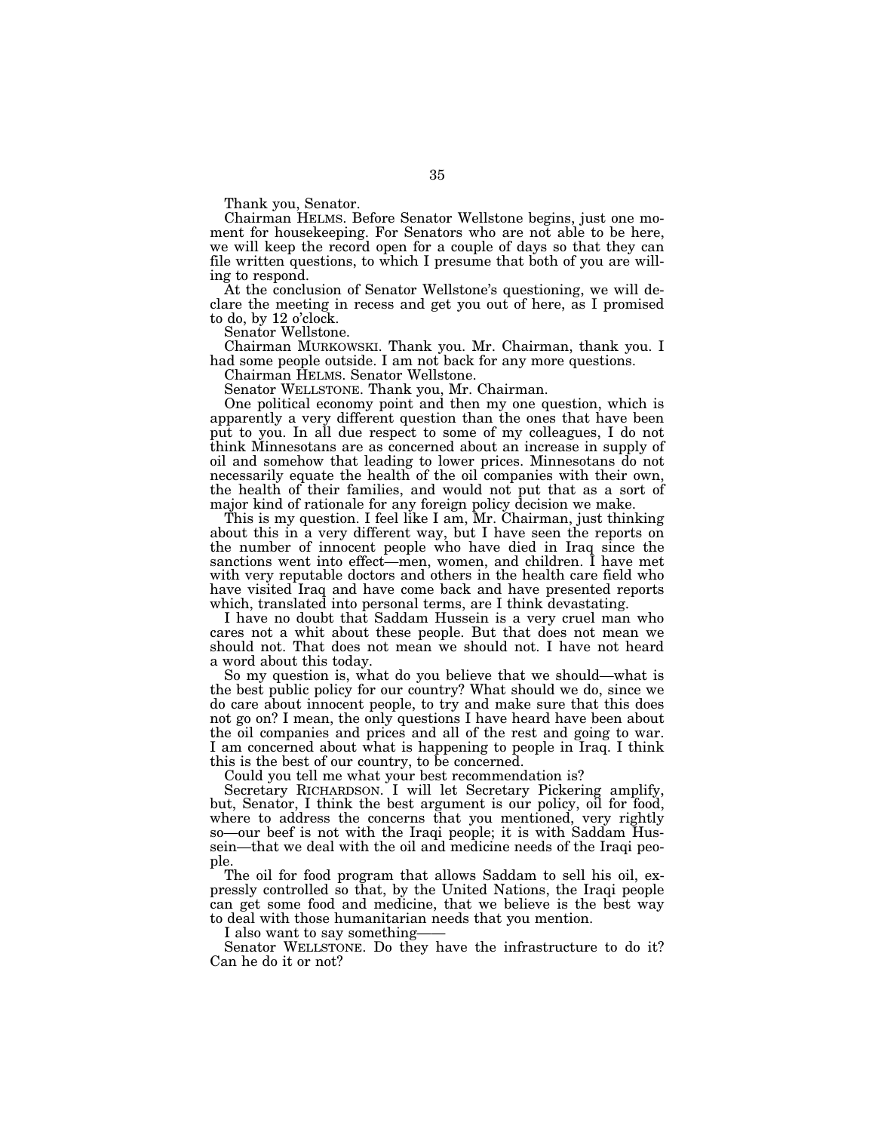Thank you, Senator.

Chairman HELMS. Before Senator Wellstone begins, just one moment for housekeeping. For Senators who are not able to be here, we will keep the record open for a couple of days so that they can file written questions, to which I presume that both of you are willing to respond.

At the conclusion of Senator Wellstone's questioning, we will declare the meeting in recess and get you out of here, as I promised to do, by 12 o'clock.

Senator Wellstone.

Chairman MURKOWSKI. Thank you. Mr. Chairman, thank you. I had some people outside. I am not back for any more questions.

Chairman HELMS. Senator Wellstone.

Senator WELLSTONE. Thank you, Mr. Chairman.

One political economy point and then my one question, which is apparently a very different question than the ones that have been put to you. In all due respect to some of my colleagues, I do not think Minnesotans are as concerned about an increase in supply of oil and somehow that leading to lower prices. Minnesotans do not necessarily equate the health of the oil companies with their own, the health of their families, and would not put that as a sort of major kind of rationale for any foreign policy decision we make.

This is my question. I feel like I am, Mr. Chairman, just thinking about this in a very different way, but I have seen the reports on the number of innocent people who have died in Iraq since the sanctions went into effect—men, women, and children. I have met with very reputable doctors and others in the health care field who have visited Iraq and have come back and have presented reports which, translated into personal terms, are I think devastating.

I have no doubt that Saddam Hussein is a very cruel man who cares not a whit about these people. But that does not mean we should not. That does not mean we should not. I have not heard a word about this today.

So my question is, what do you believe that we should—what is the best public policy for our country? What should we do, since we do care about innocent people, to try and make sure that this does not go on? I mean, the only questions I have heard have been about the oil companies and prices and all of the rest and going to war. I am concerned about what is happening to people in Iraq. I think this is the best of our country, to be concerned.

Could you tell me what your best recommendation is?

Secretary RICHARDSON. I will let Secretary Pickering amplify, but, Senator, I think the best argument is our policy, oil for food, where to address the concerns that you mentioned, very rightly so—our beef is not with the Iraqi people; it is with Saddam Hussein—that we deal with the oil and medicine needs of the Iraqi people.

The oil for food program that allows Saddam to sell his oil, expressly controlled so that, by the United Nations, the Iraqi people can get some food and medicine, that we believe is the best way to deal with those humanitarian needs that you mention.

I also want to say something——

Senator WELLSTONE. Do they have the infrastructure to do it? Can he do it or not?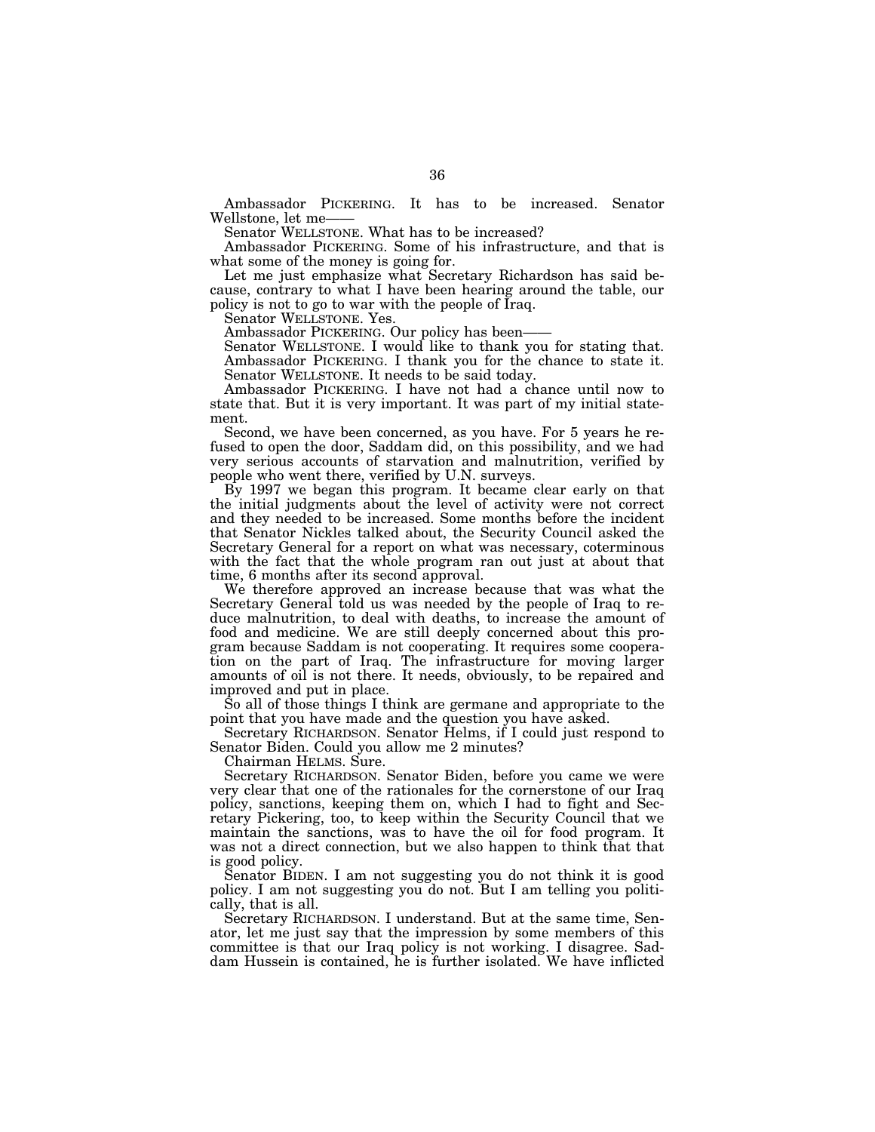Ambassador PICKERING. It has to be increased. Senator Wellstone, let me-

Senator WELLSTONE. What has to be increased?

Ambassador PICKERING. Some of his infrastructure, and that is what some of the money is going for.

Let me just emphasize what Secretary Richardson has said because, contrary to what I have been hearing around the table, our policy is not to go to war with the people of Iraq.

Senator WELLSTONE. Yes.

Ambassador PICKERING. Our policy has been-

Senator WELLSTONE. I would like to thank you for stating that. Ambassador PICKERING. I thank you for the chance to state it. Senator WELLSTONE. It needs to be said today.

Ambassador PICKERING. I have not had a chance until now to state that. But it is very important. It was part of my initial statement.

Second, we have been concerned, as you have. For 5 years he refused to open the door, Saddam did, on this possibility, and we had very serious accounts of starvation and malnutrition, verified by people who went there, verified by U.N. surveys.

By 1997 we began this program. It became clear early on that the initial judgments about the level of activity were not correct and they needed to be increased. Some months before the incident that Senator Nickles talked about, the Security Council asked the Secretary General for a report on what was necessary, coterminous with the fact that the whole program ran out just at about that time, 6 months after its second approval.

We therefore approved an increase because that was what the Secretary General told us was needed by the people of Iraq to reduce malnutrition, to deal with deaths, to increase the amount of food and medicine. We are still deeply concerned about this program because Saddam is not cooperating. It requires some cooperation on the part of Iraq. The infrastructure for moving larger amounts of oil is not there. It needs, obviously, to be repaired and improved and put in place.

So all of those things I think are germane and appropriate to the point that you have made and the question you have asked.

Secretary RICHARDSON. Senator Helms, if I could just respond to Senator Biden. Could you allow me 2 minutes?

Chairman HELMS. Sure.

Secretary RICHARDSON. Senator Biden, before you came we were very clear that one of the rationales for the cornerstone of our Iraq policy, sanctions, keeping them on, which I had to fight and Secretary Pickering, too, to keep within the Security Council that we maintain the sanctions, was to have the oil for food program. It was not a direct connection, but we also happen to think that that is good policy.

Senator BIDEN. I am not suggesting you do not think it is good policy. I am not suggesting you do not. But I am telling you politically, that is all.

Secretary RICHARDSON. I understand. But at the same time, Senator, let me just say that the impression by some members of this committee is that our Iraq policy is not working. I disagree. Saddam Hussein is contained, he is further isolated. We have inflicted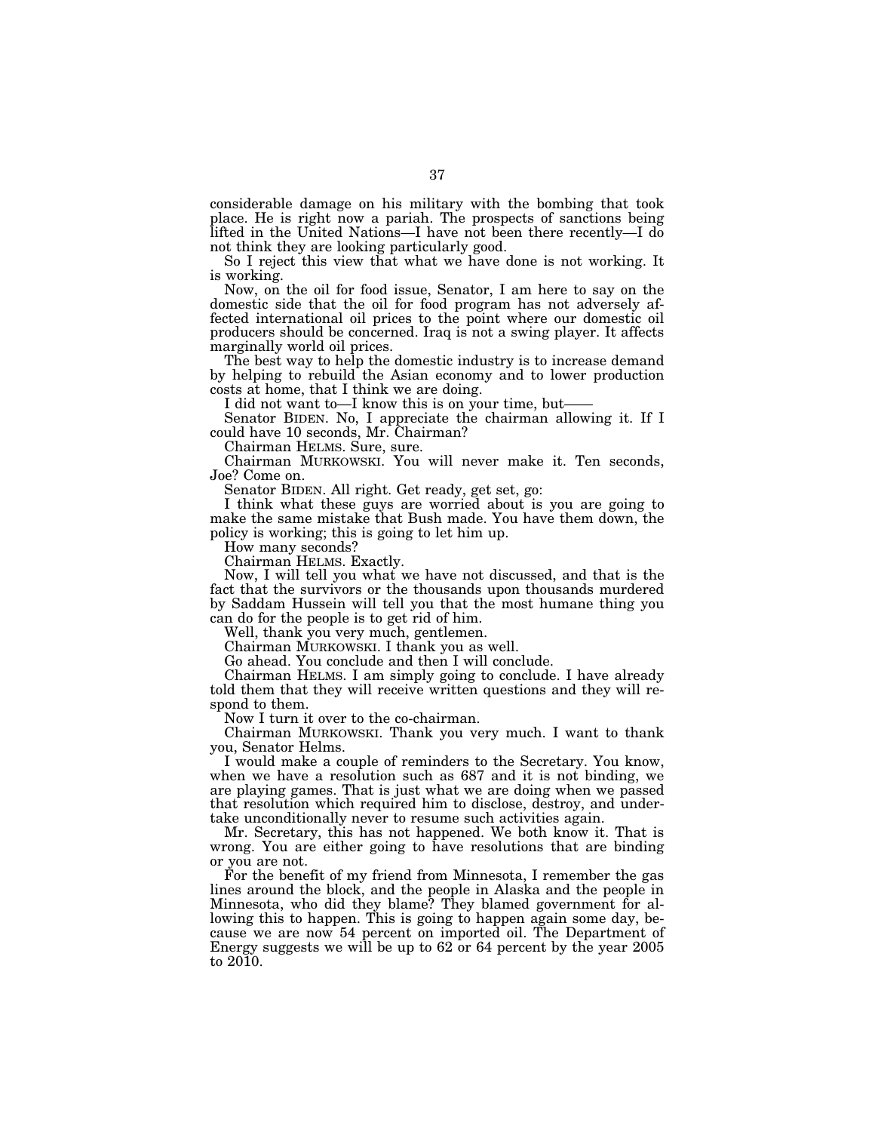considerable damage on his military with the bombing that took place. He is right now a pariah. The prospects of sanctions being lifted in the United Nations—I have not been there recently—I do not think they are looking particularly good.

So I reject this view that what we have done is not working. It is working.

Now, on the oil for food issue, Senator, I am here to say on the domestic side that the oil for food program has not adversely affected international oil prices to the point where our domestic oil producers should be concerned. Iraq is not a swing player. It affects marginally world oil prices.

The best way to help the domestic industry is to increase demand by helping to rebuild the Asian economy and to lower production costs at home, that I think we are doing.

I did not want to—I know this is on your time, but—

Senator BIDEN. No, I appreciate the chairman allowing it. If I could have 10 seconds, Mr. Chairman?

Chairman HELMS. Sure, sure.

Chairman MURKOWSKI. You will never make it. Ten seconds, Joe? Come on.

Senator BIDEN. All right. Get ready, get set, go:

I think what these guys are worried about is you are going to make the same mistake that Bush made. You have them down, the policy is working; this is going to let him up.

How many seconds?

Chairman HELMS. Exactly.

Now, I will tell you what we have not discussed, and that is the fact that the survivors or the thousands upon thousands murdered by Saddam Hussein will tell you that the most humane thing you can do for the people is to get rid of him.

Well, thank you very much, gentlemen.

Chairman MURKOWSKI. I thank you as well.

Go ahead. You conclude and then I will conclude.

Chairman HELMS. I am simply going to conclude. I have already told them that they will receive written questions and they will respond to them.

Now I turn it over to the co-chairman.

Chairman MURKOWSKI. Thank you very much. I want to thank you, Senator Helms.

I would make a couple of reminders to the Secretary. You know, when we have a resolution such as 687 and it is not binding, we are playing games. That is just what we are doing when we passed that resolution which required him to disclose, destroy, and undertake unconditionally never to resume such activities again.

Mr. Secretary, this has not happened. We both know it. That is wrong. You are either going to have resolutions that are binding or you are not.

For the benefit of my friend from Minnesota, I remember the gas lines around the block, and the people in Alaska and the people in Minnesota, who did they blame? They blamed government for allowing this to happen. This is going to happen again some day, because we are now 54 percent on imported oil. The Department of Energy suggests we will be up to 62 or 64 percent by the year 2005 to 2010.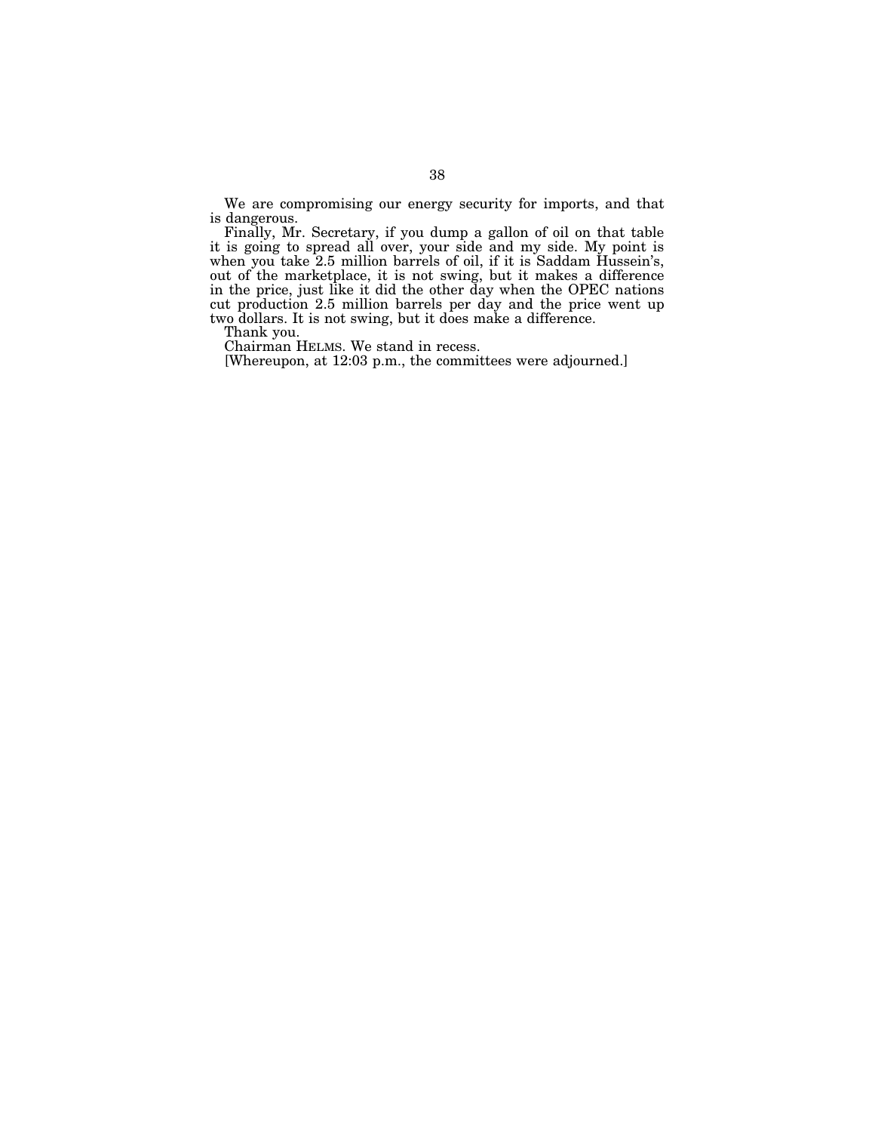We are compromising our energy security for imports, and that is dangerous.

Finally, Mr. Secretary, if you dump a gallon of oil on that table it is going to spread all over, your side and my side. My point is when you take 2.5 million barrels of oil, if it is Saddam Hussein's, out of the marketplace, it is not swing, but it makes a difference in the price, just like it did the other day when the OPEC nations cut production 2.5 million barrels per day and the price went up two dollars. It is not swing, but it does make a difference.

Thank you.

Chairman HELMS. We stand in recess.

[Whereupon, at 12:03 p.m., the committees were adjourned.]